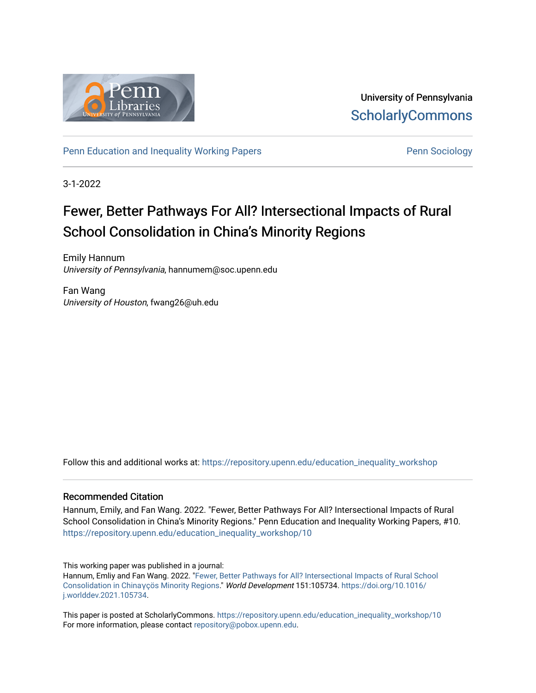

University of Pennsylvania **ScholarlyCommons** 

[Penn Education and Inequality Working Papers](https://repository.upenn.edu/education_inequality_workshop) **Penn Sociology** Penn Sociology

3-1-2022

# Fewer, Better Pathways For All? Intersectional Impacts of Rural School Consolidation in China's Minority Regions

Emily Hannum University of Pennsylvania, hannumem@soc.upenn.edu

Fan Wang University of Houston, fwang26@uh.edu

Follow this and additional works at: [https://repository.upenn.edu/education\\_inequality\\_workshop](https://repository.upenn.edu/education_inequality_workshop?utm_source=repository.upenn.edu%2Feducation_inequality_workshop%2F10&utm_medium=PDF&utm_campaign=PDFCoverPages) 

#### Recommended Citation

Hannum, Emily, and Fan Wang. 2022. "Fewer, Better Pathways For All? Intersectional Impacts of Rural School Consolidation in China's Minority Regions." Penn Education and Inequality Working Papers, #10. [https://repository.upenn.edu/education\\_inequality\\_workshop/10](https://repository.upenn.edu/education_inequality_workshop/10)

This working paper was published in a journal:

Hannum, Emliy and Fan Wang. 2022. ["Fewer, Better Pathways for All? Intersectional Impacts of Rural School](https://doi.org/10.1016/j.worlddev.2021.105734)  [Consolidation in China](https://doi.org/10.1016/j.worlddev.2021.105734)γçös Minority Regions." World Development 151:105734. [https://doi.org/10.1016/](https://doi.org/10.1016/j.worlddev.2021.105734) [j.worlddev.2021.105734.](https://doi.org/10.1016/j.worlddev.2021.105734)

This paper is posted at ScholarlyCommons. [https://repository.upenn.edu/education\\_inequality\\_workshop/10](https://repository.upenn.edu/education_inequality_workshop/10) For more information, please contact [repository@pobox.upenn.edu.](mailto:repository@pobox.upenn.edu)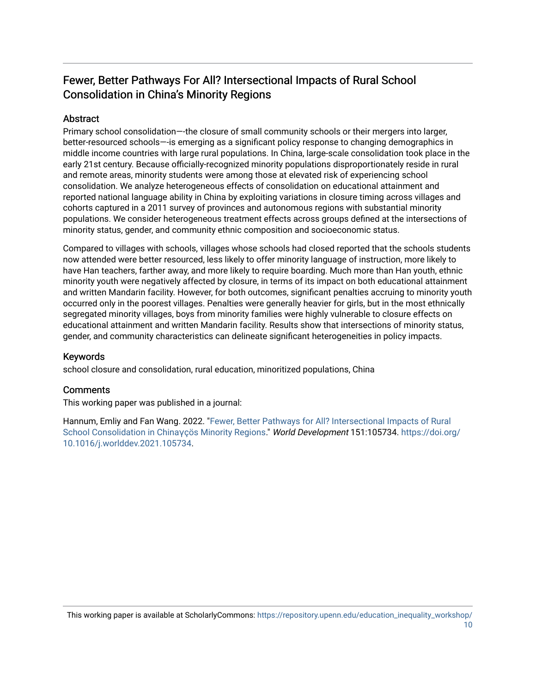## Fewer, Better Pathways For All? Intersectional Impacts of Rural School Consolidation in China's Minority Regions

### Abstract

Primary school consolidation—-the closure of small community schools or their mergers into larger, better-resourced schools—-is emerging as a significant policy response to changing demographics in middle income countries with large rural populations. In China, large-scale consolidation took place in the early 21st century. Because officially-recognized minority populations disproportionately reside in rural and remote areas, minority students were among those at elevated risk of experiencing school consolidation. We analyze heterogeneous effects of consolidation on educational attainment and reported national language ability in China by exploiting variations in closure timing across villages and cohorts captured in a 2011 survey of provinces and autonomous regions with substantial minority populations. We consider heterogeneous treatment effects across groups defined at the intersections of minority status, gender, and community ethnic composition and socioeconomic status.

Compared to villages with schools, villages whose schools had closed reported that the schools students now attended were better resourced, less likely to offer minority language of instruction, more likely to have Han teachers, farther away, and more likely to require boarding. Much more than Han youth, ethnic minority youth were negatively affected by closure, in terms of its impact on both educational attainment and written Mandarin facility. However, for both outcomes, significant penalties accruing to minority youth occurred only in the poorest villages. Penalties were generally heavier for girls, but in the most ethnically segregated minority villages, boys from minority families were highly vulnerable to closure effects on educational attainment and written Mandarin facility. Results show that intersections of minority status, gender, and community characteristics can delineate significant heterogeneities in policy impacts.

### Keywords

school closure and consolidation, rural education, minoritized populations, China

#### **Comments**

This working paper was published in a journal:

Hannum, Emliy and Fan Wang. 2022. "[Fewer, Better Pathways for All? Intersectional Impacts of Rural](https://doi.org/10.1016/j.worlddev.2021.105734) [School Consolidation in China](https://doi.org/10.1016/j.worlddev.2021.105734)γçös Minority Regions." World Development 151:105734. [https://doi.org/](https://doi.org/10.1016/j.worlddev.2021.105734) [10.1016/j.worlddev.2021.105734.](https://doi.org/10.1016/j.worlddev.2021.105734)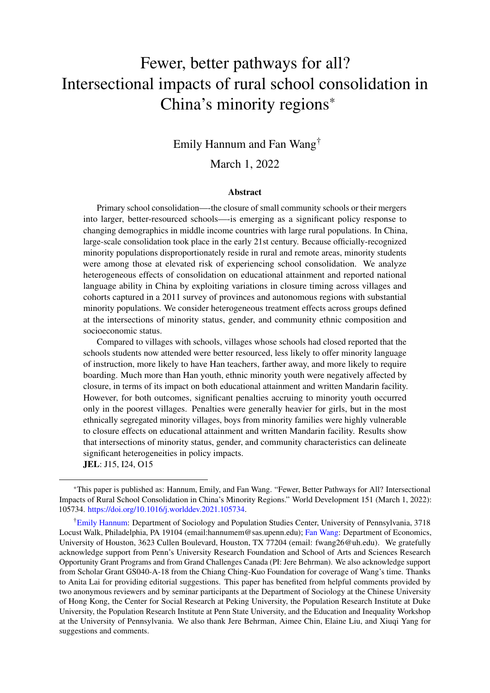# Fewer, better pathways for all? Intersectional impacts of rural school consolidation in China's minority regions\*

# Emily Hannum and Fan Wang†

### March 1, 2022

#### Abstract

Primary school consolidation—-the closure of small community schools or their mergers into larger, better-resourced schools—-is emerging as a significant policy response to changing demographics in middle income countries with large rural populations. In China, large-scale consolidation took place in the early 21st century. Because officially-recognized minority populations disproportionately reside in rural and remote areas, minority students were among those at elevated risk of experiencing school consolidation. We analyze heterogeneous effects of consolidation on educational attainment and reported national language ability in China by exploiting variations in closure timing across villages and cohorts captured in a 2011 survey of provinces and autonomous regions with substantial minority populations. We consider heterogeneous treatment effects across groups defined at the intersections of minority status, gender, and community ethnic composition and socioeconomic status.

Compared to villages with schools, villages whose schools had closed reported that the schools students now attended were better resourced, less likely to offer minority language of instruction, more likely to have Han teachers, farther away, and more likely to require boarding. Much more than Han youth, ethnic minority youth were negatively affected by closure, in terms of its impact on both educational attainment and written Mandarin facility. However, for both outcomes, significant penalties accruing to minority youth occurred only in the poorest villages. Penalties were generally heavier for girls, but in the most ethnically segregated minority villages, boys from minority families were highly vulnerable to closure effects on educational attainment and written Mandarin facility. Results show that intersections of minority status, gender, and community characteristics can delineate significant heterogeneities in policy impacts.

JEL: J15, I24, O15

<sup>\*</sup>This paper is published as: Hannum, Emily, and Fan Wang. "Fewer, Better Pathways for All? Intersectional Impacts of Rural School Consolidation in China's Minority Regions." World Development 151 (March 1, 2022): 105734. [https://doi.org/10.1016/j.worlddev.2021.105734.](https://doi.org/10.1016/j.worlddev.2021.105734)

<sup>†</sup>[Emily Hannum:](https://orcid.org/0000-0003-2011-9984) Department of Sociology and Population Studies Center, University of Pennsylvania, 3718 Locust Walk, Philadelphia, PA 19104 (email:hannumem@sas.upenn.edu); [Fan Wang:](https://orcid.org/0000-0003-2640-5420) Department of Economics, University of Houston, 3623 Cullen Boulevard, Houston, TX 77204 (email: fwang26@uh.edu). We gratefully acknowledge support from Penn's University Research Foundation and School of Arts and Sciences Research Opportunity Grant Programs and from Grand Challenges Canada (PI: Jere Behrman). We also acknowledge support from Scholar Grant GS040-A-18 from the Chiang Ching-Kuo Foundation for coverage of Wang's time. Thanks to Anita Lai for providing editorial suggestions. This paper has benefited from helpful comments provided by two anonymous reviewers and by seminar participants at the Department of Sociology at the Chinese University of Hong Kong, the Center for Social Research at Peking University, the Population Research Institute at Duke University, the Population Research Institute at Penn State University, and the Education and Inequality Workshop at the University of Pennsylvania. We also thank Jere Behrman, Aimee Chin, Elaine Liu, and Xiuqi Yang for suggestions and comments.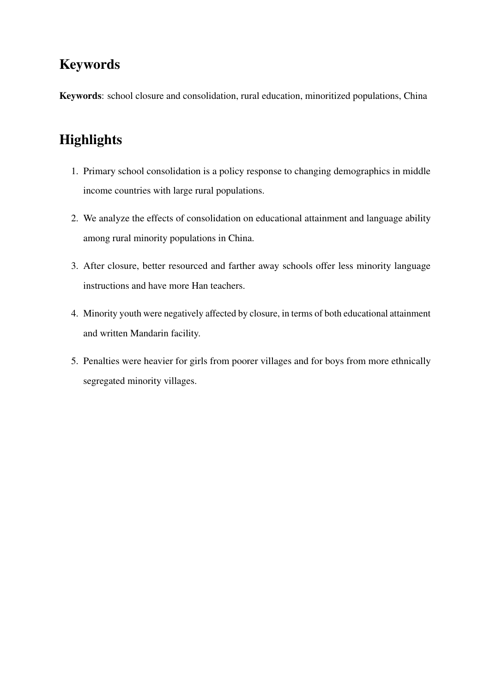# Keywords

Keywords: school closure and consolidation, rural education, minoritized populations, China

# **Highlights**

- 1. Primary school consolidation is a policy response to changing demographics in middle income countries with large rural populations.
- 2. We analyze the effects of consolidation on educational attainment and language ability among rural minority populations in China.
- 3. After closure, better resourced and farther away schools offer less minority language instructions and have more Han teachers.
- 4. Minority youth were negatively affected by closure, in terms of both educational attainment and written Mandarin facility.
- 5. Penalties were heavier for girls from poorer villages and for boys from more ethnically segregated minority villages.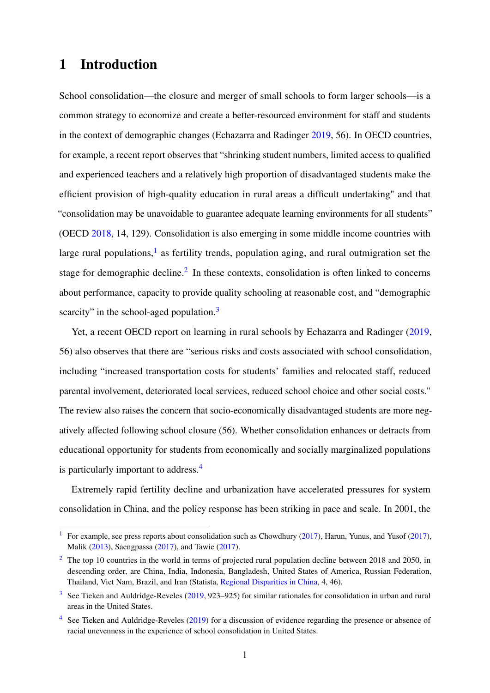# 1 Introduction

School consolidation—the closure and merger of small schools to form larger schools—is a common strategy to economize and create a better-resourced environment for staff and students in the context of demographic changes (Echazarra and Radinger [2019,](#page-37-0) 56). In OECD countries, for example, a recent report observes that "shrinking student numbers, limited access to qualified and experienced teachers and a relatively high proportion of disadvantaged students make the efficient provision of high-quality education in rural areas a difficult undertaking" and that "consolidation may be unavoidable to guarantee adequate learning environments for all students" (OECD [2018,](#page-40-0) 14, 129). Consolidation is also emerging in some middle income countries with large rural populations,<sup>[1](#page-4-0)</sup> as fertility trends, population aging, and rural outmigration set the stage for demographic decline.<sup>[2](#page-4-1)</sup> In these contexts, consolidation is often linked to concerns about performance, capacity to provide quality schooling at reasonable cost, and "demographic scarcity" in the school-aged population.<sup>[3](#page-4-2)</sup>

<span id="page-4-6"></span><span id="page-4-5"></span><span id="page-4-4"></span>Yet, a recent OECD report on learning in rural schools by Echazarra and Radinger [\(2019,](#page-37-0) 56) also observes that there are "serious risks and costs associated with school consolidation, including "increased transportation costs for students' families and relocated staff, reduced parental involvement, deteriorated local services, reduced school choice and other social costs." The review also raises the concern that socio-economically disadvantaged students are more negatively affected following school closure (56). Whether consolidation enhances or detracts from educational opportunity for students from economically and socially marginalized populations is particularly important to address.[4](#page-4-3)

<span id="page-4-7"></span>Extremely rapid fertility decline and urbanization have accelerated pressures for system consolidation in China, and the policy response has been striking in pace and scale. In 2001, the

<span id="page-4-0"></span><sup>&</sup>lt;sup>[1](#page-4-4)</sup> For example, see press reports about consolidation such as Chowdhury [\(2017\)](#page-38-0), Harun, Yunus, and Yusof (2017), Malik [\(2013\)](#page-39-0), Saengpassa [\(2017\)](#page-40-1), and Tawie [\(2017\)](#page-41-0).

<span id="page-4-1"></span><sup>&</sup>lt;sup>[2](#page-4-5)</sup> The top 10 countries in the world in terms of projected rural population decline between 2018 and 2050, in descending order, are China, India, Indonesia, Bangladesh, United States of America, Russian Federation, Thailand, Viet Nam, Brazil, and Iran (Statista, [Regional Disparities in China,](#page-40-2) 4, 46).

<span id="page-4-2"></span> $3$  See Tieken and Auldridge-Reveles [\(2019,](#page-41-1) 923–925) for similar rationales for consolidation in urban and rural areas in the United States.

<span id="page-4-3"></span> $4$  See Tieken and Auldridge-Reveles [\(2019\)](#page-41-1) for a discussion of evidence regarding the presence or absence of racial unevenness in the experience of school consolidation in United States.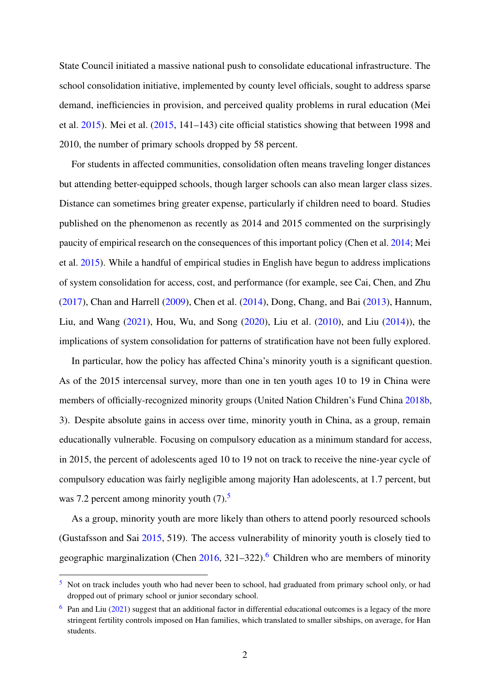State Council initiated a massive national push to consolidate educational infrastructure. The school consolidation initiative, implemented by county level officials, sought to address sparse demand, inefficiencies in provision, and perceived quality problems in rural education (Mei et al. [2015\)](#page-39-1). Mei et al. [\(2015,](#page-39-1) 141–143) cite official statistics showing that between 1998 and 2010, the number of primary schools dropped by 58 percent.

For students in affected communities, consolidation often means traveling longer distances but attending better-equipped schools, though larger schools can also mean larger class sizes. Distance can sometimes bring greater expense, particularly if children need to board. Studies published on the phenomenon as recently as 2014 and 2015 commented on the surprisingly paucity of empirical research on the consequences of this important policy (Chen et al. [2014;](#page-36-1) Mei et al. [2015\)](#page-39-1). While a handful of empirical studies in English have begun to address implications of system consolidation for access, cost, and performance (for example, see Cai, Chen, and Zhu [\(2017\)](#page-36-2), Chan and Harrell [\(2009\)](#page-36-3), Chen et al. [\(2014\)](#page-36-1), Dong, Chang, and Bai [\(2013\)](#page-37-1), Hannum, Liu, and Wang [\(2021\)](#page-38-1), Hou, Wu, and Song [\(2020\)](#page-38-2), Liu et al. [\(2010\)](#page-39-2), and Liu [\(2014\)](#page-39-3)), the implications of system consolidation for patterns of stratification have not been fully explored.

In particular, how the policy has affected China's minority youth is a significant question. As of the 2015 intercensal survey, more than one in ten youth ages 10 to 19 in China were members of officially-recognized minority groups (United Nation Children's Fund China [2018b,](#page-41-2) 3). Despite absolute gains in access over time, minority youth in China, as a group, remain educationally vulnerable. Focusing on compulsory education as a minimum standard for access, in 2015, the percent of adolescents aged 10 to 19 not on track to receive the nine-year cycle of compulsory education was fairly negligible among majority Han adolescents, at 1.7 percent, but was 7.2 percent among minority youth  $(7)$ .<sup>[5](#page-5-0)</sup>

<span id="page-5-3"></span><span id="page-5-2"></span>As a group, minority youth are more likely than others to attend poorly resourced schools (Gustafsson and Sai [2015,](#page-38-3) 519). The access vulnerability of minority youth is closely tied to geographic marginalization (Chen  $2016$  $2016$ ,  $321-322$ ).<sup>6</sup> Children who are members of minority

<span id="page-5-0"></span><sup>&</sup>lt;sup>[5](#page-5-2)</sup> Not on track includes youth who had never been to school, had graduated from primary school only, or had dropped out of primary school or junior secondary school.

<span id="page-5-1"></span> $6$  Pan and Liu [\(2021\)](#page-40-3) suggest that an additional factor in differential educational outcomes is a legacy of the more stringent fertility controls imposed on Han families, which translated to smaller sibships, on average, for Han students.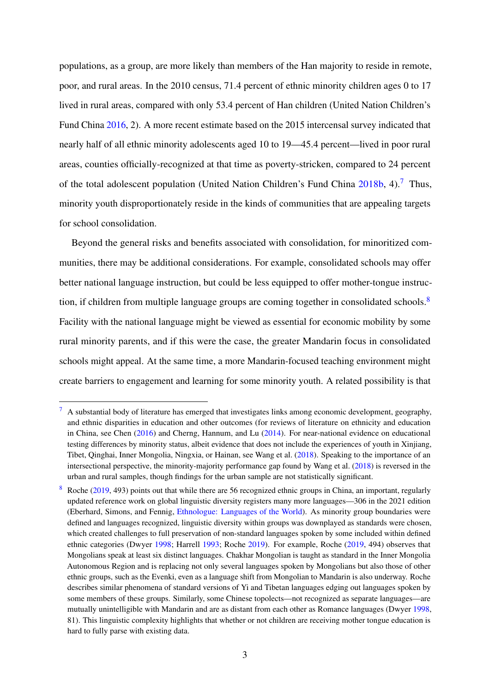populations, as a group, are more likely than members of the Han majority to reside in remote, poor, and rural areas. In the 2010 census, 71.4 percent of ethnic minority children ages 0 to 17 lived in rural areas, compared with only 53.4 percent of Han children (United Nation Children's Fund China [2016,](#page-41-3) 2). A more recent estimate based on the 2015 intercensal survey indicated that nearly half of all ethnic minority adolescents aged 10 to 19—45.4 percent—lived in poor rural areas, counties officially-recognized at that time as poverty-stricken, compared to 24 percent of the total adolescent population (United Nation Children's Fund China  $2018b$ , 4).<sup>[7](#page-6-0)</sup> Thus, minority youth disproportionately reside in the kinds of communities that are appealing targets for school consolidation.

<span id="page-6-3"></span><span id="page-6-2"></span>Beyond the general risks and benefits associated with consolidation, for minoritized communities, there may be additional considerations. For example, consolidated schools may offer better national language instruction, but could be less equipped to offer mother-tongue instruc-tion, if children from multiple language groups are coming together in consolidated schools.<sup>[8](#page-6-1)</sup> Facility with the national language might be viewed as essential for economic mobility by some rural minority parents, and if this were the case, the greater Mandarin focus in consolidated schools might appeal. At the same time, a more Mandarin-focused teaching environment might create barriers to engagement and learning for some minority youth. A related possibility is that

<span id="page-6-0"></span>[<sup>7</sup>](#page-6-2) A substantial body of literature has emerged that investigates links among economic development, geography, and ethnic disparities in education and other outcomes (for reviews of literature on ethnicity and education in China, see Chen [\(2016\)](#page-36-4) and Cherng, Hannum, and Lu [\(2014\)](#page-36-5). For near-national evidence on educational testing differences by minority status, albeit evidence that does not include the experiences of youth in Xinjiang, Tibet, Qinghai, Inner Mongolia, Ningxia, or Hainan, see Wang et al. [\(2018\)](#page-41-4). Speaking to the importance of an intersectional perspective, the minority-majority performance gap found by Wang et al. [\(2018\)](#page-41-4) is reversed in the urban and rural samples, though findings for the urban sample are not statistically significant.

<span id="page-6-1"></span>[<sup>8</sup>](#page-6-3) Roche [\(2019,](#page-40-4) 493) points out that while there are 56 recognized ethnic groups in China, an important, regularly updated reference work on global linguistic diversity registers many more languages—306 in the 2021 edition (Eberhard, Simons, and Fennig, [Ethnologue: Languages of the World\)](#page-37-2). As minority group boundaries were defined and languages recognized, linguistic diversity within groups was downplayed as standards were chosen, which created challenges to full preservation of non-standard languages spoken by some included within defined ethnic categories (Dwyer [1998;](#page-37-3) Harrell [1993;](#page-38-4) Roche [2019\)](#page-40-4). For example, Roche [\(2019,](#page-40-4) 494) observes that Mongolians speak at least six distinct languages. Chakhar Mongolian is taught as standard in the Inner Mongolia Autonomous Region and is replacing not only several languages spoken by Mongolians but also those of other ethnic groups, such as the Evenki, even as a language shift from Mongolian to Mandarin is also underway. Roche describes similar phenomena of standard versions of Yi and Tibetan languages edging out languages spoken by some members of these groups. Similarly, some Chinese topolects—not recognized as separate languages—are mutually unintelligible with Mandarin and are as distant from each other as Romance languages (Dwyer [1998,](#page-37-3) 81). This linguistic complexity highlights that whether or not children are receiving mother tongue education is hard to fully parse with existing data.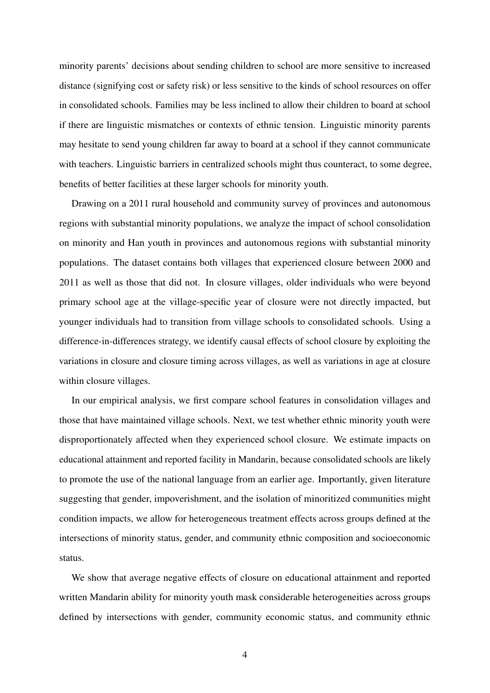minority parents' decisions about sending children to school are more sensitive to increased distance (signifying cost or safety risk) or less sensitive to the kinds of school resources on offer in consolidated schools. Families may be less inclined to allow their children to board at school if there are linguistic mismatches or contexts of ethnic tension. Linguistic minority parents may hesitate to send young children far away to board at a school if they cannot communicate with teachers. Linguistic barriers in centralized schools might thus counteract, to some degree, benefits of better facilities at these larger schools for minority youth.

Drawing on a 2011 rural household and community survey of provinces and autonomous regions with substantial minority populations, we analyze the impact of school consolidation on minority and Han youth in provinces and autonomous regions with substantial minority populations. The dataset contains both villages that experienced closure between 2000 and 2011 as well as those that did not. In closure villages, older individuals who were beyond primary school age at the village-specific year of closure were not directly impacted, but younger individuals had to transition from village schools to consolidated schools. Using a difference-in-differences strategy, we identify causal effects of school closure by exploiting the variations in closure and closure timing across villages, as well as variations in age at closure within closure villages.

In our empirical analysis, we first compare school features in consolidation villages and those that have maintained village schools. Next, we test whether ethnic minority youth were disproportionately affected when they experienced school closure. We estimate impacts on educational attainment and reported facility in Mandarin, because consolidated schools are likely to promote the use of the national language from an earlier age. Importantly, given literature suggesting that gender, impoverishment, and the isolation of minoritized communities might condition impacts, we allow for heterogeneous treatment effects across groups defined at the intersections of minority status, gender, and community ethnic composition and socioeconomic status.

We show that average negative effects of closure on educational attainment and reported written Mandarin ability for minority youth mask considerable heterogeneities across groups defined by intersections with gender, community economic status, and community ethnic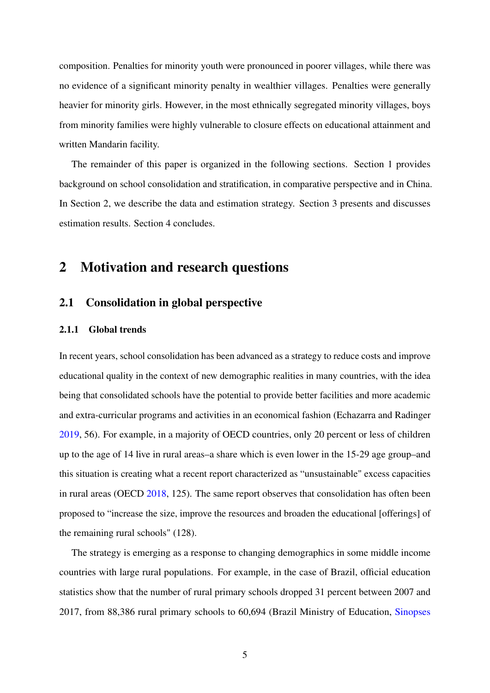composition. Penalties for minority youth were pronounced in poorer villages, while there was no evidence of a significant minority penalty in wealthier villages. Penalties were generally heavier for minority girls. However, in the most ethnically segregated minority villages, boys from minority families were highly vulnerable to closure effects on educational attainment and written Mandarin facility.

The remainder of this paper is organized in the following sections. Section 1 provides background on school consolidation and stratification, in comparative perspective and in China. In Section 2, we describe the data and estimation strategy. Section 3 presents and discusses estimation results. Section 4 concludes.

## 2 Motivation and research questions

## 2.1 Consolidation in global perspective

### 2.1.1 Global trends

In recent years, school consolidation has been advanced as a strategy to reduce costs and improve educational quality in the context of new demographic realities in many countries, with the idea being that consolidated schools have the potential to provide better facilities and more academic and extra-curricular programs and activities in an economical fashion (Echazarra and Radinger [2019,](#page-37-0) 56). For example, in a majority of OECD countries, only 20 percent or less of children up to the age of 14 live in rural areas–a share which is even lower in the 15-29 age group–and this situation is creating what a recent report characterized as "unsustainable" excess capacities in rural areas (OECD [2018,](#page-40-0) 125). The same report observes that consolidation has often been proposed to "increase the size, improve the resources and broaden the educational [offerings] of the remaining rural schools" (128).

The strategy is emerging as a response to changing demographics in some middle income countries with large rural populations. For example, in the case of Brazil, official education statistics show that the number of rural primary schools dropped 31 percent between 2007 and 2017, from 88,386 rural primary schools to 60,694 (Brazil Ministry of Education, [Sinopses](#page-36-6)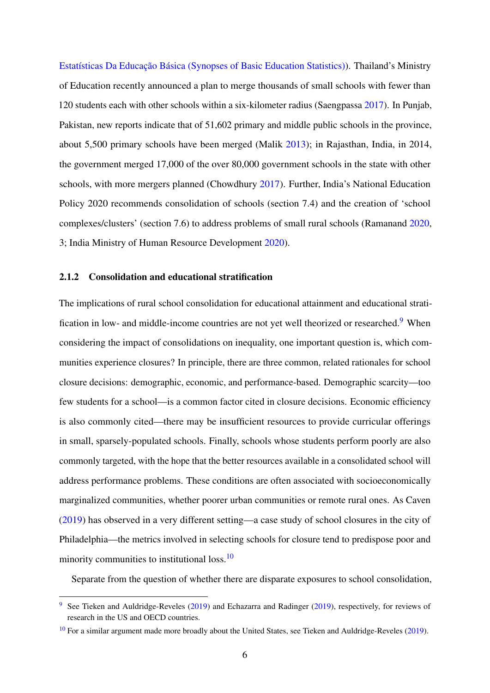[Estatísticas Da Educação Básica \(Synopses of Basic Education Statistics\)\)](#page-36-6). Thailand's Ministry of Education recently announced a plan to merge thousands of small schools with fewer than 120 students each with other schools within a six-kilometer radius (Saengpassa [2017\)](#page-40-1). In Punjab, Pakistan, new reports indicate that of 51,602 primary and middle public schools in the province, about 5,500 primary schools have been merged (Malik [2013\)](#page-39-0); in Rajasthan, India, in 2014, the government merged 17,000 of the over 80,000 government schools in the state with other schools, with more mergers planned (Chowdhury [2017\)](#page-36-0). Further, India's National Education Policy 2020 recommends consolidation of schools (section 7.4) and the creation of 'school complexes/clusters' (section 7.6) to address problems of small rural schools (Ramanand [2020,](#page-40-5) 3; India Ministry of Human Resource Development [2020\)](#page-38-5).

#### 2.1.2 Consolidation and educational stratification

<span id="page-9-2"></span>The implications of rural school consolidation for educational attainment and educational strati-fication in low- and middle-income countries are not yet well theorized or researched.<sup>[9](#page-9-0)</sup> When considering the impact of consolidations on inequality, one important question is, which communities experience closures? In principle, there are three common, related rationales for school closure decisions: demographic, economic, and performance-based. Demographic scarcity—too few students for a school—is a common factor cited in closure decisions. Economic efficiency is also commonly cited—there may be insufficient resources to provide curricular offerings in small, sparsely-populated schools. Finally, schools whose students perform poorly are also commonly targeted, with the hope that the better resources available in a consolidated school will address performance problems. These conditions are often associated with socioeconomically marginalized communities, whether poorer urban communities or remote rural ones. As Caven [\(2019\)](#page-36-7) has observed in a very different setting—a case study of school closures in the city of Philadelphia—the metrics involved in selecting schools for closure tend to predispose poor and minority communities to institutional loss.<sup>[10](#page-9-1)</sup>

<span id="page-9-3"></span>Separate from the question of whether there are disparate exposures to school consolidation,

<span id="page-9-0"></span><sup>&</sup>lt;sup>[9](#page-9-2)</sup> See Tieken and Auldridge-Reveles [\(2019\)](#page-37-0) and Echazarra and Radinger (2019), respectively, for reviews of research in the US and OECD countries.

<span id="page-9-1"></span><sup>&</sup>lt;sup>[10](#page-9-3)</sup> For a similar argument made more broadly about the United States, see Tieken and Auldridge-Reveles [\(2019\)](#page-41-1).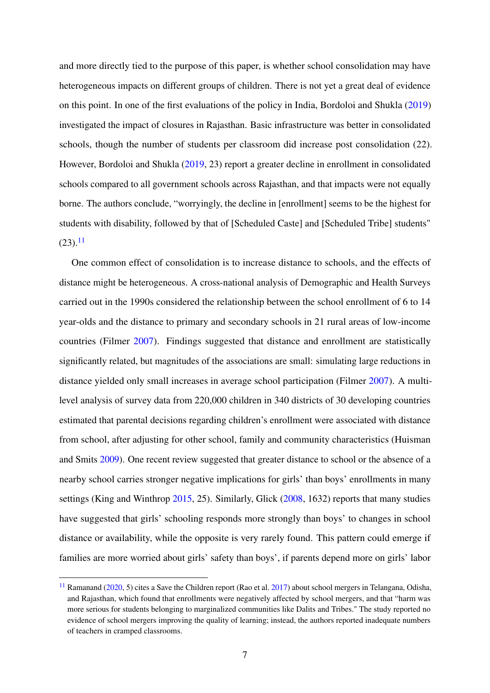and more directly tied to the purpose of this paper, is whether school consolidation may have heterogeneous impacts on different groups of children. There is not yet a great deal of evidence on this point. In one of the first evaluations of the policy in India, Bordoloi and Shukla [\(2019\)](#page-36-8) investigated the impact of closures in Rajasthan. Basic infrastructure was better in consolidated schools, though the number of students per classroom did increase post consolidation (22). However, Bordoloi and Shukla [\(2019,](#page-36-8) 23) report a greater decline in enrollment in consolidated schools compared to all government schools across Rajasthan, and that impacts were not equally borne. The authors conclude, "worryingly, the decline in [enrollment] seems to be the highest for students with disability, followed by that of [Scheduled Caste] and [Scheduled Tribe] students"  $(23).<sup>11</sup>$  $(23).<sup>11</sup>$  $(23).<sup>11</sup>$ 

<span id="page-10-1"></span>One common effect of consolidation is to increase distance to schools, and the effects of distance might be heterogeneous. A cross-national analysis of Demographic and Health Surveys carried out in the 1990s considered the relationship between the school enrollment of 6 to 14 year-olds and the distance to primary and secondary schools in 21 rural areas of low-income countries (Filmer [2007\)](#page-37-4). Findings suggested that distance and enrollment are statistically significantly related, but magnitudes of the associations are small: simulating large reductions in distance yielded only small increases in average school participation (Filmer [2007\)](#page-37-4). A multilevel analysis of survey data from 220,000 children in 340 districts of 30 developing countries estimated that parental decisions regarding children's enrollment were associated with distance from school, after adjusting for other school, family and community characteristics (Huisman and Smits [2009\)](#page-38-6). One recent review suggested that greater distance to school or the absence of a nearby school carries stronger negative implications for girls' than boys' enrollments in many settings (King and Winthrop [2015,](#page-39-4) 25). Similarly, Glick [\(2008,](#page-37-5) 1632) reports that many studies have suggested that girls' schooling responds more strongly than boys' to changes in school distance or availability, while the opposite is very rarely found. This pattern could emerge if families are more worried about girls' safety than boys', if parents depend more on girls' labor

<span id="page-10-0"></span> $11$  Ramanand [\(2020,](#page-40-5) 5) cites a Save the Children report (Rao et al. [2017\)](#page-40-6) about school mergers in Telangana, Odisha, and Rajasthan, which found that enrollments were negatively affected by school mergers, and that "harm was more serious for students belonging to marginalized communities like Dalits and Tribes." The study reported no evidence of school mergers improving the quality of learning; instead, the authors reported inadequate numbers of teachers in cramped classrooms.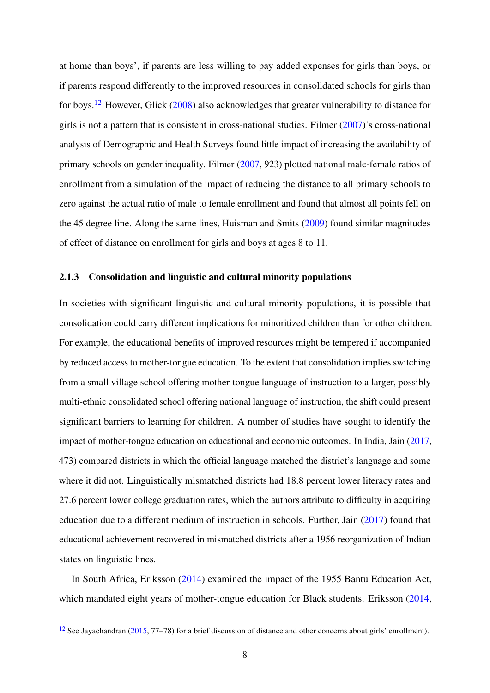<span id="page-11-1"></span>at home than boys', if parents are less willing to pay added expenses for girls than boys, or if parents respond differently to the improved resources in consolidated schools for girls than for boys.[12](#page-11-0) However, Glick [\(2008\)](#page-37-5) also acknowledges that greater vulnerability to distance for girls is not a pattern that is consistent in cross-national studies. Filmer [\(2007\)](#page-37-4)'s cross-national analysis of Demographic and Health Surveys found little impact of increasing the availability of primary schools on gender inequality. Filmer [\(2007,](#page-37-4) 923) plotted national male-female ratios of enrollment from a simulation of the impact of reducing the distance to all primary schools to zero against the actual ratio of male to female enrollment and found that almost all points fell on the 45 degree line. Along the same lines, Huisman and Smits [\(2009\)](#page-38-6) found similar magnitudes of effect of distance on enrollment for girls and boys at ages 8 to 11.

### 2.1.3 Consolidation and linguistic and cultural minority populations

In societies with significant linguistic and cultural minority populations, it is possible that consolidation could carry different implications for minoritized children than for other children. For example, the educational benefits of improved resources might be tempered if accompanied by reduced access to mother-tongue education. To the extent that consolidation implies switching from a small village school offering mother-tongue language of instruction to a larger, possibly multi-ethnic consolidated school offering national language of instruction, the shift could present significant barriers to learning for children. A number of studies have sought to identify the impact of mother-tongue education on educational and economic outcomes. In India, Jain [\(2017,](#page-38-7) 473) compared districts in which the official language matched the district's language and some where it did not. Linguistically mismatched districts had 18.8 percent lower literacy rates and 27.6 percent lower college graduation rates, which the authors attribute to difficulty in acquiring education due to a different medium of instruction in schools. Further, Jain [\(2017\)](#page-38-7) found that educational achievement recovered in mismatched districts after a 1956 reorganization of Indian states on linguistic lines.

In South Africa, Eriksson [\(2014\)](#page-37-6) examined the impact of the 1955 Bantu Education Act, which mandated eight years of mother-tongue education for Black students. Eriksson [\(2014,](#page-37-6)

<span id="page-11-0"></span><sup>&</sup>lt;sup>[12](#page-11-1)</sup> See Jayachandran [\(2015,](#page-39-5) 77–78) for a brief discussion of distance and other concerns about girls' enrollment).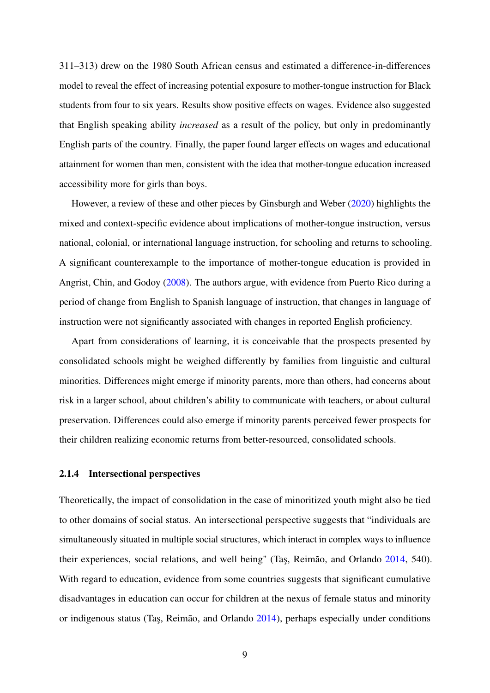311–313) drew on the 1980 South African census and estimated a difference-in-differences model to reveal the effect of increasing potential exposure to mother-tongue instruction for Black students from four to six years. Results show positive effects on wages. Evidence also suggested that English speaking ability *increased* as a result of the policy, but only in predominantly English parts of the country. Finally, the paper found larger effects on wages and educational attainment for women than men, consistent with the idea that mother-tongue education increased accessibility more for girls than boys.

However, a review of these and other pieces by Ginsburgh and Weber [\(2020\)](#page-37-7) highlights the mixed and context-specific evidence about implications of mother-tongue instruction, versus national, colonial, or international language instruction, for schooling and returns to schooling. A significant counterexample to the importance of mother-tongue education is provided in Angrist, Chin, and Godoy [\(2008\)](#page-36-9). The authors argue, with evidence from Puerto Rico during a period of change from English to Spanish language of instruction, that changes in language of instruction were not significantly associated with changes in reported English proficiency.

Apart from considerations of learning, it is conceivable that the prospects presented by consolidated schools might be weighed differently by families from linguistic and cultural minorities. Differences might emerge if minority parents, more than others, had concerns about risk in a larger school, about children's ability to communicate with teachers, or about cultural preservation. Differences could also emerge if minority parents perceived fewer prospects for their children realizing economic returns from better-resourced, consolidated schools.

#### 2.1.4 Intersectional perspectives

Theoretically, the impact of consolidation in the case of minoritized youth might also be tied to other domains of social status. An intersectional perspective suggests that "individuals are simultaneously situated in multiple social structures, which interact in complex ways to influence their experiences, social relations, and well being" (Taş, Reimão, and Orlando [2014,](#page-41-5) 540). With regard to education, evidence from some countries suggests that significant cumulative disadvantages in education can occur for children at the nexus of female status and minority or indigenous status (Taş, Reimão, and Orlando [2014\)](#page-41-5), perhaps especially under conditions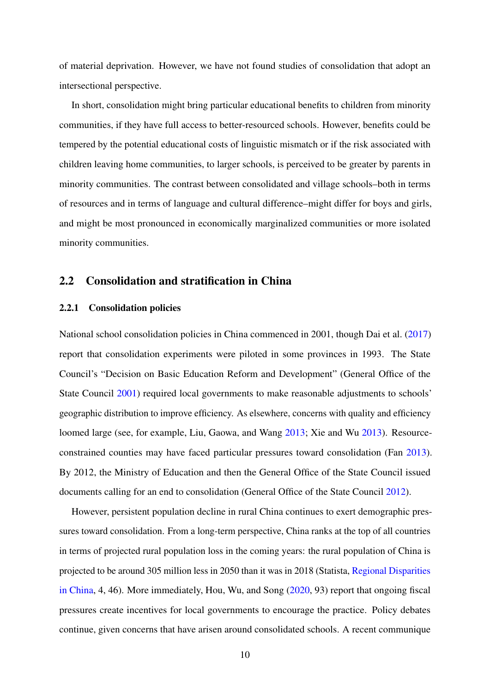of material deprivation. However, we have not found studies of consolidation that adopt an intersectional perspective.

In short, consolidation might bring particular educational benefits to children from minority communities, if they have full access to better-resourced schools. However, benefits could be tempered by the potential educational costs of linguistic mismatch or if the risk associated with children leaving home communities, to larger schools, is perceived to be greater by parents in minority communities. The contrast between consolidated and village schools–both in terms of resources and in terms of language and cultural difference–might differ for boys and girls, and might be most pronounced in economically marginalized communities or more isolated minority communities.

## 2.2 Consolidation and stratification in China

#### 2.2.1 Consolidation policies

National school consolidation policies in China commenced in 2001, though Dai et al. [\(2017\)](#page-37-8) report that consolidation experiments were piloted in some provinces in 1993. The State Council's "Decision on Basic Education Reform and Development" (General Office of the State Council [2001\)](#page-37-9) required local governments to make reasonable adjustments to schools' geographic distribution to improve efficiency. As elsewhere, concerns with quality and efficiency loomed large (see, for example, Liu, Gaowa, and Wang [2013;](#page-39-6) Xie and Wu [2013\)](#page-41-6). Resourceconstrained counties may have faced particular pressures toward consolidation (Fan [2013\)](#page-37-10). By 2012, the Ministry of Education and then the General Office of the State Council issued documents calling for an end to consolidation (General Office of the State Council [2012\)](#page-37-11).

However, persistent population decline in rural China continues to exert demographic pressures toward consolidation. From a long-term perspective, China ranks at the top of all countries in terms of projected rural population loss in the coming years: the rural population of China is projected to be around 305 million less in 2050 than it was in 2018 (Statista, [Regional Disparities](#page-40-2) [in China,](#page-40-2) 4, 46). More immediately, Hou, Wu, and Song [\(2020,](#page-38-2) 93) report that ongoing fiscal pressures create incentives for local governments to encourage the practice. Policy debates continue, given concerns that have arisen around consolidated schools. A recent communique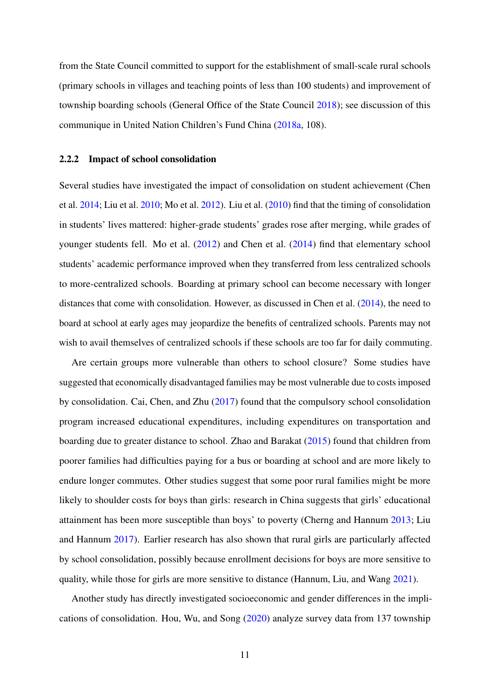from the State Council committed to support for the establishment of small-scale rural schools (primary schools in villages and teaching points of less than 100 students) and improvement of township boarding schools (General Office of the State Council [2018\)](#page-37-12); see discussion of this communique in United Nation Children's Fund China [\(2018a,](#page-41-7) 108).

#### 2.2.2 Impact of school consolidation

Several studies have investigated the impact of consolidation on student achievement (Chen et al. [2014;](#page-36-1) Liu et al. [2010;](#page-39-2) Mo et al. [2012\)](#page-40-7). Liu et al. [\(2010\)](#page-39-2) find that the timing of consolidation in students' lives mattered: higher-grade students' grades rose after merging, while grades of younger students fell. Mo et al. [\(2012\)](#page-40-7) and Chen et al. [\(2014\)](#page-36-1) find that elementary school students' academic performance improved when they transferred from less centralized schools to more-centralized schools. Boarding at primary school can become necessary with longer distances that come with consolidation. However, as discussed in Chen et al. [\(2014\)](#page-36-1), the need to board at school at early ages may jeopardize the benefits of centralized schools. Parents may not wish to avail themselves of centralized schools if these schools are too far for daily commuting.

Are certain groups more vulnerable than others to school closure? Some studies have suggested that economically disadvantaged families may be most vulnerable due to costs imposed by consolidation. Cai, Chen, and Zhu [\(2017\)](#page-36-2) found that the compulsory school consolidation program increased educational expenditures, including expenditures on transportation and boarding due to greater distance to school. Zhao and Barakat [\(2015\)](#page-41-8) found that children from poorer families had difficulties paying for a bus or boarding at school and are more likely to endure longer commutes. Other studies suggest that some poor rural families might be more likely to shoulder costs for boys than girls: research in China suggests that girls' educational attainment has been more susceptible than boys' to poverty (Cherng and Hannum [2013;](#page-36-10) Liu and Hannum [2017\)](#page-39-7). Earlier research has also shown that rural girls are particularly affected by school consolidation, possibly because enrollment decisions for boys are more sensitive to quality, while those for girls are more sensitive to distance (Hannum, Liu, and Wang [2021\)](#page-38-1).

Another study has directly investigated socioeconomic and gender differences in the implications of consolidation. Hou, Wu, and Song [\(2020\)](#page-38-2) analyze survey data from 137 township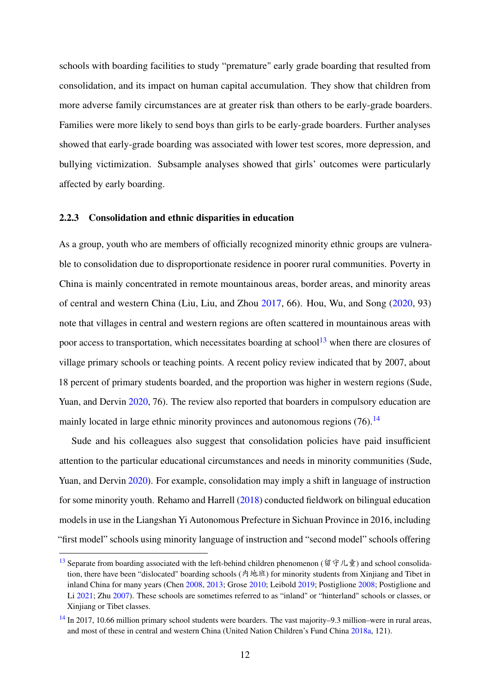schools with boarding facilities to study "premature" early grade boarding that resulted from consolidation, and its impact on human capital accumulation. They show that children from more adverse family circumstances are at greater risk than others to be early-grade boarders. Families were more likely to send boys than girls to be early-grade boarders. Further analyses showed that early-grade boarding was associated with lower test scores, more depression, and bullying victimization. Subsample analyses showed that girls' outcomes were particularly affected by early boarding.

#### 2.2.3 Consolidation and ethnic disparities in education

<span id="page-15-2"></span>As a group, youth who are members of officially recognized minority ethnic groups are vulnerable to consolidation due to disproportionate residence in poorer rural communities. Poverty in China is mainly concentrated in remote mountainous areas, border areas, and minority areas of central and western China (Liu, Liu, and Zhou [2017,](#page-39-8) 66). Hou, Wu, and Song [\(2020,](#page-38-2) 93) note that villages in central and western regions are often scattered in mountainous areas with poor access to transportation, which necessitates boarding at school<sup>[13](#page-15-0)</sup> when there are closures of village primary schools or teaching points. A recent policy review indicated that by 2007, about 18 percent of primary students boarded, and the proportion was higher in western regions (Sude, Yuan, and Dervin [2020,](#page-40-8) 76). The review also reported that boarders in compulsory education are mainly located in large ethnic minority provinces and autonomous regions  $(76)$ .<sup>[14](#page-15-1)</sup>

<span id="page-15-3"></span>Sude and his colleagues also suggest that consolidation policies have paid insufficient attention to the particular educational circumstances and needs in minority communities (Sude, Yuan, and Dervin [2020\)](#page-40-8). For example, consolidation may imply a shift in language of instruction for some minority youth. Rehamo and Harrell [\(2018\)](#page-40-9) conducted fieldwork on bilingual education models in use in the Liangshan Yi Autonomous Prefecture in Sichuan Province in 2016, including "first model" schools using minority language of instruction and "second model" schools offering

<span id="page-15-0"></span><sup>&</sup>lt;sup>[13](#page-15-2)</sup> Separate from boarding associated with the left-behind children phenomenon (留守儿童) and school consolidation, there have been "dislocated" boarding schools (內地班) for minority students from Xinjiang and Tibet in inland China for many years (Chen [2008,](#page-36-11) [2013;](#page-36-12) Grose [2010;](#page-37-13) Leibold [2019;](#page-39-9) Postiglione [2008;](#page-40-10) Postiglione and Li [2021;](#page-40-11) Zhu [2007\)](#page-41-9). These schools are sometimes referred to as "inland" or "hinterland" schools or classes, or Xinjiang or Tibet classes.

<span id="page-15-1"></span>[<sup>14</sup>](#page-15-3) In 2017, 10.66 million primary school students were boarders. The vast majority–9.3 million–were in rural areas, and most of these in central and western China (United Nation Children's Fund China [2018a,](#page-41-7) 121).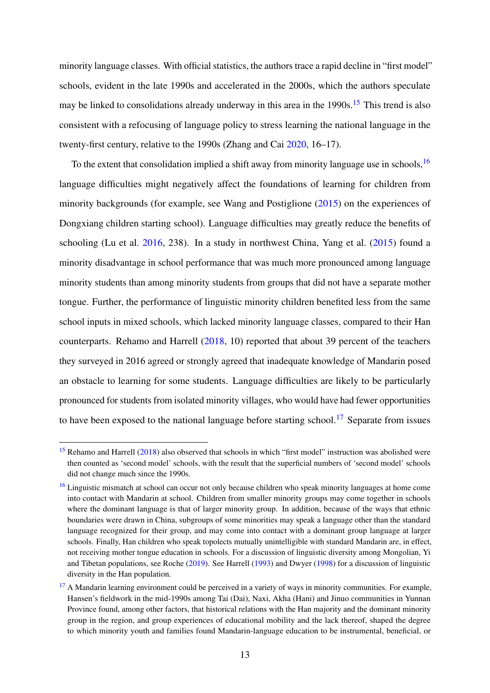<span id="page-16-3"></span>minority language classes. With official statistics, the authors trace a rapid decline in "first model" schools, evident in the late 1990s and accelerated in the 2000s, which the authors speculate may be linked to consolidations already underway in this area in the  $1990s$ .<sup>[15](#page-16-0)</sup> This trend is also consistent with a refocusing of language policy to stress learning the national language in the twenty-first century, relative to the 1990s (Zhang and Cai [2020,](#page-41-10) 16–17).

<span id="page-16-4"></span>To the extent that consolidation implied a shift away from minority language use in schools,  $^{16}$  $^{16}$  $^{16}$ language difficulties might negatively affect the foundations of learning for children from minority backgrounds (for example, see Wang and Postiglione [\(2015\)](#page-41-11) on the experiences of Dongxiang children starting school). Language difficulties may greatly reduce the benefits of schooling (Lu et al. [2016,](#page-39-10) 238). In a study in northwest China, Yang et al. [\(2015\)](#page-41-12) found a minority disadvantage in school performance that was much more pronounced among language minority students than among minority students from groups that did not have a separate mother tongue. Further, the performance of linguistic minority children benefited less from the same school inputs in mixed schools, which lacked minority language classes, compared to their Han counterparts. Rehamo and Harrell [\(2018,](#page-40-9) 10) reported that about 39 percent of the teachers they surveyed in 2016 agreed or strongly agreed that inadequate knowledge of Mandarin posed an obstacle to learning for some students. Language difficulties are likely to be particularly pronounced for students from isolated minority villages, who would have had fewer opportunities to have been exposed to the national language before starting school.<sup>[17](#page-16-2)</sup> Separate from issues

<span id="page-16-5"></span><span id="page-16-0"></span><sup>&</sup>lt;sup>[15](#page-16-3)</sup> Rehamo and Harrell [\(2018\)](#page-40-9) also observed that schools in which "first model" instruction was abolished were then counted as 'second model' schools, with the result that the superficial numbers of 'second model' schools did not change much since the 1990s.

<span id="page-16-1"></span><sup>&</sup>lt;sup>[16](#page-16-4)</sup> Linguistic mismatch at school can occur not only because children who speak minority languages at home come into contact with Mandarin at school. Children from smaller minority groups may come together in schools where the dominant language is that of larger minority group. In addition, because of the ways that ethnic boundaries were drawn in China, subgroups of some minorities may speak a language other than the standard language recognized for their group, and may come into contact with a dominant group language at larger schools. Finally, Han children who speak topolects mutually unintelligible with standard Mandarin are, in effect, not receiving mother tongue education in schools. For a discussion of linguistic diversity among Mongolian, Yi and Tibetan populations, see Roche [\(2019\)](#page-40-4). See Harrell [\(1993\)](#page-38-4) and Dwyer [\(1998\)](#page-37-3) for a discussion of linguistic diversity in the Han population.

<span id="page-16-2"></span> $17$  A Mandarin learning environment could be perceived in a variety of ways in minority communities. For example, Hansen's fieldwork in the mid-1990s among Tai (Dai), Naxi, Akha (Hani) and Jinuo communities in Yunnan Province found, among other factors, that historical relations with the Han majority and the dominant minority group in the region, and group experiences of educational mobility and the lack thereof, shaped the degree to which minority youth and families found Mandarin-language education to be instrumental, beneficial, or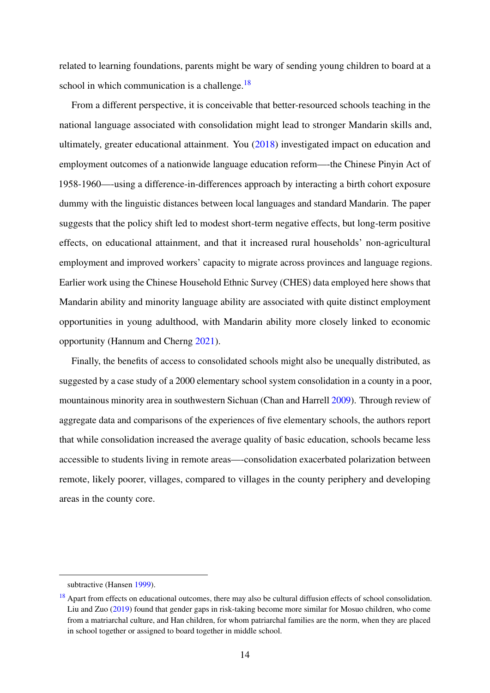<span id="page-17-1"></span>related to learning foundations, parents might be wary of sending young children to board at a school in which communication is a challenge. $18$ 

From a different perspective, it is conceivable that better-resourced schools teaching in the national language associated with consolidation might lead to stronger Mandarin skills and, ultimately, greater educational attainment. You [\(2018\)](#page-41-13) investigated impact on education and employment outcomes of a nationwide language education reform—-the Chinese Pinyin Act of 1958-1960—-using a difference-in-differences approach by interacting a birth cohort exposure dummy with the linguistic distances between local languages and standard Mandarin. The paper suggests that the policy shift led to modest short-term negative effects, but long-term positive effects, on educational attainment, and that it increased rural households' non-agricultural employment and improved workers' capacity to migrate across provinces and language regions. Earlier work using the Chinese Household Ethnic Survey (CHES) data employed here shows that Mandarin ability and minority language ability are associated with quite distinct employment opportunities in young adulthood, with Mandarin ability more closely linked to economic opportunity (Hannum and Cherng [2021\)](#page-38-8).

Finally, the benefits of access to consolidated schools might also be unequally distributed, as suggested by a case study of a 2000 elementary school system consolidation in a county in a poor, mountainous minority area in southwestern Sichuan (Chan and Harrell [2009\)](#page-36-3). Through review of aggregate data and comparisons of the experiences of five elementary schools, the authors report that while consolidation increased the average quality of basic education, schools became less accessible to students living in remote areas—-consolidation exacerbated polarization between remote, likely poorer, villages, compared to villages in the county periphery and developing areas in the county core.

subtractive (Hansen [1999\)](#page-38-9).

<span id="page-17-0"></span><sup>&</sup>lt;sup>[18](#page-17-1)</sup> Apart from effects on educational outcomes, there may also be cultural diffusion effects of school consolidation. Liu and Zuo [\(2019\)](#page-39-11) found that gender gaps in risk-taking become more similar for Mosuo children, who come from a matriarchal culture, and Han children, for whom patriarchal families are the norm, when they are placed in school together or assigned to board together in middle school.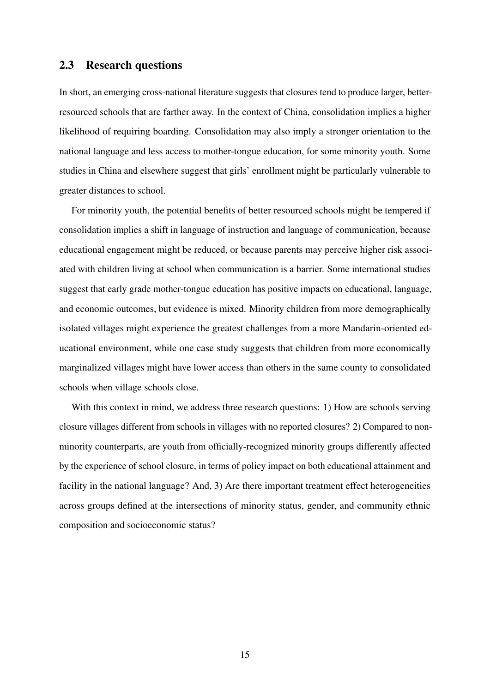### 2.3 Research questions

In short, an emerging cross-national literature suggests that closures tend to produce larger, betterresourced schools that are farther away. In the context of China, consolidation implies a higher likelihood of requiring boarding. Consolidation may also imply a stronger orientation to the national language and less access to mother-tongue education, for some minority youth. Some studies in China and elsewhere suggest that girls' enrollment might be particularly vulnerable to greater distances to school.

For minority youth, the potential benefits of better resourced schools might be tempered if consolidation implies a shift in language of instruction and language of communication, because educational engagement might be reduced, or because parents may perceive higher risk associated with children living at school when communication is a barrier. Some international studies suggest that early grade mother-tongue education has positive impacts on educational, language, and economic outcomes, but evidence is mixed. Minority children from more demographically isolated villages might experience the greatest challenges from a more Mandarin-oriented educational environment, while one case study suggests that children from more economically marginalized villages might have lower access than others in the same county to consolidated schools when village schools close.

With this context in mind, we address three research questions: 1) How are schools serving closure villages different from schools in villages with no reported closures? 2) Compared to nonminority counterparts, are youth from officially-recognized minority groups differently affected by the experience of school closure, in terms of policy impact on both educational attainment and facility in the national language? And, 3) Are there important treatment effect heterogeneities across groups defined at the intersections of minority status, gender, and community ethnic composition and socioeconomic status?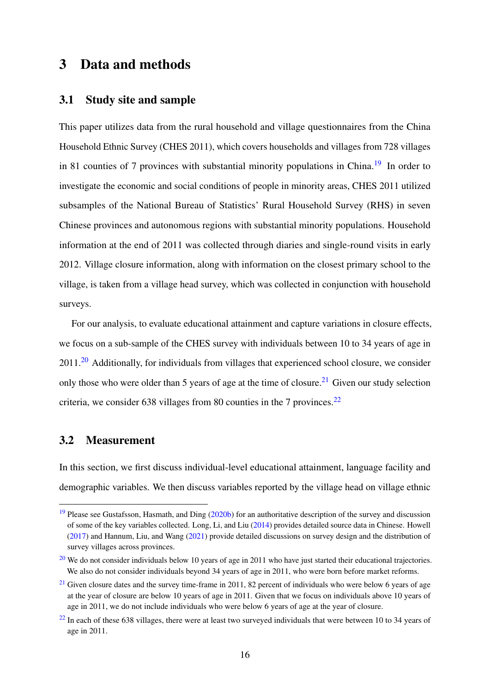## 3 Data and methods

## <span id="page-19-8"></span>3.1 Study site and sample

<span id="page-19-4"></span>This paper utilizes data from the rural household and village questionnaires from the China Household Ethnic Survey (CHES 2011), which covers households and villages from 728 villages in 81 counties of 7 provinces with substantial minority populations in China.<sup>[19](#page-19-0)</sup> In order to investigate the economic and social conditions of people in minority areas, CHES 2011 utilized subsamples of the National Bureau of Statistics' Rural Household Survey (RHS) in seven Chinese provinces and autonomous regions with substantial minority populations. Household information at the end of 2011 was collected through diaries and single-round visits in early 2012. Village closure information, along with information on the closest primary school to the village, is taken from a village head survey, which was collected in conjunction with household surveys.

<span id="page-19-6"></span><span id="page-19-5"></span>For our analysis, to evaluate educational attainment and capture variations in closure effects, we focus on a sub-sample of the CHES survey with individuals between 10 to 34 years of age in  $2011.<sup>20</sup>$  $2011.<sup>20</sup>$  Additionally, for individuals from villages that experienced school closure, we consider only those who were older than 5 years of age at the time of closure.<sup>[21](#page-19-2)</sup> Given our study selection criteria, we consider 638 villages from 80 counties in the 7 provinces.<sup>[22](#page-19-3)</sup>

## <span id="page-19-9"></span><span id="page-19-7"></span>3.2 Measurement

In this section, we first discuss individual-level educational attainment, language facility and demographic variables. We then discuss variables reported by the village head on village ethnic

<span id="page-19-0"></span> $19$  Please see Gustafsson, Hasmath, and Ding [\(2020b\)](#page-38-10) for an authoritative description of the survey and discussion of some of the key variables collected. Long, Li, and Liu [\(2014\)](#page-39-12) provides detailed source data in Chinese. Howell [\(2017\)](#page-38-11) and Hannum, Liu, and Wang [\(2021\)](#page-38-1) provide detailed discussions on survey design and the distribution of survey villages across provinces.

<span id="page-19-1"></span><sup>&</sup>lt;sup>[20](#page-19-5)</sup> We do not consider individuals below 10 years of age in 2011 who have just started their educational trajectories. We also do not consider individuals beyond 34 years of age in 2011, who were born before market reforms.

<span id="page-19-2"></span> $21$  Given closure dates and the survey time-frame in 2011, 82 percent of individuals who were below 6 years of age at the year of closure are below 10 years of age in 2011. Given that we focus on individuals above 10 years of age in 2011, we do not include individuals who were below 6 years of age at the year of closure.

<span id="page-19-3"></span> $^{22}$  $^{22}$  $^{22}$  In each of these 638 villages, there were at least two surveyed individuals that were between 10 to 34 years of age in 2011.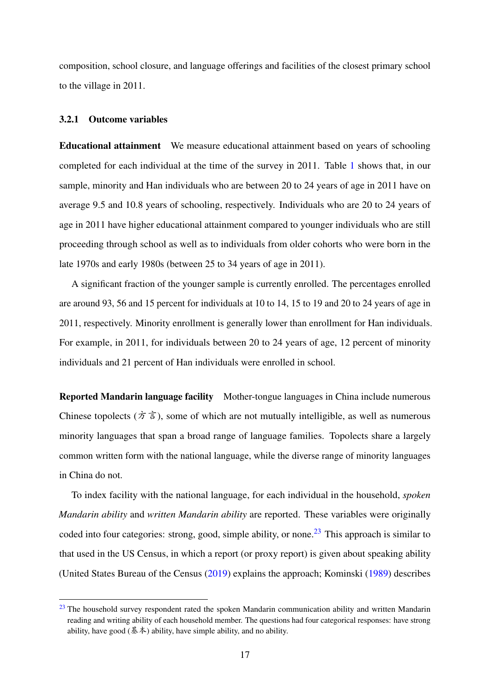composition, school closure, and language offerings and facilities of the closest primary school to the village in 2011.

#### 3.2.1 Outcome variables

Educational attainment We measure educational attainment based on years of schooling completed for each individual at the time of the survey in 2011. Table [1](#page-42-0) shows that, in our sample, minority and Han individuals who are between 20 to 24 years of age in 2011 have on average 9.5 and 10.8 years of schooling, respectively. Individuals who are 20 to 24 years of age in 2011 have higher educational attainment compared to younger individuals who are still proceeding through school as well as to individuals from older cohorts who were born in the late 1970s and early 1980s (between 25 to 34 years of age in 2011).

A significant fraction of the younger sample is currently enrolled. The percentages enrolled are around 93, 56 and 15 percent for individuals at 10 to 14, 15 to 19 and 20 to 24 years of age in 2011, respectively. Minority enrollment is generally lower than enrollment for Han individuals. For example, in 2011, for individuals between 20 to 24 years of age, 12 percent of minority individuals and 21 percent of Han individuals were enrolled in school.

Reported Mandarin language facility Mother-tongue languages in China include numerous Chinese topolects ( $\dot{\pi} \dot{\bar{\pi}}$ ), some of which are not mutually intelligible, as well as numerous minority languages that span a broad range of language families. Topolects share a largely common written form with the national language, while the diverse range of minority languages in China do not.

<span id="page-20-1"></span>To index facility with the national language, for each individual in the household, *spoken Mandarin ability* and *written Mandarin ability* are reported. These variables were originally coded into four categories: strong, good, simple ability, or none.<sup>[23](#page-20-0)</sup> This approach is similar to that used in the US Census, in which a report (or proxy report) is given about speaking ability (United States Bureau of the Census [\(2019\)](#page-41-14) explains the approach; Kominski [\(1989\)](#page-39-13) describes

<span id="page-20-0"></span> $23$  The household survey respondent rated the spoken Mandarin communication ability and written Mandarin reading and writing ability of each household member. The questions had four categorical responses: have strong ability, have good ( $\AA \AA$ ) ability, have simple ability, and no ability.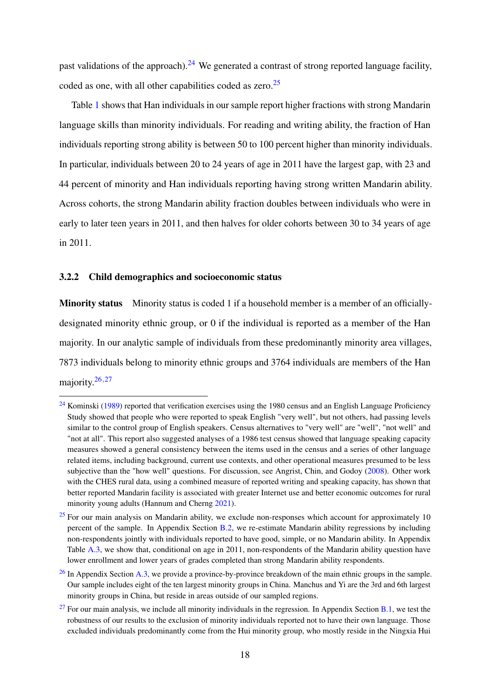<span id="page-21-5"></span><span id="page-21-4"></span>past validations of the approach).<sup>[24](#page-21-0)</sup> We generated a contrast of strong reported language facility, coded as one, with all other capabilities coded as zero.<sup>[25](#page-21-1)</sup>

Table [1](#page-42-0) shows that Han individuals in our sample report higher fractions with strong Mandarin language skills than minority individuals. For reading and writing ability, the fraction of Han individuals reporting strong ability is between 50 to 100 percent higher than minority individuals. In particular, individuals between 20 to 24 years of age in 2011 have the largest gap, with 23 and 44 percent of minority and Han individuals reporting having strong written Mandarin ability. Across cohorts, the strong Mandarin ability fraction doubles between individuals who were in early to later teen years in 2011, and then halves for older cohorts between 30 to 34 years of age in 2011.

#### 3.2.2 Child demographics and socioeconomic status

Minority status Minority status is coded 1 if a household member is a member of an officiallydesignated minority ethnic group, or 0 if the individual is reported as a member of the Han majority. In our analytic sample of individuals from these predominantly minority area villages, 7873 individuals belong to minority ethnic groups and 3764 individuals are members of the Han majority. $26,27$  $26,27$  $26,27$ 

<span id="page-21-7"></span><span id="page-21-6"></span><span id="page-21-0"></span> $24$  Kominski [\(1989\)](#page-39-13) reported that verification exercises using the 1980 census and an English Language Proficiency Study showed that people who were reported to speak English "very well", but not others, had passing levels similar to the control group of English speakers. Census alternatives to "very well" are "well", "not well" and "not at all". This report also suggested analyses of a 1986 test census showed that language speaking capacity measures showed a general consistency between the items used in the census and a series of other language related items, including background, current use contexts, and other operational measures presumed to be less subjective than the "how well" questions. For discussion, see Angrist, Chin, and Godoy [\(2008\)](#page-36-9). Other work with the CHES rural data, using a combined measure of reported writing and speaking capacity, has shown that better reported Mandarin facility is associated with greater Internet use and better economic outcomes for rural minority young adults (Hannum and Cherng [2021\)](#page-38-8).

<span id="page-21-1"></span> $25$  For our main analysis on Mandarin ability, we exclude non-responses which account for approximately 10 percent of the sample. In Appendix Section [B.2,](#page-61-0) we re-estimate Mandarin ability regressions by including non-respondents jointly with individuals reported to have good, simple, or no Mandarin ability. In Appendix Table [A.3,](#page-56-0) we show that, conditional on age in 2011, non-respondents of the Mandarin ability question have lower enrollment and lower years of grades completed than strong Mandarin ability respondents.

<span id="page-21-2"></span> $^{26}$  $^{26}$  $^{26}$  In Appendix Section [A.3,](#page-51-0) we provide a province-by-province breakdown of the main ethnic groups in the sample. Our sample includes eight of the ten largest minority groups in China. Manchus and Yi are the 3rd and 6th largest minority groups in China, but reside in areas outside of our sampled regions.

<span id="page-21-3"></span><sup>&</sup>lt;sup>[27](#page-21-7)</sup> For our main analysis, we include all minority individuals in the regression. In Appendix Section [B.1,](#page-57-0) we test the robustness of our results to the exclusion of minority individuals reported not to have their own language. Those excluded individuals predominantly come from the Hui minority group, who mostly reside in the Ningxia Hui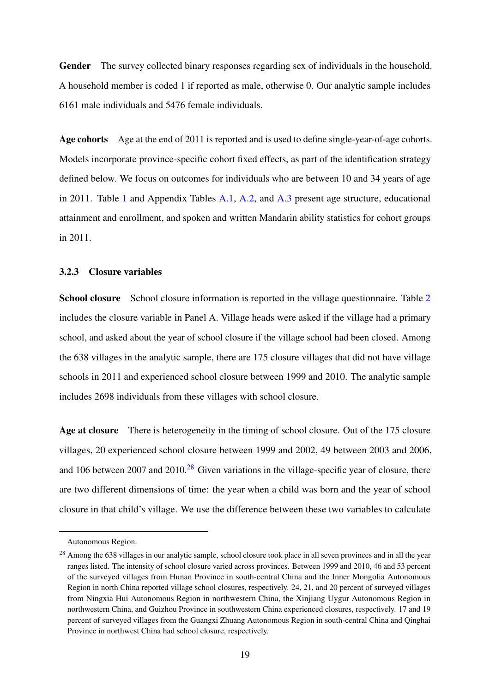Gender The survey collected binary responses regarding sex of individuals in the household. A household member is coded 1 if reported as male, otherwise 0. Our analytic sample includes 6161 male individuals and 5476 female individuals.

Age cohorts Age at the end of 2011 is reported and is used to define single-year-of-age cohorts. Models incorporate province-specific cohort fixed effects, as part of the identification strategy defined below. We focus on outcomes for individuals who are between 10 and 34 years of age in 2011. Table [1](#page-42-0) and Appendix Tables [A.1,](#page-53-0) [A.2,](#page-55-0) and [A.3](#page-56-0) present age structure, educational attainment and enrollment, and spoken and written Mandarin ability statistics for cohort groups in 2011.

#### 3.2.3 Closure variables

School closure School closure information is reported in the village questionnaire. Table [2](#page-43-0) includes the closure variable in Panel A. Village heads were asked if the village had a primary school, and asked about the year of school closure if the village school had been closed. Among the 638 villages in the analytic sample, there are 175 closure villages that did not have village schools in 2011 and experienced school closure between 1999 and 2010. The analytic sample includes 2698 individuals from these villages with school closure.

<span id="page-22-1"></span>Age at closure There is heterogeneity in the timing of school closure. Out of the 175 closure villages, 20 experienced school closure between 1999 and 2002, 49 between 2003 and 2006, and 106 between 2007 and 2010.<sup>[28](#page-22-0)</sup> Given variations in the village-specific year of closure, there are two different dimensions of time: the year when a child was born and the year of school closure in that child's village. We use the difference between these two variables to calculate

Autonomous Region.

<span id="page-22-0"></span><sup>&</sup>lt;sup>[28](#page-22-1)</sup> Among the 638 villages in our analytic sample, school closure took place in all seven provinces and in all the year ranges listed. The intensity of school closure varied across provinces. Between 1999 and 2010, 46 and 53 percent of the surveyed villages from Hunan Province in south-central China and the Inner Mongolia Autonomous Region in north China reported village school closures, respectively. 24, 21, and 20 percent of surveyed villages from Ningxia Hui Autonomous Region in northwestern China, the Xinjiang Uygur Autonomous Region in northwestern China, and Guizhou Province in southwestern China experienced closures, respectively. 17 and 19 percent of surveyed villages from the Guangxi Zhuang Autonomous Region in south-central China and Qinghai Province in northwest China had school closure, respectively.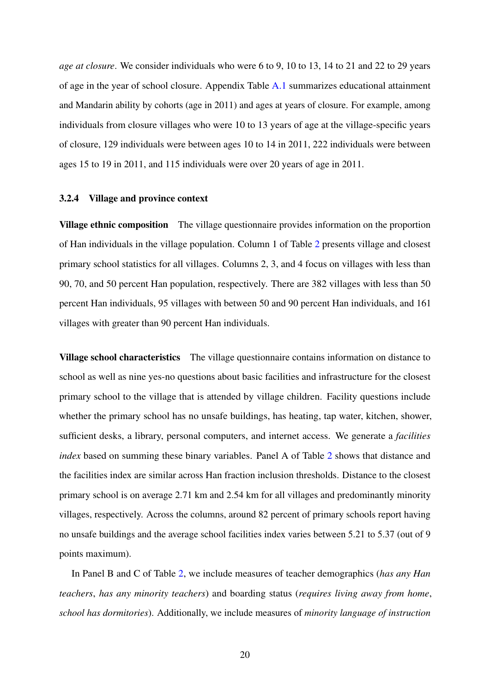*age at closure*. We consider individuals who were 6 to 9, 10 to 13, 14 to 21 and 22 to 29 years of age in the year of school closure. Appendix Table [A.1](#page-53-0) summarizes educational attainment and Mandarin ability by cohorts (age in 2011) and ages at years of closure. For example, among individuals from closure villages who were 10 to 13 years of age at the village-specific years of closure, 129 individuals were between ages 10 to 14 in 2011, 222 individuals were between ages 15 to 19 in 2011, and 115 individuals were over 20 years of age in 2011.

#### 3.2.4 Village and province context

Village ethnic composition The village questionnaire provides information on the proportion of Han individuals in the village population. Column 1 of Table [2](#page-43-0) presents village and closest primary school statistics for all villages. Columns 2, 3, and 4 focus on villages with less than 90, 70, and 50 percent Han population, respectively. There are 382 villages with less than 50 percent Han individuals, 95 villages with between 50 and 90 percent Han individuals, and 161 villages with greater than 90 percent Han individuals.

Village school characteristics The village questionnaire contains information on distance to school as well as nine yes-no questions about basic facilities and infrastructure for the closest primary school to the village that is attended by village children. Facility questions include whether the primary school has no unsafe buildings, has heating, tap water, kitchen, shower, sufficient desks, a library, personal computers, and internet access. We generate a *facilities index* based on summing these binary variables. Panel A of Table [2](#page-43-0) shows that distance and the facilities index are similar across Han fraction inclusion thresholds. Distance to the closest primary school is on average 2.71 km and 2.54 km for all villages and predominantly minority villages, respectively. Across the columns, around 82 percent of primary schools report having no unsafe buildings and the average school facilities index varies between 5.21 to 5.37 (out of 9 points maximum).

In Panel B and C of Table [2,](#page-43-0) we include measures of teacher demographics (*has any Han teachers*, *has any minority teachers*) and boarding status (*requires living away from home*, *school has dormitories*). Additionally, we include measures of *minority language of instruction*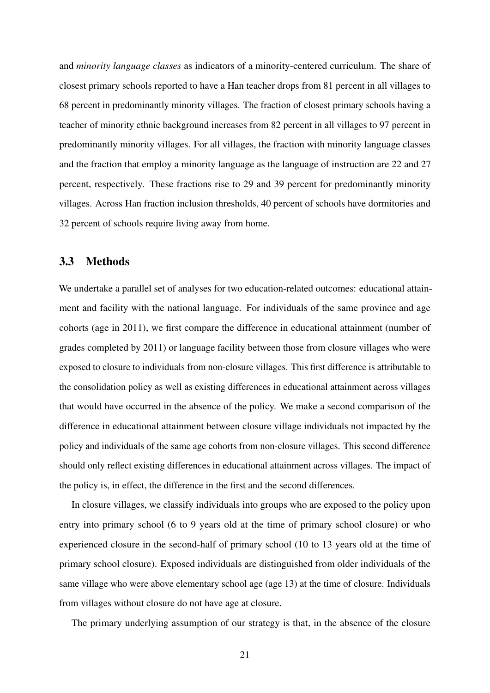and *minority language classes* as indicators of a minority-centered curriculum. The share of closest primary schools reported to have a Han teacher drops from 81 percent in all villages to 68 percent in predominantly minority villages. The fraction of closest primary schools having a teacher of minority ethnic background increases from 82 percent in all villages to 97 percent in predominantly minority villages. For all villages, the fraction with minority language classes and the fraction that employ a minority language as the language of instruction are 22 and 27 percent, respectively. These fractions rise to 29 and 39 percent for predominantly minority villages. Across Han fraction inclusion thresholds, 40 percent of schools have dormitories and 32 percent of schools require living away from home.

### 3.3 Methods

We undertake a parallel set of analyses for two education-related outcomes: educational attainment and facility with the national language. For individuals of the same province and age cohorts (age in 2011), we first compare the difference in educational attainment (number of grades completed by 2011) or language facility between those from closure villages who were exposed to closure to individuals from non-closure villages. This first difference is attributable to the consolidation policy as well as existing differences in educational attainment across villages that would have occurred in the absence of the policy. We make a second comparison of the difference in educational attainment between closure village individuals not impacted by the policy and individuals of the same age cohorts from non-closure villages. This second difference should only reflect existing differences in educational attainment across villages. The impact of the policy is, in effect, the difference in the first and the second differences.

In closure villages, we classify individuals into groups who are exposed to the policy upon entry into primary school (6 to 9 years old at the time of primary school closure) or who experienced closure in the second-half of primary school (10 to 13 years old at the time of primary school closure). Exposed individuals are distinguished from older individuals of the same village who were above elementary school age (age 13) at the time of closure. Individuals from villages without closure do not have age at closure.

The primary underlying assumption of our strategy is that, in the absence of the closure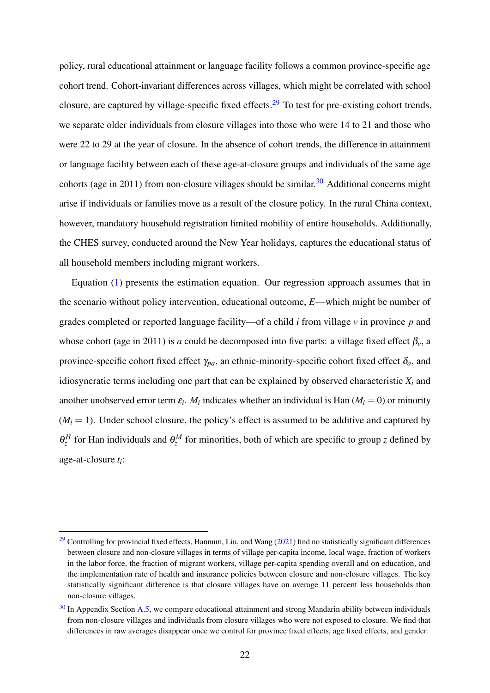<span id="page-25-3"></span><span id="page-25-2"></span>policy, rural educational attainment or language facility follows a common province-specific age cohort trend. Cohort-invariant differences across villages, which might be correlated with school closure, are captured by village-specific fixed effects.<sup>[29](#page-25-0)</sup> To test for pre-existing cohort trends, we separate older individuals from closure villages into those who were 14 to 21 and those who were 22 to 29 at the year of closure. In the absence of cohort trends, the difference in attainment or language facility between each of these age-at-closure groups and individuals of the same age cohorts (age in 2011) from non-closure villages should be similar.<sup>[30](#page-25-1)</sup> Additional concerns might arise if individuals or families move as a result of the closure policy. In the rural China context, however, mandatory household registration limited mobility of entire households. Additionally, the CHES survey, conducted around the New Year holidays, captures the educational status of all household members including migrant workers.

Equation [\(1\)](#page-26-0) presents the estimation equation. Our regression approach assumes that in the scenario without policy intervention, educational outcome, *E*—which might be number of grades completed or reported language facility—of a child *i* from village *v* in province *p* and whose cohort (age in 2011) is *a* could be decomposed into five parts: a village fixed effect  $\beta_v$ , a province-specific cohort fixed effect  $\gamma_{pa}$ , an ethnic-minority-specific cohort fixed effect  $\delta_a$ , and idiosyncratic terms including one part that can be explained by observed characteristic  $X_i$  and another unobserved error term  $\varepsilon_i$ .  $M_i$  indicates whether an individual is Han ( $M_i = 0$ ) or minority  $(M<sub>i</sub> = 1)$ . Under school closure, the policy's effect is assumed to be additive and captured by  $\theta_z^H$  for Han individuals and  $\theta_z^M$  for minorities, both of which are specific to group *z* defined by age-at-closure *t<sup>i</sup>* :

<span id="page-25-0"></span><sup>&</sup>lt;sup>[29](#page-25-2)</sup> Controlling for provincial fixed effects, Hannum, Liu, and Wang [\(2021\)](#page-38-1) find no statistically significant differences between closure and non-closure villages in terms of village per-capita income, local wage, fraction of workers in the labor force, the fraction of migrant workers, village per-capita spending overall and on education, and the implementation rate of health and insurance policies between closure and non-closure villages. The key statistically significant difference is that closure villages have on average 11 percent less households than non-closure villages.

<span id="page-25-1"></span> $30$  In Appendix Section [A.5,](#page-54-0) we compare educational attainment and strong Mandarin ability between individuals from non-closure villages and individuals from closure villages who were not exposed to closure. We find that differences in raw averages disappear once we control for province fixed effects, age fixed effects, and gender.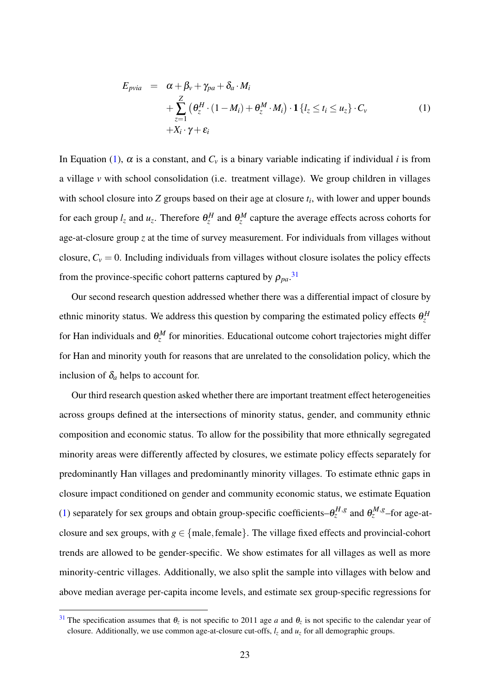<span id="page-26-0"></span>
$$
E_{pvia} = \alpha + \beta_v + \gamma_{pa} + \delta_a \cdot M_i
$$
  
+ 
$$
\sum_{z=1}^{Z} (\theta_z^H \cdot (1 - M_i) + \theta_z^M \cdot M_i) \cdot \mathbf{1} \{l_z \le t_i \le u_z\} \cdot C_v
$$
  
+ 
$$
X_i \cdot \gamma + \varepsilon_i
$$
 (1)

In Equation [\(1\)](#page-26-0),  $\alpha$  is a constant, and  $C_v$  is a binary variable indicating if individual *i* is from a village *v* with school consolidation (i.e. treatment village). We group children in villages with school closure into *Z* groups based on their age at closure *t<sup>i</sup>* , with lower and upper bounds for each group  $l_z$  and  $u_z$ . Therefore  $\theta_z^H$  and  $\theta_z^M$  capture the average effects across cohorts for age-at-closure group *z* at the time of survey measurement. For individuals from villages without closure,  $C_v = 0$ . Including individuals from villages without closure isolates the policy effects from the province-specific cohort patterns captured by  $\rho_{pa}$ <sup>[31](#page-26-1)</sup>

<span id="page-26-2"></span>Our second research question addressed whether there was a differential impact of closure by ethnic minority status. We address this question by comparing the estimated policy effects  $\theta_z^H$ for Han individuals and  $\theta_z^M$  for minorities. Educational outcome cohort trajectories might differ for Han and minority youth for reasons that are unrelated to the consolidation policy, which the inclusion of  $\delta_a$  helps to account for.

Our third research question asked whether there are important treatment effect heterogeneities across groups defined at the intersections of minority status, gender, and community ethnic composition and economic status. To allow for the possibility that more ethnically segregated minority areas were differently affected by closures, we estimate policy effects separately for predominantly Han villages and predominantly minority villages. To estimate ethnic gaps in closure impact conditioned on gender and community economic status, we estimate Equation [\(1\)](#page-26-0) separately for sex groups and obtain group-specific coefficients– $\theta_z^{H,g}$  and  $\theta_z^{M,g}$ –for age-atclosure and sex groups, with  $g \in \{male, female\}$ . The village fixed effects and provincial-cohort trends are allowed to be gender-specific. We show estimates for all villages as well as more minority-centric villages. Additionally, we also split the sample into villages with below and above median average per-capita income levels, and estimate sex group-specific regressions for

<span id="page-26-1"></span><sup>&</sup>lt;sup>[31](#page-26-2)</sup> The specification assumes that  $\theta_z$  is not specific to 2011 age *a* and  $\theta_z$  is not specific to the calendar year of closure. Additionally, we use common age-at-closure cut-offs,  $l_z$  and  $u_z$  for all demographic groups.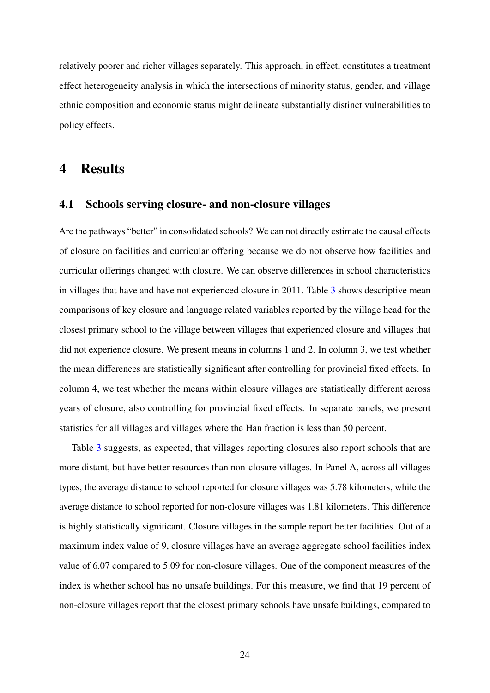relatively poorer and richer villages separately. This approach, in effect, constitutes a treatment effect heterogeneity analysis in which the intersections of minority status, gender, and village ethnic composition and economic status might delineate substantially distinct vulnerabilities to policy effects.

## 4 Results

## 4.1 Schools serving closure- and non-closure villages

Are the pathways "better" in consolidated schools? We can not directly estimate the causal effects of closure on facilities and curricular offering because we do not observe how facilities and curricular offerings changed with closure. We can observe differences in school characteristics in villages that have and have not experienced closure in 2011. Table [3](#page-44-0) shows descriptive mean comparisons of key closure and language related variables reported by the village head for the closest primary school to the village between villages that experienced closure and villages that did not experience closure. We present means in columns 1 and 2. In column 3, we test whether the mean differences are statistically significant after controlling for provincial fixed effects. In column 4, we test whether the means within closure villages are statistically different across years of closure, also controlling for provincial fixed effects. In separate panels, we present statistics for all villages and villages where the Han fraction is less than 50 percent.

Table [3](#page-44-0) suggests, as expected, that villages reporting closures also report schools that are more distant, but have better resources than non-closure villages. In Panel A, across all villages types, the average distance to school reported for closure villages was 5.78 kilometers, while the average distance to school reported for non-closure villages was 1.81 kilometers. This difference is highly statistically significant. Closure villages in the sample report better facilities. Out of a maximum index value of 9, closure villages have an average aggregate school facilities index value of 6.07 compared to 5.09 for non-closure villages. One of the component measures of the index is whether school has no unsafe buildings. For this measure, we find that 19 percent of non-closure villages report that the closest primary schools have unsafe buildings, compared to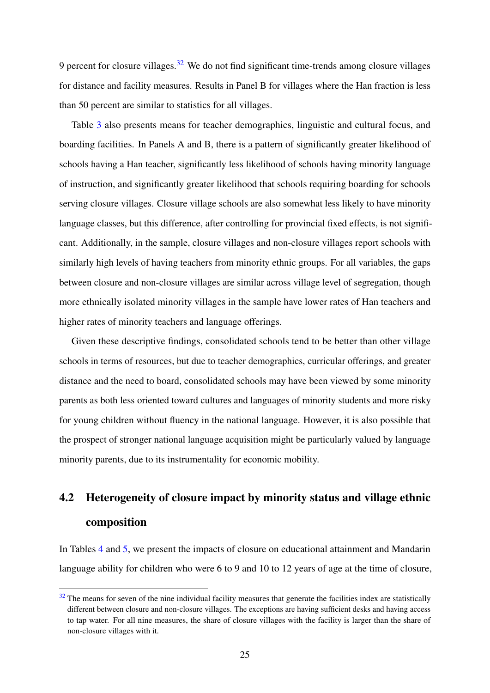<span id="page-28-1"></span>9 percent for closure villages.  $32$  We do not find significant time-trends among closure villages for distance and facility measures. Results in Panel B for villages where the Han fraction is less than 50 percent are similar to statistics for all villages.

Table [3](#page-44-0) also presents means for teacher demographics, linguistic and cultural focus, and boarding facilities. In Panels A and B, there is a pattern of significantly greater likelihood of schools having a Han teacher, significantly less likelihood of schools having minority language of instruction, and significantly greater likelihood that schools requiring boarding for schools serving closure villages. Closure village schools are also somewhat less likely to have minority language classes, but this difference, after controlling for provincial fixed effects, is not significant. Additionally, in the sample, closure villages and non-closure villages report schools with similarly high levels of having teachers from minority ethnic groups. For all variables, the gaps between closure and non-closure villages are similar across village level of segregation, though more ethnically isolated minority villages in the sample have lower rates of Han teachers and higher rates of minority teachers and language offerings.

Given these descriptive findings, consolidated schools tend to be better than other village schools in terms of resources, but due to teacher demographics, curricular offerings, and greater distance and the need to board, consolidated schools may have been viewed by some minority parents as both less oriented toward cultures and languages of minority students and more risky for young children without fluency in the national language. However, it is also possible that the prospect of stronger national language acquisition might be particularly valued by language minority parents, due to its instrumentality for economic mobility.

# 4.2 Heterogeneity of closure impact by minority status and village ethnic composition

In Tables [4](#page-45-0) and [5,](#page-46-0) we present the impacts of closure on educational attainment and Mandarin language ability for children who were 6 to 9 and 10 to 12 years of age at the time of closure,

<span id="page-28-0"></span> $32$  The means for seven of the nine individual facility measures that generate the facilities index are statistically different between closure and non-closure villages. The exceptions are having sufficient desks and having access to tap water. For all nine measures, the share of closure villages with the facility is larger than the share of non-closure villages with it.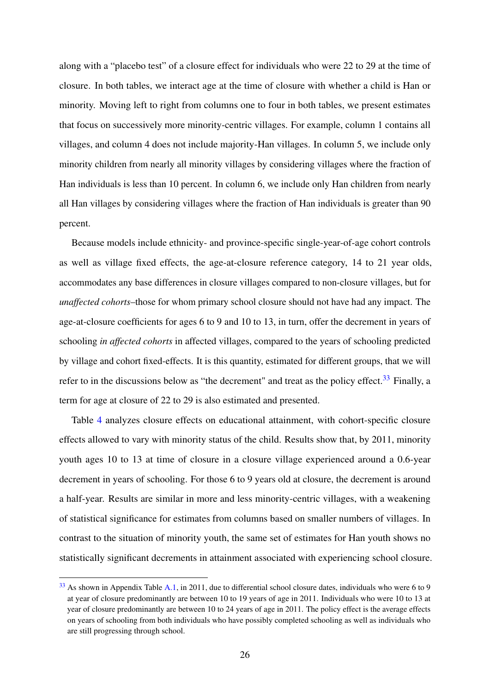along with a "placebo test" of a closure effect for individuals who were 22 to 29 at the time of closure. In both tables, we interact age at the time of closure with whether a child is Han or minority. Moving left to right from columns one to four in both tables, we present estimates that focus on successively more minority-centric villages. For example, column 1 contains all villages, and column 4 does not include majority-Han villages. In column 5, we include only minority children from nearly all minority villages by considering villages where the fraction of Han individuals is less than 10 percent. In column 6, we include only Han children from nearly all Han villages by considering villages where the fraction of Han individuals is greater than 90 percent.

Because models include ethnicity- and province-specific single-year-of-age cohort controls as well as village fixed effects, the age-at-closure reference category, 14 to 21 year olds, accommodates any base differences in closure villages compared to non-closure villages, but for *unaffected cohorts*–those for whom primary school closure should not have had any impact. The age-at-closure coefficients for ages 6 to 9 and 10 to 13, in turn, offer the decrement in years of schooling *in affected cohorts* in affected villages, compared to the years of schooling predicted by village and cohort fixed-effects. It is this quantity, estimated for different groups, that we will refer to in the discussions below as "the decrement" and treat as the policy effect.<sup>[33](#page-29-0)</sup> Finally, a term for age at closure of 22 to 29 is also estimated and presented.

<span id="page-29-1"></span>Table [4](#page-45-0) analyzes closure effects on educational attainment, with cohort-specific closure effects allowed to vary with minority status of the child. Results show that, by 2011, minority youth ages 10 to 13 at time of closure in a closure village experienced around a 0.6-year decrement in years of schooling. For those 6 to 9 years old at closure, the decrement is around a half-year. Results are similar in more and less minority-centric villages, with a weakening of statistical significance for estimates from columns based on smaller numbers of villages. In contrast to the situation of minority youth, the same set of estimates for Han youth shows no statistically significant decrements in attainment associated with experiencing school closure.

<span id="page-29-0"></span> $33$  As shown in Appendix Table [A.1,](#page-53-0) in 2011, due to differential school closure dates, individuals who were 6 to 9 at year of closure predominantly are between 10 to 19 years of age in 2011. Individuals who were 10 to 13 at year of closure predominantly are between 10 to 24 years of age in 2011. The policy effect is the average effects on years of schooling from both individuals who have possibly completed schooling as well as individuals who are still progressing through school.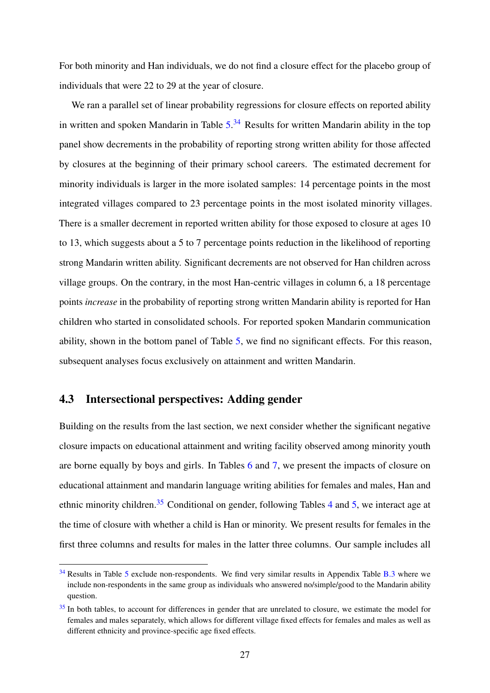For both minority and Han individuals, we do not find a closure effect for the placebo group of individuals that were 22 to 29 at the year of closure.

<span id="page-30-2"></span>We ran a parallel set of linear probability regressions for closure effects on reported ability in written and spoken Mandarin in Table [5.](#page-46-0)<sup>[34](#page-30-0)</sup> Results for written Mandarin ability in the top panel show decrements in the probability of reporting strong written ability for those affected by closures at the beginning of their primary school careers. The estimated decrement for minority individuals is larger in the more isolated samples: 14 percentage points in the most integrated villages compared to 23 percentage points in the most isolated minority villages. There is a smaller decrement in reported written ability for those exposed to closure at ages 10 to 13, which suggests about a 5 to 7 percentage points reduction in the likelihood of reporting strong Mandarin written ability. Significant decrements are not observed for Han children across village groups. On the contrary, in the most Han-centric villages in column 6, a 18 percentage points *increase* in the probability of reporting strong written Mandarin ability is reported for Han children who started in consolidated schools. For reported spoken Mandarin communication ability, shown in the bottom panel of Table [5,](#page-46-0) we find no significant effects. For this reason, subsequent analyses focus exclusively on attainment and written Mandarin.

## 4.3 Intersectional perspectives: Adding gender

<span id="page-30-3"></span>Building on the results from the last section, we next consider whether the significant negative closure impacts on educational attainment and writing facility observed among minority youth are borne equally by boys and girls. In Tables [6](#page-47-0) and [7,](#page-48-0) we present the impacts of closure on educational attainment and mandarin language writing abilities for females and males, Han and ethnic minority children.<sup>[35](#page-30-1)</sup> Conditional on gender, following Tables [4](#page-45-0) and [5,](#page-46-0) we interact age at the time of closure with whether a child is Han or minority. We present results for females in the first three columns and results for males in the latter three columns. Our sample includes all

<span id="page-30-0"></span> $34$  Results in Table [5](#page-46-0) exclude non-respondents. We find very similar results in Appendix Table [B.3](#page-62-0) where we include non-respondents in the same group as individuals who answered no/simple/good to the Mandarin ability question.

<span id="page-30-1"></span> $35$  In both tables, to account for differences in gender that are unrelated to closure, we estimate the model for females and males separately, which allows for different village fixed effects for females and males as well as different ethnicity and province-specific age fixed effects.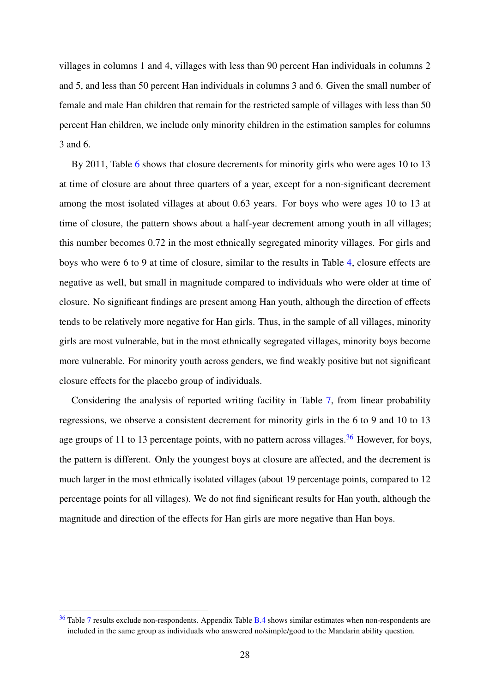villages in columns 1 and 4, villages with less than 90 percent Han individuals in columns 2 and 5, and less than 50 percent Han individuals in columns 3 and 6. Given the small number of female and male Han children that remain for the restricted sample of villages with less than 50 percent Han children, we include only minority children in the estimation samples for columns 3 and 6.

By 2011, Table [6](#page-47-0) shows that closure decrements for minority girls who were ages 10 to 13 at time of closure are about three quarters of a year, except for a non-significant decrement among the most isolated villages at about 0.63 years. For boys who were ages 10 to 13 at time of closure, the pattern shows about a half-year decrement among youth in all villages; this number becomes 0.72 in the most ethnically segregated minority villages. For girls and boys who were 6 to 9 at time of closure, similar to the results in Table [4,](#page-45-0) closure effects are negative as well, but small in magnitude compared to individuals who were older at time of closure. No significant findings are present among Han youth, although the direction of effects tends to be relatively more negative for Han girls. Thus, in the sample of all villages, minority girls are most vulnerable, but in the most ethnically segregated villages, minority boys become more vulnerable. For minority youth across genders, we find weakly positive but not significant closure effects for the placebo group of individuals.

<span id="page-31-1"></span>Considering the analysis of reported writing facility in Table [7,](#page-48-0) from linear probability regressions, we observe a consistent decrement for minority girls in the 6 to 9 and 10 to 13 age groups of 11 to 13 percentage points, with no pattern across villages.<sup>[36](#page-31-0)</sup> However, for boys, the pattern is different. Only the youngest boys at closure are affected, and the decrement is much larger in the most ethnically isolated villages (about 19 percentage points, compared to 12 percentage points for all villages). We do not find significant results for Han youth, although the magnitude and direction of the effects for Han girls are more negative than Han boys.

<span id="page-31-0"></span><sup>&</sup>lt;sup>[36](#page-31-1)</sup> Table [7](#page-48-0) results exclude non-respondents. Appendix Table [B.4](#page-63-0) shows similar estimates when non-respondents are included in the same group as individuals who answered no/simple/good to the Mandarin ability question.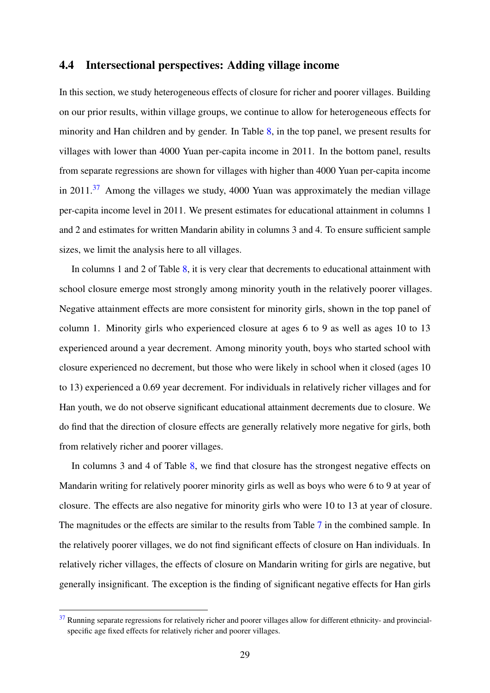### 4.4 Intersectional perspectives: Adding village income

<span id="page-32-1"></span>In this section, we study heterogeneous effects of closure for richer and poorer villages. Building on our prior results, within village groups, we continue to allow for heterogeneous effects for minority and Han children and by gender. In Table [8,](#page-49-0) in the top panel, we present results for villages with lower than 4000 Yuan per-capita income in 2011. In the bottom panel, results from separate regressions are shown for villages with higher than 4000 Yuan per-capita income in  $2011$ .<sup>[37](#page-32-0)</sup> Among the villages we study, 4000 Yuan was approximately the median village per-capita income level in 2011. We present estimates for educational attainment in columns 1 and 2 and estimates for written Mandarin ability in columns 3 and 4. To ensure sufficient sample sizes, we limit the analysis here to all villages.

In columns 1 and 2 of Table [8,](#page-49-0) it is very clear that decrements to educational attainment with school closure emerge most strongly among minority youth in the relatively poorer villages. Negative attainment effects are more consistent for minority girls, shown in the top panel of column 1. Minority girls who experienced closure at ages 6 to 9 as well as ages 10 to 13 experienced around a year decrement. Among minority youth, boys who started school with closure experienced no decrement, but those who were likely in school when it closed (ages 10 to 13) experienced a 0.69 year decrement. For individuals in relatively richer villages and for Han youth, we do not observe significant educational attainment decrements due to closure. We do find that the direction of closure effects are generally relatively more negative for girls, both from relatively richer and poorer villages.

In columns 3 and 4 of Table [8,](#page-49-0) we find that closure has the strongest negative effects on Mandarin writing for relatively poorer minority girls as well as boys who were 6 to 9 at year of closure. The effects are also negative for minority girls who were 10 to 13 at year of closure. The magnitudes or the effects are similar to the results from Table [7](#page-48-0) in the combined sample. In the relatively poorer villages, we do not find significant effects of closure on Han individuals. In relatively richer villages, the effects of closure on Mandarin writing for girls are negative, but generally insignificant. The exception is the finding of significant negative effects for Han girls

<span id="page-32-0"></span> $37$  Running separate regressions for relatively richer and poorer villages allow for different ethnicity- and provincialspecific age fixed effects for relatively richer and poorer villages.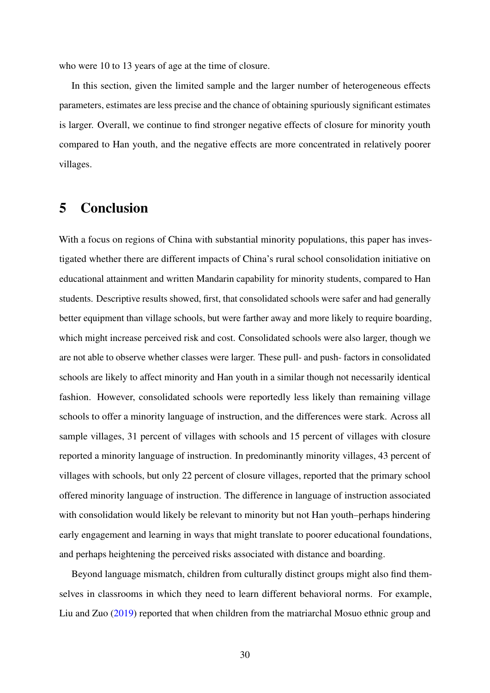who were 10 to 13 years of age at the time of closure.

In this section, given the limited sample and the larger number of heterogeneous effects parameters, estimates are less precise and the chance of obtaining spuriously significant estimates is larger. Overall, we continue to find stronger negative effects of closure for minority youth compared to Han youth, and the negative effects are more concentrated in relatively poorer villages.

# 5 Conclusion

With a focus on regions of China with substantial minority populations, this paper has investigated whether there are different impacts of China's rural school consolidation initiative on educational attainment and written Mandarin capability for minority students, compared to Han students. Descriptive results showed, first, that consolidated schools were safer and had generally better equipment than village schools, but were farther away and more likely to require boarding, which might increase perceived risk and cost. Consolidated schools were also larger, though we are not able to observe whether classes were larger. These pull- and push- factors in consolidated schools are likely to affect minority and Han youth in a similar though not necessarily identical fashion. However, consolidated schools were reportedly less likely than remaining village schools to offer a minority language of instruction, and the differences were stark. Across all sample villages, 31 percent of villages with schools and 15 percent of villages with closure reported a minority language of instruction. In predominantly minority villages, 43 percent of villages with schools, but only 22 percent of closure villages, reported that the primary school offered minority language of instruction. The difference in language of instruction associated with consolidation would likely be relevant to minority but not Han youth–perhaps hindering early engagement and learning in ways that might translate to poorer educational foundations, and perhaps heightening the perceived risks associated with distance and boarding.

Beyond language mismatch, children from culturally distinct groups might also find themselves in classrooms in which they need to learn different behavioral norms. For example, Liu and Zuo [\(2019\)](#page-39-11) reported that when children from the matriarchal Mosuo ethnic group and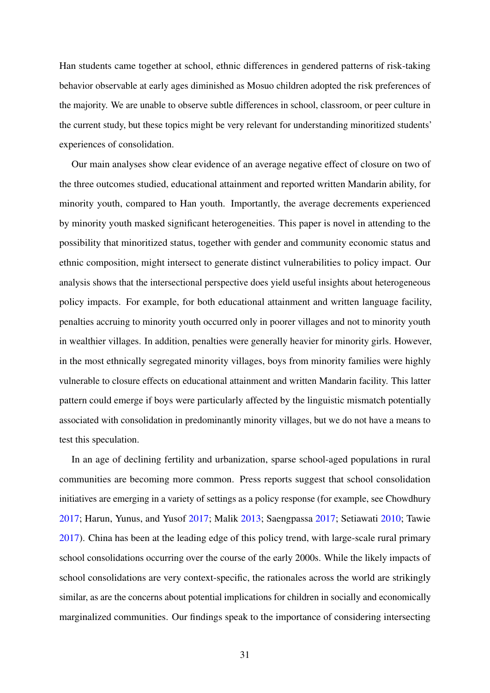Han students came together at school, ethnic differences in gendered patterns of risk-taking behavior observable at early ages diminished as Mosuo children adopted the risk preferences of the majority. We are unable to observe subtle differences in school, classroom, or peer culture in the current study, but these topics might be very relevant for understanding minoritized students' experiences of consolidation.

Our main analyses show clear evidence of an average negative effect of closure on two of the three outcomes studied, educational attainment and reported written Mandarin ability, for minority youth, compared to Han youth. Importantly, the average decrements experienced by minority youth masked significant heterogeneities. This paper is novel in attending to the possibility that minoritized status, together with gender and community economic status and ethnic composition, might intersect to generate distinct vulnerabilities to policy impact. Our analysis shows that the intersectional perspective does yield useful insights about heterogeneous policy impacts. For example, for both educational attainment and written language facility, penalties accruing to minority youth occurred only in poorer villages and not to minority youth in wealthier villages. In addition, penalties were generally heavier for minority girls. However, in the most ethnically segregated minority villages, boys from minority families were highly vulnerable to closure effects on educational attainment and written Mandarin facility. This latter pattern could emerge if boys were particularly affected by the linguistic mismatch potentially associated with consolidation in predominantly minority villages, but we do not have a means to test this speculation.

In an age of declining fertility and urbanization, sparse school-aged populations in rural communities are becoming more common. Press reports suggest that school consolidation initiatives are emerging in a variety of settings as a policy response (for example, see Chowdhury [2017;](#page-36-0) Harun, Yunus, and Yusof [2017;](#page-38-0) Malik [2013;](#page-39-0) Saengpassa [2017;](#page-40-1) Setiawati [2010;](#page-40-12) Tawie [2017\)](#page-41-0). China has been at the leading edge of this policy trend, with large-scale rural primary school consolidations occurring over the course of the early 2000s. While the likely impacts of school consolidations are very context-specific, the rationales across the world are strikingly similar, as are the concerns about potential implications for children in socially and economically marginalized communities. Our findings speak to the importance of considering intersecting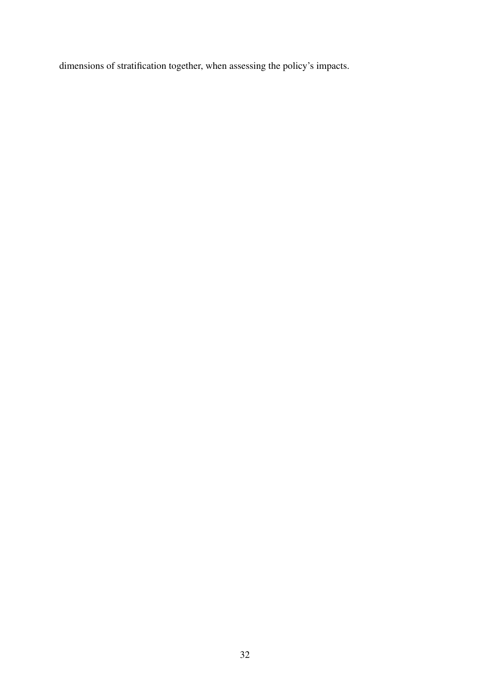dimensions of stratification together, when assessing the policy's impacts.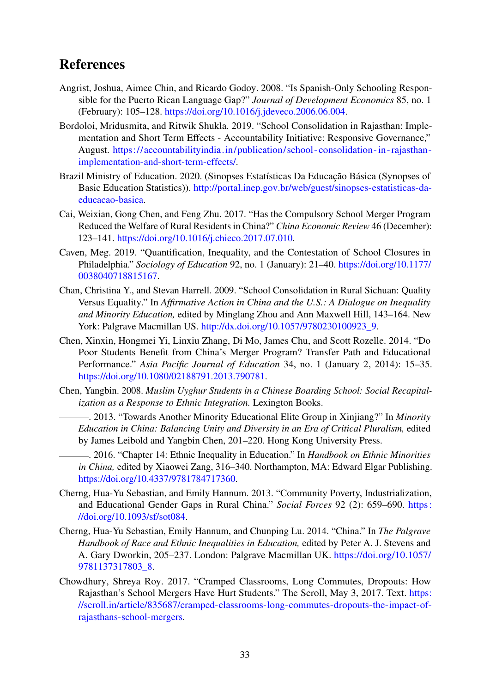## References

- <span id="page-36-9"></span>Angrist, Joshua, Aimee Chin, and Ricardo Godoy. 2008. "Is Spanish-Only Schooling Responsible for the Puerto Rican Language Gap?" *Journal of Development Economics* 85, no. 1 (February): 105–128. [https://doi.org/10.1016/j.jdeveco.2006.06.004.](https://doi.org/10.1016/j.jdeveco.2006.06.004)
- <span id="page-36-8"></span>Bordoloi, Mridusmita, and Ritwik Shukla. 2019. "School Consolidation in Rajasthan: Implementation and Short Term Effects - Accountability Initiative: Responsive Governance," August. [https://accountabilityindia.in/publication/school-consolidation-in-rajasthan](https://accountabilityindia.in/publication/school-consolidation-in-rajasthan-implementation-and-short-term-effects/)[implementation-and-short-term-effects/.](https://accountabilityindia.in/publication/school-consolidation-in-rajasthan-implementation-and-short-term-effects/)
- <span id="page-36-6"></span>Brazil Ministry of Education. 2020. (Sinopses Estatísticas Da Educação Básica (Synopses of Basic Education Statistics)). [http://portal.inep.gov.br/web/guest/sinopses-estatisticas-da](http://portal.inep.gov.br/web/guest/sinopses-estatisticas-da-educacao-basica)[educacao-basica.](http://portal.inep.gov.br/web/guest/sinopses-estatisticas-da-educacao-basica)
- <span id="page-36-2"></span>Cai, Weixian, Gong Chen, and Feng Zhu. 2017. "Has the Compulsory School Merger Program Reduced the Welfare of Rural Residents in China?" *China Economic Review* 46 (December): 123–141. [https://doi.org/10.1016/j.chieco.2017.07.010.](https://doi.org/10.1016/j.chieco.2017.07.010)
- <span id="page-36-7"></span>Caven, Meg. 2019. "Quantification, Inequality, and the Contestation of School Closures in Philadelphia." *Sociology of Education* 92, no. 1 (January): 21–40. [https://doi.org/10.1177/](https://doi.org/10.1177/0038040718815167) [0038040718815167.](https://doi.org/10.1177/0038040718815167)
- <span id="page-36-3"></span>Chan, Christina Y., and Stevan Harrell. 2009. "School Consolidation in Rural Sichuan: Quality Versus Equality." In *Affirmative Action in China and the U.S.: A Dialogue on Inequality and Minority Education,* edited by Minglang Zhou and Ann Maxwell Hill, 143–164. New York: Palgrave Macmillan US. [http://dx.doi.org/10.1057/9780230100923\\_9.](http://dx.doi.org/10.1057/9780230100923_9)
- <span id="page-36-1"></span>Chen, Xinxin, Hongmei Yi, Linxiu Zhang, Di Mo, James Chu, and Scott Rozelle. 2014. "Do Poor Students Benefit from China's Merger Program? Transfer Path and Educational Performance." *Asia Pacific Journal of Education* 34, no. 1 (January 2, 2014): 15–35. [https://doi.org/10.1080/02188791.2013.790781.](https://doi.org/10.1080/02188791.2013.790781)
- <span id="page-36-12"></span><span id="page-36-11"></span>Chen, Yangbin. 2008. *Muslim Uyghur Students in a Chinese Boarding School: Social Recapitalization as a Response to Ethnic Integration.* Lexington Books.
	- . 2013. "Towards Another Minority Educational Elite Group in Xinjiang?" In *Minority Education in China: Balancing Unity and Diversity in an Era of Critical Pluralism,* edited by James Leibold and Yangbin Chen, 201–220. Hong Kong University Press.
	- . 2016. "Chapter 14: Ethnic Inequality in Education." In *Handbook on Ethnic Minorities in China,* edited by Xiaowei Zang, 316–340. Northampton, MA: Edward Elgar Publishing. [https://doi.org/10.4337/9781784717360.](https://doi.org/10.4337/9781784717360)
- <span id="page-36-10"></span><span id="page-36-4"></span>Cherng, Hua-Yu Sebastian, and Emily Hannum. 2013. "Community Poverty, Industrialization, and Educational Gender Gaps in Rural China." *Social Forces* 92 (2): 659–690. [https :](https://doi.org/10.1093/sf/sot084) [//doi.org/10.1093/sf/sot084.](https://doi.org/10.1093/sf/sot084)
- <span id="page-36-5"></span>Cherng, Hua-Yu Sebastian, Emily Hannum, and Chunping Lu. 2014. "China." In *The Palgrave Handbook of Race and Ethnic Inequalities in Education,* edited by Peter A. J. Stevens and A. Gary Dworkin, 205–237. London: Palgrave Macmillan UK. [https://doi.org/10.1057/](https://doi.org/10.1057/9781137317803_8) [9781137317803\\_8.](https://doi.org/10.1057/9781137317803_8)
- <span id="page-36-0"></span>Chowdhury, Shreya Roy. 2017. "Cramped Classrooms, Long Commutes, Dropouts: How Rajasthan's School Mergers Have Hurt Students." The Scroll, May 3, 2017. Text. [https:](https://scroll.in/article/835687/cramped-classrooms-long-commutes-dropouts-the-impact-of-rajasthans-school-mergers) [//scroll.in/article/835687/cramped-classrooms-long-commutes-dropouts-the-impact-of](https://scroll.in/article/835687/cramped-classrooms-long-commutes-dropouts-the-impact-of-rajasthans-school-mergers)[rajasthans-school-mergers.](https://scroll.in/article/835687/cramped-classrooms-long-commutes-dropouts-the-impact-of-rajasthans-school-mergers)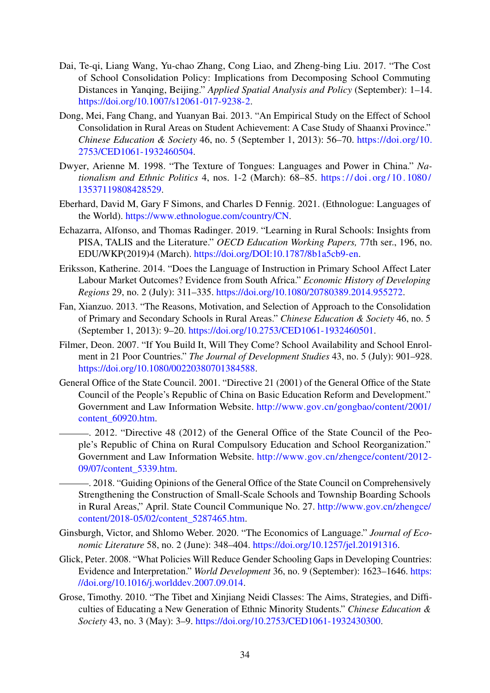- <span id="page-37-8"></span>Dai, Te-qi, Liang Wang, Yu-chao Zhang, Cong Liao, and Zheng-bing Liu. 2017. "The Cost of School Consolidation Policy: Implications from Decomposing School Commuting Distances in Yanqing, Beijing." *Applied Spatial Analysis and Policy* (September): 1–14. [https://doi.org/10.1007/s12061-017-9238-2.](https://doi.org/10.1007/s12061-017-9238-2)
- <span id="page-37-1"></span>Dong, Mei, Fang Chang, and Yuanyan Bai. 2013. "An Empirical Study on the Effect of School Consolidation in Rural Areas on Student Achievement: A Case Study of Shaanxi Province." *Chinese Education & Society* 46, no. 5 (September 1, 2013): 56–70. [https://doi.org/10.](https://doi.org/10.2753/CED1061-1932460504) [2753/CED1061-1932460504.](https://doi.org/10.2753/CED1061-1932460504)
- <span id="page-37-3"></span>Dwyer, Arienne M. 1998. "The Texture of Tongues: Languages and Power in China." *Nationalism and Ethnic Politics* 4, nos. 1-2 (March): 68–85. [https : / / doi . org / 10 . 1080 /](https://doi.org/10.1080/13537119808428529) [13537119808428529.](https://doi.org/10.1080/13537119808428529)
- <span id="page-37-2"></span>Eberhard, David M, Gary F Simons, and Charles D Fennig. 2021. (Ethnologue: Languages of the World). [https://www.ethnologue.com/country/CN.](https://www.ethnologue.com/country/CN)
- <span id="page-37-0"></span>Echazarra, Alfonso, and Thomas Radinger. 2019. "Learning in Rural Schools: Insights from PISA, TALIS and the Literature." *OECD Education Working Papers,* 77th ser., 196, no. EDU/WKP(2019)4 (March). [https://doi.org/DOI:10.1787/8b1a5cb9-en.](https://doi.org/DOI: 10.1787/8b1a5cb9-en)
- <span id="page-37-6"></span>Eriksson, Katherine. 2014. "Does the Language of Instruction in Primary School Affect Later Labour Market Outcomes? Evidence from South Africa." *Economic History of Developing Regions* 29, no. 2 (July): 311–335. [https://doi.org/10.1080/20780389.2014.955272.](https://doi.org/10.1080/20780389.2014.955272)
- <span id="page-37-10"></span>Fan, Xianzuo. 2013. "The Reasons, Motivation, and Selection of Approach to the Consolidation of Primary and Secondary Schools in Rural Areas." *Chinese Education & Society* 46, no. 5 (September 1, 2013): 9–20. [https://doi.org/10.2753/CED1061-1932460501.](https://doi.org/10.2753/CED1061-1932460501)
- <span id="page-37-4"></span>Filmer, Deon. 2007. "If You Build It, Will They Come? School Availability and School Enrolment in 21 Poor Countries." *The Journal of Development Studies* 43, no. 5 (July): 901–928. [https://doi.org/10.1080/00220380701384588.](https://doi.org/10.1080/00220380701384588)
- <span id="page-37-9"></span>General Office of the State Council. 2001. "Directive 21 (2001) of the General Office of the State Council of the People's Republic of China on Basic Education Reform and Development." Government and Law Information Website. [http://www.gov.cn/gongbao/content/2001/](http://www.gov.cn/gongbao/content/2001/content_60920.htm) [content\\_60920.htm.](http://www.gov.cn/gongbao/content/2001/content_60920.htm)
- <span id="page-37-12"></span><span id="page-37-11"></span>. 2012. "Directive 48 (2012) of the General Office of the State Council of the People's Republic of China on Rural Compulsory Education and School Reorganization." Government and Law Information Website. [http://www.gov.cn/zhengce/content/2012-](http://www.gov.cn/zhengce/content/2012-09/07/content_5339.htm) [09/07/content\\_5339.htm.](http://www.gov.cn/zhengce/content/2012-09/07/content_5339.htm)
	- . 2018. "Guiding Opinions of the General Office of the State Council on Comprehensively Strengthening the Construction of Small-Scale Schools and Township Boarding Schools in Rural Areas," April. State Council Communique No. 27. [http://www.gov.cn/zhengce/](http://www.gov.cn/zhengce/content/2018-05/02/content_5287465.htm) [content/2018-05/02/content\\_5287465.htm.](http://www.gov.cn/zhengce/content/2018-05/02/content_5287465.htm)
- <span id="page-37-7"></span>Ginsburgh, Victor, and Shlomo Weber. 2020. "The Economics of Language." *Journal of Economic Literature* 58, no. 2 (June): 348–404. [https://doi.org/10.1257/jel.20191316.](https://doi.org/10.1257/jel.20191316)
- <span id="page-37-5"></span>Glick, Peter. 2008. "What Policies Will Reduce Gender Schooling Gaps in Developing Countries: Evidence and Interpretation." *World Development* 36, no. 9 (September): 1623–1646. [https:](https://doi.org/10.1016/j.worlddev.2007.09.014) [//doi.org/10.1016/j.worlddev.2007.09.014.](https://doi.org/10.1016/j.worlddev.2007.09.014)
- <span id="page-37-13"></span>Grose, Timothy. 2010. "The Tibet and Xinjiang Neidi Classes: The Aims, Strategies, and Difficulties of Educating a New Generation of Ethnic Minority Students." *Chinese Education & Society* 43, no. 3 (May): 3–9. [https://doi.org/10.2753/CED1061-1932430300.](https://doi.org/10.2753/CED1061-1932430300)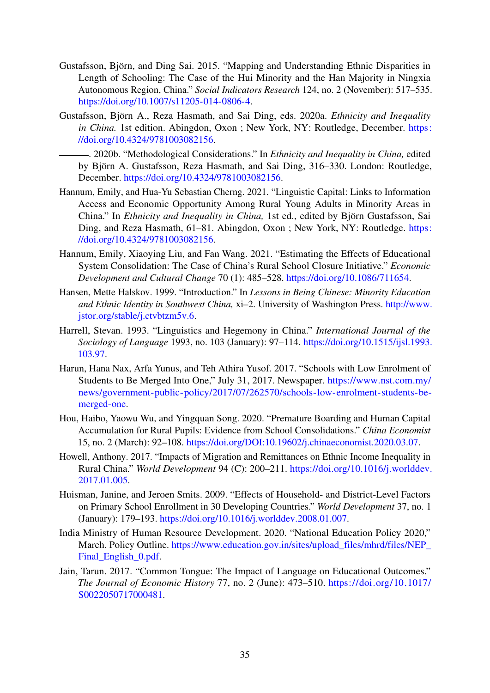- <span id="page-38-3"></span>Gustafsson, Björn, and Ding Sai. 2015. "Mapping and Understanding Ethnic Disparities in Length of Schooling: The Case of the Hui Minority and the Han Majority in Ningxia Autonomous Region, China." *Social Indicators Research* 124, no. 2 (November): 517–535. [https://doi.org/10.1007/s11205-014-0806-4.](https://doi.org/10.1007/s11205-014-0806-4)
- <span id="page-38-12"></span>Gustafsson, Björn A., Reza Hasmath, and Sai Ding, eds. 2020a. *Ethnicity and Inequality in China.* 1st edition. Abingdon, Oxon ; New York, NY: Routledge, December. [https:](https://doi.org/10.4324/9781003082156) [//doi.org/10.4324/9781003082156.](https://doi.org/10.4324/9781003082156)

<span id="page-38-10"></span>. 2020b. "Methodological Considerations." In *Ethnicity and Inequality in China,* edited by Björn A. Gustafsson, Reza Hasmath, and Sai Ding, 316–330. London: Routledge, December. [https://doi.org/10.4324/9781003082156.](https://doi.org/10.4324/9781003082156)

- <span id="page-38-8"></span>Hannum, Emily, and Hua-Yu Sebastian Cherng. 2021. "Linguistic Capital: Links to Information Access and Economic Opportunity Among Rural Young Adults in Minority Areas in China." In *Ethnicity and Inequality in China,* 1st ed., edited by Björn Gustafsson, Sai Ding, and Reza Hasmath, 61–81. Abingdon, Oxon ; New York, NY: Routledge. [https:](https://doi.org/10.4324/9781003082156) [//doi.org/10.4324/9781003082156.](https://doi.org/10.4324/9781003082156)
- <span id="page-38-1"></span>Hannum, Emily, Xiaoying Liu, and Fan Wang. 2021. "Estimating the Effects of Educational System Consolidation: The Case of China's Rural School Closure Initiative." *Economic Development and Cultural Change* 70 (1): 485–528. [https://doi.org/10.1086/711654.](https://doi.org/10.1086/711654)
- <span id="page-38-9"></span>Hansen, Mette Halskov. 1999. "Introduction." In *Lessons in Being Chinese: Minority Education and Ethnic Identity in Southwest China,* xi–2. University of Washington Press. [http://www.](http://www.jstor.org/stable/j.ctvbtzm5v.6) [jstor.org/stable/j.ctvbtzm5v.6.](http://www.jstor.org/stable/j.ctvbtzm5v.6)
- <span id="page-38-4"></span>Harrell, Stevan. 1993. "Linguistics and Hegemony in China." *International Journal of the Sociology of Language* 1993, no. 103 (January): 97–114. [https://doi.org/10.1515/ijsl.1993.](https://doi.org/10.1515/ijsl.1993.103.97) [103.97.](https://doi.org/10.1515/ijsl.1993.103.97)
- <span id="page-38-0"></span>Harun, Hana Nax, Arfa Yunus, and Teh Athira Yusof. 2017. "Schools with Low Enrolment of Students to Be Merged Into One," July 31, 2017. Newspaper. [https://www.nst.com.my/](https://www.nst.com.my/news/government-public-policy/2017/07/262570/schools-low-enrolment-students-be-merged-one) [news/government-public-policy/2017/07/262570/schools-low-enrolment-students-be](https://www.nst.com.my/news/government-public-policy/2017/07/262570/schools-low-enrolment-students-be-merged-one)[merged-one.](https://www.nst.com.my/news/government-public-policy/2017/07/262570/schools-low-enrolment-students-be-merged-one)
- <span id="page-38-2"></span>Hou, Haibo, Yaowu Wu, and Yingquan Song. 2020. "Premature Boarding and Human Capital Accumulation for Rural Pupils: Evidence from School Consolidations." *China Economist* 15, no. 2 (March): 92–108. [https://doi.org/DOI:10.19602/j.chinaeconomist.2020.03.07.](https://doi.org/DOI:10.19602/j.chinaeconomist.2020.03.07)
- <span id="page-38-11"></span>Howell, Anthony. 2017. "Impacts of Migration and Remittances on Ethnic Income Inequality in Rural China." *World Development* 94 (C): 200–211. [https://doi.org/10.1016/j.worlddev.](https://doi.org/10.1016/j.worlddev.2017.01.005) [2017.01.005.](https://doi.org/10.1016/j.worlddev.2017.01.005)
- <span id="page-38-6"></span>Huisman, Janine, and Jeroen Smits. 2009. "Effects of Household- and District-Level Factors on Primary School Enrollment in 30 Developing Countries." *World Development* 37, no. 1 (January): 179–193. [https://doi.org/10.1016/j.worlddev.2008.01.007.](https://doi.org/10.1016/j.worlddev.2008.01.007)
- <span id="page-38-5"></span>India Ministry of Human Resource Development. 2020. "National Education Policy 2020," March. Policy Outline. [https://www.education.gov.in/sites/upload\\_files/mhrd/files/NEP\\_](https://www.education.gov.in/sites/upload_files/mhrd/files/NEP_Final_English_0.pdf) Final English 0.pdf.
- <span id="page-38-7"></span>Jain, Tarun. 2017. "Common Tongue: The Impact of Language on Educational Outcomes." *The Journal of Economic History* 77, no. 2 (June): 473–510. [https://doi.org/10.1017/](https://doi.org/10.1017/S0022050717000481) [S0022050717000481.](https://doi.org/10.1017/S0022050717000481)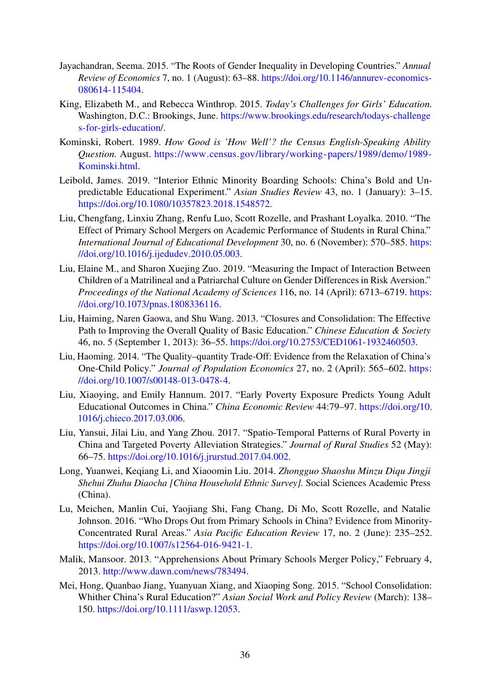- <span id="page-39-5"></span>Jayachandran, Seema. 2015. "The Roots of Gender Inequality in Developing Countries." *Annual Review of Economics* 7, no. 1 (August): 63–88. [https://doi.org/10.1146/annurev-economics-](https://doi.org/10.1146/annurev-economics-080614-115404)[080614-115404.](https://doi.org/10.1146/annurev-economics-080614-115404)
- <span id="page-39-4"></span>King, Elizabeth M., and Rebecca Winthrop. 2015. *Today's Challenges for Girls' Education.* Washington, D.C.: Brookings, June. [https://www.brookings.edu/research/todays-challenge](https://www.brookings.edu/research/todays-challenges-for-girls-education/) [s-for-girls-education/.](https://www.brookings.edu/research/todays-challenges-for-girls-education/)
- <span id="page-39-13"></span>Kominski, Robert. 1989. *How Good is 'How Well'? the Census English-Speaking Ability Question.* August. [https://www.census.gov/library/working-papers/1989/demo/1989-](https://www.census.gov/library/working-papers/1989/demo/1989-Kominski.html) [Kominski.html.](https://www.census.gov/library/working-papers/1989/demo/1989-Kominski.html)
- <span id="page-39-9"></span>Leibold, James. 2019. "Interior Ethnic Minority Boarding Schools: China's Bold and Unpredictable Educational Experiment." *Asian Studies Review* 43, no. 1 (January): 3–15. [https://doi.org/10.1080/10357823.2018.1548572.](https://doi.org/10.1080/10357823.2018.1548572)
- <span id="page-39-2"></span>Liu, Chengfang, Linxiu Zhang, Renfu Luo, Scott Rozelle, and Prashant Loyalka. 2010. "The Effect of Primary School Mergers on Academic Performance of Students in Rural China." *International Journal of Educational Development* 30, no. 6 (November): 570–585. [https:](https://doi.org/10.1016/j.ijedudev.2010.05.003) [//doi.org/10.1016/j.ijedudev.2010.05.003.](https://doi.org/10.1016/j.ijedudev.2010.05.003)
- <span id="page-39-11"></span>Liu, Elaine M., and Sharon Xuejing Zuo. 2019. "Measuring the Impact of Interaction Between Children of a Matrilineal and a Patriarchal Culture on Gender Differences in Risk Aversion." *Proceedings of the National Academy of Sciences* 116, no. 14 (April): 6713–6719. [https:](https://doi.org/10.1073/pnas.1808336116) [//doi.org/10.1073/pnas.1808336116.](https://doi.org/10.1073/pnas.1808336116)
- <span id="page-39-6"></span>Liu, Haiming, Naren Gaowa, and Shu Wang. 2013. "Closures and Consolidation: The Effective Path to Improving the Overall Quality of Basic Education." *Chinese Education & Society* 46, no. 5 (September 1, 2013): 36–55. [https://doi.org/10.2753/CED1061-1932460503.](https://doi.org/10.2753/CED1061-1932460503)
- <span id="page-39-3"></span>Liu, Haoming. 2014. "The Quality–quantity Trade-Off: Evidence from the Relaxation of China's One-Child Policy." *Journal of Population Economics* 27, no. 2 (April): 565–602. [https:](https://doi.org/10.1007/s00148-013-0478-4) [//doi.org/10.1007/s00148-013-0478-4.](https://doi.org/10.1007/s00148-013-0478-4)
- <span id="page-39-7"></span>Liu, Xiaoying, and Emily Hannum. 2017. "Early Poverty Exposure Predicts Young Adult Educational Outcomes in China." *China Economic Review* 44:79–97. [https://doi.org/10.](https://doi.org/10.1016/j.chieco.2017.03.006) [1016/j.chieco.2017.03.006.](https://doi.org/10.1016/j.chieco.2017.03.006)
- <span id="page-39-8"></span>Liu, Yansui, Jilai Liu, and Yang Zhou. 2017. "Spatio-Temporal Patterns of Rural Poverty in China and Targeted Poverty Alleviation Strategies." *Journal of Rural Studies* 52 (May): 66–75. [https://doi.org/10.1016/j.jrurstud.2017.04.002.](https://doi.org/10.1016/j.jrurstud.2017.04.002)
- <span id="page-39-12"></span>Long, Yuanwei, Keqiang Li, and Xiaoomin Liu. 2014. *Zhongguo Shaoshu Minzu Diqu Jingji Shehui Zhuhu Diaocha [China Household Ethnic Survey].* Social Sciences Academic Press (China).
- <span id="page-39-10"></span>Lu, Meichen, Manlin Cui, Yaojiang Shi, Fang Chang, Di Mo, Scott Rozelle, and Natalie Johnson. 2016. "Who Drops Out from Primary Schools in China? Evidence from Minority-Concentrated Rural Areas." *Asia Pacific Education Review* 17, no. 2 (June): 235–252. [https://doi.org/10.1007/s12564-016-9421-1.](https://doi.org/10.1007/s12564-016-9421-1)
- <span id="page-39-0"></span>Malik, Mansoor. 2013. "Apprehensions About Primary Schools Merger Policy," February 4, 2013. [http://www.dawn.com/news/783494.](http://www.dawn.com/news/783494)
- <span id="page-39-1"></span>Mei, Hong, Quanbao Jiang, Yuanyuan Xiang, and Xiaoping Song. 2015. "School Consolidation: Whither China's Rural Education?" *Asian Social Work and Policy Review* (March): 138– 150. [https://doi.org/10.1111/aswp.12053.](https://doi.org/10.1111/aswp.12053)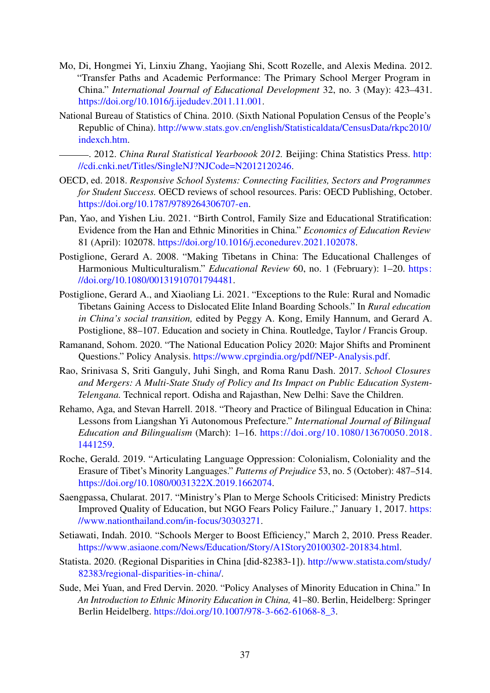- <span id="page-40-7"></span>Mo, Di, Hongmei Yi, Linxiu Zhang, Yaojiang Shi, Scott Rozelle, and Alexis Medina. 2012. "Transfer Paths and Academic Performance: The Primary School Merger Program in China." *International Journal of Educational Development* 32, no. 3 (May): 423–431. [https://doi.org/10.1016/j.ijedudev.2011.11.001.](https://doi.org/10.1016/j.ijedudev.2011.11.001)
- <span id="page-40-14"></span>National Bureau of Statistics of China. 2010. (Sixth National Population Census of the People's Republic of China). [http://www.stats.gov.cn/english/Statisticaldata/CensusData/rkpc2010/](http://www.stats.gov.cn/english/Statisticaldata/CensusData/rkpc2010/indexch.htm) [indexch.htm.](http://www.stats.gov.cn/english/Statisticaldata/CensusData/rkpc2010/indexch.htm)

<span id="page-40-13"></span>. 2012. *China Rural Statistical Yearboook 2012.* Beijing: China Statistics Press. [http:](http://cdi.cnki.net/Titles/SingleNJ?NJCode=N2012120246) [//cdi.cnki.net/Titles/SingleNJ?NJCode=N2012120246.](http://cdi.cnki.net/Titles/SingleNJ?NJCode=N2012120246)

- <span id="page-40-0"></span>OECD, ed. 2018. *Responsive School Systems: Connecting Facilities, Sectors and Programmes for Student Success.* OECD reviews of school resources. Paris: OECD Publishing, October. [https://doi.org/10.1787/9789264306707-en.](https://doi.org/10.1787/9789264306707-en)
- <span id="page-40-3"></span>Pan, Yao, and Yishen Liu. 2021. "Birth Control, Family Size and Educational Stratification: Evidence from the Han and Ethnic Minorities in China." *Economics of Education Review* 81 (April): 102078. [https://doi.org/10.1016/j.econedurev.2021.102078.](https://doi.org/10.1016/j.econedurev.2021.102078)
- <span id="page-40-10"></span>Postiglione, Gerard A. 2008. "Making Tibetans in China: The Educational Challenges of Harmonious Multiculturalism." *Educational Review* 60, no. 1 (February): 1–20. [https:](https://doi.org/10.1080/00131910701794481) [//doi.org/10.1080/00131910701794481.](https://doi.org/10.1080/00131910701794481)
- <span id="page-40-11"></span>Postiglione, Gerard A., and Xiaoliang Li. 2021. "Exceptions to the Rule: Rural and Nomadic Tibetans Gaining Access to Dislocated Elite Inland Boarding Schools." In *Rural education in China's social transition,* edited by Peggy A. Kong, Emily Hannum, and Gerard A. Postiglione, 88–107. Education and society in China. Routledge, Taylor / Francis Group.
- <span id="page-40-5"></span>Ramanand, Sohom. 2020. "The National Education Policy 2020: Major Shifts and Prominent Questions." Policy Analysis. [https://www.cprgindia.org/pdf/NEP-Analysis.pdf.](https://www.cprgindia.org/pdf/NEP-Analysis.pdf)
- <span id="page-40-6"></span>Rao, Srinivasa S, Sriti Ganguly, Juhi Singh, and Roma Ranu Dash. 2017. *School Closures and Mergers: A Multi-State Study of Policy and Its Impact on Public Education System-Telengana.* Technical report. Odisha and Rajasthan, New Delhi: Save the Children.
- <span id="page-40-9"></span>Rehamo, Aga, and Stevan Harrell. 2018. "Theory and Practice of Bilingual Education in China: Lessons from Liangshan Yi Autonomous Prefecture." *International Journal of Bilingual Education and Bilingualism* (March): 1–16. [https://doi.org/10.1080/13670050.2018.](https://doi.org/10.1080/13670050.2018.1441259) [1441259.](https://doi.org/10.1080/13670050.2018.1441259)
- <span id="page-40-4"></span>Roche, Gerald. 2019. "Articulating Language Oppression: Colonialism, Coloniality and the Erasure of Tibet's Minority Languages." *Patterns of Prejudice* 53, no. 5 (October): 487–514. [https://doi.org/10.1080/0031322X.2019.1662074.](https://doi.org/10.1080/0031322X.2019.1662074)
- <span id="page-40-1"></span>Saengpassa, Chularat. 2017. "Ministry's Plan to Merge Schools Criticised: Ministry Predicts Improved Quality of Education, but NGO Fears Policy Failure.," January 1, 2017. [https:](https://www.nationthailand.com/in-focus/30303271) [//www.nationthailand.com/in-focus/30303271.](https://www.nationthailand.com/in-focus/30303271)
- <span id="page-40-12"></span>Setiawati, Indah. 2010. "Schools Merger to Boost Efficiency," March 2, 2010. Press Reader. [https://www.asiaone.com/News/Education/Story/A1Story20100302-201834.html.](https://www.asiaone.com/News/Education/Story/A1Story20100302-201834.html)
- <span id="page-40-2"></span>Statista. 2020. (Regional Disparities in China [did-82383-1]). [http://www.statista.com/study/](http://www.statista.com/study/82383/regional-disparities-in-china/) [82383/regional-disparities-in-china/.](http://www.statista.com/study/82383/regional-disparities-in-china/)
- <span id="page-40-8"></span>Sude, Mei Yuan, and Fred Dervin. 2020. "Policy Analyses of Minority Education in China." In *An Introduction to Ethnic Minority Education in China,* 41–80. Berlin, Heidelberg: Springer Berlin Heidelberg. [https://doi.org/10.1007/978-3-662-61068-8\\_3.](https://doi.org/10.1007/978-3-662-61068-8_3)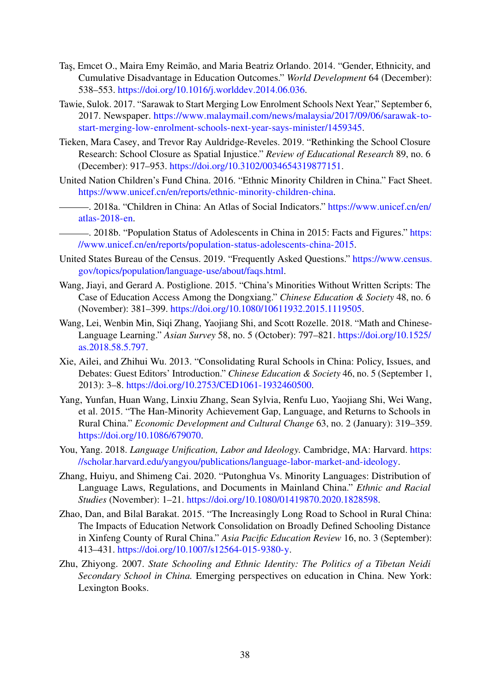- <span id="page-41-5"></span>Taş, Emcet O., Maira Emy Reimão, and Maria Beatriz Orlando. 2014. "Gender, Ethnicity, and Cumulative Disadvantage in Education Outcomes." *World Development* 64 (December): 538–553. [https://doi.org/10.1016/j.worlddev.2014.06.036.](https://doi.org/10.1016/j.worlddev.2014.06.036)
- <span id="page-41-0"></span>Tawie, Sulok. 2017. "Sarawak to Start Merging Low Enrolment Schools Next Year," September 6, 2017. Newspaper. [https://www.malaymail.com/news/malaysia/2017/09/06/sarawak-to](https://www.malaymail.com/news/malaysia/2017/09/06/sarawak-to-start-merging-low-enrolment-schools-next-year-says-minister/1459345)[start-merging-low-enrolment-schools-next-year-says-minister/1459345.](https://www.malaymail.com/news/malaysia/2017/09/06/sarawak-to-start-merging-low-enrolment-schools-next-year-says-minister/1459345)
- <span id="page-41-1"></span>Tieken, Mara Casey, and Trevor Ray Auldridge-Reveles. 2019. "Rethinking the School Closure Research: School Closure as Spatial Injustice." *Review of Educational Research* 89, no. 6 (December): 917–953. [https://doi.org/10.3102/0034654319877151.](https://doi.org/10.3102/0034654319877151)
- <span id="page-41-3"></span>United Nation Children's Fund China. 2016. "Ethnic Minority Children in China." Fact Sheet. [https://www.unicef.cn/en/reports/ethnic-minority-children-china.](https://www.unicef.cn/en/reports/ethnic-minority-children-china)
- <span id="page-41-7"></span>. 2018a. "Children in China: An Atlas of Social Indicators." [https://www.unicef.cn/en/](https://www.unicef.cn/en/atlas-2018-en) [atlas-2018-en.](https://www.unicef.cn/en/atlas-2018-en)
- <span id="page-41-2"></span>. 2018b. "Population Status of Adolescents in China in 2015: Facts and Figures." [https:](https://www.unicef.cn/en/reports/population-status-adolescents-china-2015) [//www.unicef.cn/en/reports/population-status-adolescents-china-2015.](https://www.unicef.cn/en/reports/population-status-adolescents-china-2015)
- <span id="page-41-14"></span>United States Bureau of the Census. 2019. "Frequently Asked Questions." [https://www.census.](https://www.census.gov/topics/population/language-use/about/faqs.html) [gov/topics/population/language-use/about/faqs.html.](https://www.census.gov/topics/population/language-use/about/faqs.html)
- <span id="page-41-11"></span>Wang, Jiayi, and Gerard A. Postiglione. 2015. "China's Minorities Without Written Scripts: The Case of Education Access Among the Dongxiang." *Chinese Education & Society* 48, no. 6 (November): 381–399. [https://doi.org/10.1080/10611932.2015.1119505.](https://doi.org/10.1080/10611932.2015.1119505)
- <span id="page-41-4"></span>Wang, Lei, Wenbin Min, Siqi Zhang, Yaojiang Shi, and Scott Rozelle. 2018. "Math and Chinese-Language Learning." *Asian Survey* 58, no. 5 (October): 797–821. [https://doi.org/10.1525/](https://doi.org/10.1525/as.2018.58.5.797) [as.2018.58.5.797.](https://doi.org/10.1525/as.2018.58.5.797)
- <span id="page-41-6"></span>Xie, Ailei, and Zhihui Wu. 2013. "Consolidating Rural Schools in China: Policy, Issues, and Debates: Guest Editors' Introduction." *Chinese Education & Society* 46, no. 5 (September 1, 2013): 3–8. [https://doi.org/10.2753/CED1061-1932460500.](https://doi.org/10.2753/CED1061-1932460500)
- <span id="page-41-12"></span>Yang, Yunfan, Huan Wang, Linxiu Zhang, Sean Sylvia, Renfu Luo, Yaojiang Shi, Wei Wang, et al. 2015. "The Han-Minority Achievement Gap, Language, and Returns to Schools in Rural China." *Economic Development and Cultural Change* 63, no. 2 (January): 319–359. [https://doi.org/10.1086/679070.](https://doi.org/10.1086/679070)
- <span id="page-41-13"></span>You, Yang. 2018. *Language Unification, Labor and Ideology.* Cambridge, MA: Harvard. [https:](https://scholar.harvard.edu/yangyou/publications/language-labor-market-and-ideology) [//scholar.harvard.edu/yangyou/publications/language-labor-market-and-ideology.](https://scholar.harvard.edu/yangyou/publications/language-labor-market-and-ideology)
- <span id="page-41-10"></span>Zhang, Huiyu, and Shimeng Cai. 2020. "Putonghua Vs. Minority Languages: Distribution of Language Laws, Regulations, and Documents in Mainland China." *Ethnic and Racial Studies* (November): 1–21. [https://doi.org/10.1080/01419870.2020.1828598.](https://doi.org/10.1080/01419870.2020.1828598)
- <span id="page-41-8"></span>Zhao, Dan, and Bilal Barakat. 2015. "The Increasingly Long Road to School in Rural China: The Impacts of Education Network Consolidation on Broadly Defined Schooling Distance in Xinfeng County of Rural China." *Asia Pacific Education Review* 16, no. 3 (September): 413–431. [https://doi.org/10.1007/s12564-015-9380-y.](https://doi.org/10.1007/s12564-015-9380-y)
- <span id="page-41-9"></span>Zhu, Zhiyong. 2007. *State Schooling and Ethnic Identity: The Politics of a Tibetan Neidi Secondary School in China.* Emerging perspectives on education in China. New York: Lexington Books.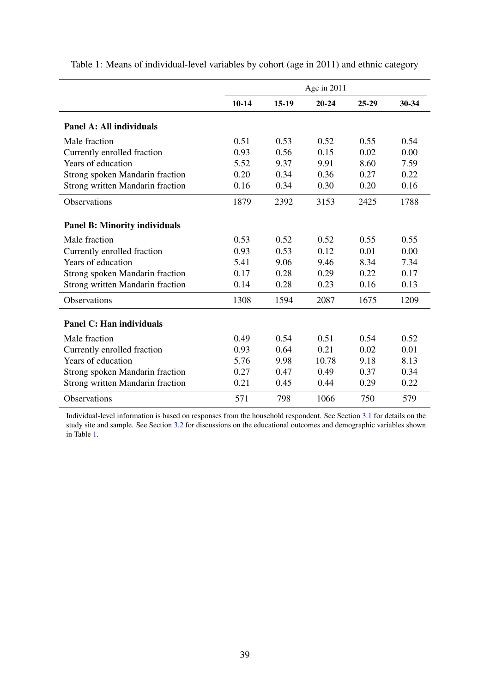|                                         |           |         | Age in $2011$ |         |       |
|-----------------------------------------|-----------|---------|---------------|---------|-------|
|                                         | $10 - 14$ | $15-19$ | $20 - 24$     | $25-29$ | 30-34 |
| Panel A: All individuals                |           |         |               |         |       |
| Male fraction                           | 0.51      | 0.53    | 0.52          | 0.55    | 0.54  |
| Currently enrolled fraction             | 0.93      | 0.56    | 0.15          | 0.02    | 0.00  |
| Years of education                      | 5.52      | 9.37    | 9.91          | 8.60    | 7.59  |
| Strong spoken Mandarin fraction         | 0.20      | 0.34    | 0.36          | 0.27    | 0.22  |
| <b>Strong written Mandarin fraction</b> | 0.16      | 0.34    | 0.30          | 0.20    | 0.16  |
| <b>Observations</b>                     | 1879      | 2392    | 3153          | 2425    | 1788  |
| <b>Panel B: Minority individuals</b>    |           |         |               |         |       |
| Male fraction                           | 0.53      | 0.52    | 0.52          | 0.55    | 0.55  |
| Currently enrolled fraction             | 0.93      | 0.53    | 0.12          | 0.01    | 0.00  |
| Years of education                      | 5.41      | 9.06    | 9.46          | 8.34    | 7.34  |
| Strong spoken Mandarin fraction         | 0.17      | 0.28    | 0.29          | 0.22    | 0.17  |
| <b>Strong written Mandarin fraction</b> | 0.14      | 0.28    | 0.23          | 0.16    | 0.13  |
| <b>Observations</b>                     | 1308      | 1594    | 2087          | 1675    | 1209  |
| <b>Panel C: Han individuals</b>         |           |         |               |         |       |
| Male fraction                           | 0.49      | 0.54    | 0.51          | 0.54    | 0.52  |
| Currently enrolled fraction             | 0.93      | 0.64    | 0.21          | 0.02    | 0.01  |
| Years of education                      | 5.76      | 9.98    | 10.78         | 9.18    | 8.13  |
| Strong spoken Mandarin fraction         | 0.27      | 0.47    | 0.49          | 0.37    | 0.34  |
| <b>Strong written Mandarin fraction</b> | 0.21      | 0.45    | 0.44          | 0.29    | 0.22  |
| <b>Observations</b>                     | 571       | 798     | 1066          | 750     | 579   |

<span id="page-42-0"></span>Table 1: Means of individual-level variables by cohort (age in 2011) and ethnic category

Individual-level information is based on responses from the household respondent. See Section [3.1](#page-19-8) for details on the study site and sample. See Section [3.2](#page-19-9) for discussions on the educational outcomes and demographic variables shown in Table [1.](#page-42-0)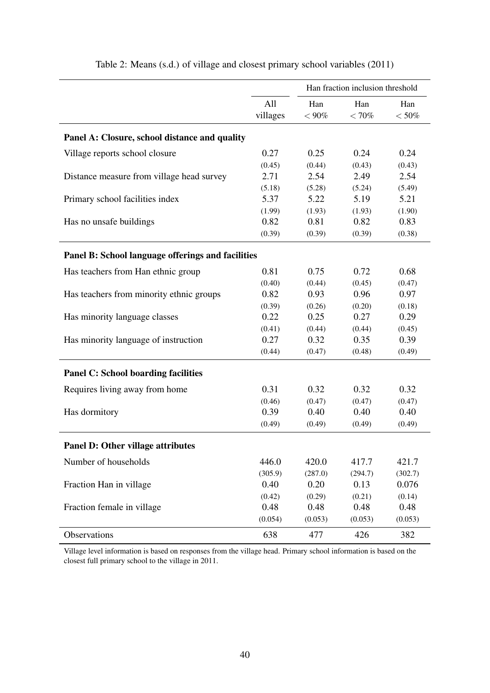<span id="page-43-0"></span>

|                                                   |          | Han fraction inclusion threshold |         |          |  |
|---------------------------------------------------|----------|----------------------------------|---------|----------|--|
|                                                   | All      | Han                              | Han     | Han      |  |
|                                                   | villages | $<90\%$                          | $<70\%$ | $< 50\%$ |  |
| Panel A: Closure, school distance and quality     |          |                                  |         |          |  |
| Village reports school closure                    | 0.27     | 0.25                             | 0.24    | 0.24     |  |
|                                                   | (0.45)   | (0.44)                           | (0.43)  | (0.43)   |  |
| Distance measure from village head survey         | 2.71     | 2.54                             | 2.49    | 2.54     |  |
|                                                   | (5.18)   | (5.28)                           | (5.24)  | (5.49)   |  |
| Primary school facilities index                   | 5.37     | 5.22                             | 5.19    | 5.21     |  |
|                                                   | (1.99)   | (1.93)                           | (1.93)  | (1.90)   |  |
| Has no unsafe buildings                           | 0.82     | 0.81                             | 0.82    | 0.83     |  |
|                                                   | (0.39)   | (0.39)                           | (0.39)  | (0.38)   |  |
| Panel B: School language offerings and facilities |          |                                  |         |          |  |
| Has teachers from Han ethnic group                | 0.81     | 0.75                             | 0.72    | 0.68     |  |
|                                                   | (0.40)   | (0.44)                           | (0.45)  | (0.47)   |  |
| Has teachers from minority ethnic groups          | 0.82     | 0.93                             | 0.96    | 0.97     |  |
|                                                   | (0.39)   | (0.26)                           | (0.20)  | (0.18)   |  |
| Has minority language classes                     | 0.22     | 0.25                             | 0.27    | 0.29     |  |
|                                                   | (0.41)   | (0.44)                           | (0.44)  | (0.45)   |  |
| Has minority language of instruction              | 0.27     | 0.32                             | 0.35    | 0.39     |  |
|                                                   | (0.44)   | (0.47)                           | (0.48)  | (0.49)   |  |
| <b>Panel C: School boarding facilities</b>        |          |                                  |         |          |  |
| Requires living away from home                    | 0.31     | 0.32                             | 0.32    | 0.32     |  |
|                                                   | (0.46)   | (0.47)                           | (0.47)  | (0.47)   |  |
| Has dormitory                                     | 0.39     | 0.40                             | 0.40    | 0.40     |  |
|                                                   | (0.49)   | (0.49)                           | (0.49)  | (0.49)   |  |
| <b>Panel D: Other village attributes</b>          |          |                                  |         |          |  |
| Number of households                              | 446.0    | 420.0                            | 417.7   | 421.7    |  |
|                                                   | (305.9)  | (287.0)                          | (294.7) | (302.7)  |  |
| Fraction Han in village                           | 0.40     | 0.20                             | 0.13    | 0.076    |  |
|                                                   | (0.42)   | (0.29)                           | (0.21)  | (0.14)   |  |
| Fraction female in village                        | 0.48     | 0.48                             | 0.48    | 0.48     |  |
|                                                   | (0.054)  | (0.053)                          | (0.053) | (0.053)  |  |
| Observations                                      | 638      | 477                              | 426     | 382      |  |

Table 2: Means (s.d.) of village and closest primary school variables (2011)

Village level information is based on responses from the village head. Primary school information is based on the closest full primary school to the village in 2011.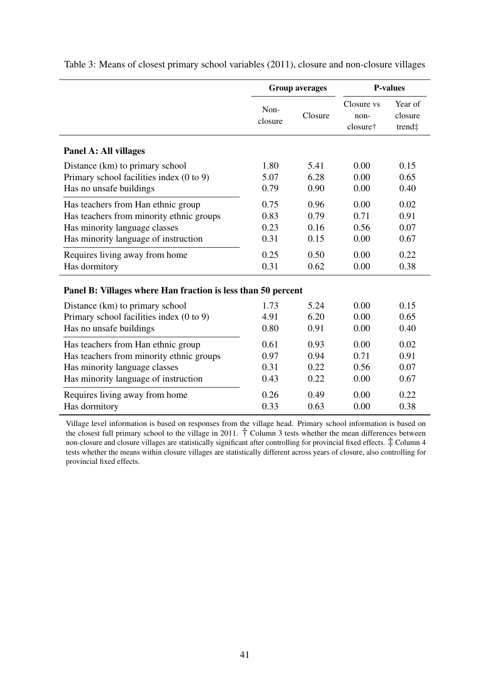|                                                              | <b>Group averages</b> |         | <b>P-values</b>                |                              |  |
|--------------------------------------------------------------|-----------------------|---------|--------------------------------|------------------------------|--|
|                                                              | Non-<br>closure       | Closure | Closure vs<br>non-<br>closure† | Year of<br>closure<br>trend‡ |  |
| Panel A: All villages                                        |                       |         |                                |                              |  |
| Distance (km) to primary school                              | 1.80                  | 5.41    | 0.00                           | 0.15                         |  |
| Primary school facilities index (0 to 9)                     | 5.07                  | 6.28    | 0.00                           | 0.65                         |  |
| Has no unsafe buildings                                      | 0.79                  | 0.90    | 0.00                           | 0.40                         |  |
| Has teachers from Han ethnic group                           | 0.75                  | 0.96    | 0.00                           | 0.02                         |  |
| Has teachers from minority ethnic groups                     | 0.83                  | 0.79    | 0.71                           | 0.91                         |  |
| Has minority language classes                                | 0.23                  | 0.16    | 0.56                           | 0.07                         |  |
| Has minority language of instruction                         | 0.31                  | 0.15    | 0.00                           | 0.67                         |  |
| Requires living away from home                               | 0.25                  | 0.50    | 0.00                           | 0.22                         |  |
| Has dormitory                                                | 0.31                  | 0.62    | 0.00                           | 0.38                         |  |
| Panel B: Villages where Han fraction is less than 50 percent |                       |         |                                |                              |  |
| Distance (km) to primary school                              | 1.73                  | 5.24    | 0.00                           | 0.15                         |  |
| Primary school facilities index (0 to 9)                     | 4.91                  | 6.20    | 0.00                           | 0.65                         |  |
| Has no unsafe buildings                                      | 0.80                  | 0.91    | 0.00                           | 0.40                         |  |
| Has teachers from Han ethnic group                           | 0.61                  | 0.93    | 0.00                           | 0.02                         |  |
| Has teachers from minority ethnic groups                     | 0.97                  | 0.94    | 0.71                           | 0.91                         |  |
| Has minority language classes                                | 0.31                  | 0.22    | 0.56                           | 0.07                         |  |
| Has minority language of instruction                         | 0.43                  | 0.22    | 0.00                           | 0.67                         |  |
| Requires living away from home                               | 0.26                  | 0.49    | 0.00                           | 0.22                         |  |
| Has dormitory                                                | 0.33                  | 0.63    | 0.00                           | 0.38                         |  |

<span id="page-44-0"></span>Table 3: Means of closest primary school variables (2011), closure and non-closure villages

Village level information is based on responses from the village head. Primary school information is based on the closest full primary school to the village in 2011. † Column 3 tests whether the mean differences between non-closure and closure villages are statistically significant after controlling for provincial fixed effects. ‡ Column 4 tests whether the means within closure villages are statistically different across years of closure, also controlling for provincial fixed effects.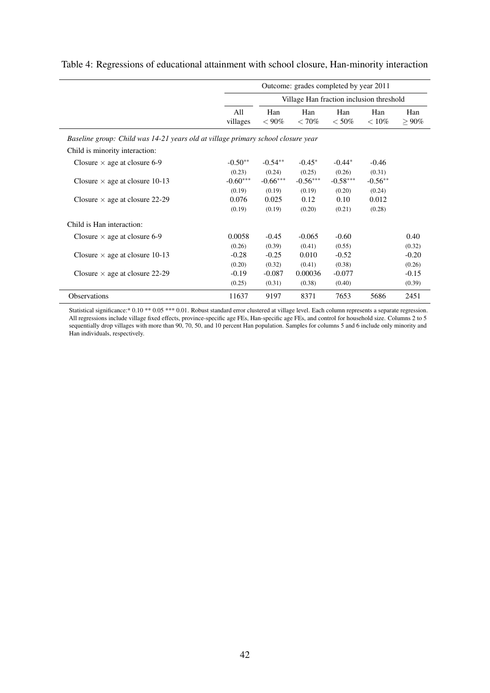|                                                                                  | Outcome: grades completed by year 2011 |                                          |                 |                 |                 |                 |  |
|----------------------------------------------------------------------------------|----------------------------------------|------------------------------------------|-----------------|-----------------|-----------------|-----------------|--|
|                                                                                  |                                        | Village Han fraction inclusion threshold |                 |                 |                 |                 |  |
|                                                                                  | All<br>villages                        | Han<br>$< 90\%$                          | Han<br>$< 70\%$ | Han<br>$< 50\%$ | Han<br>$< 10\%$ | Han<br>$> 90\%$ |  |
| Baseline group: Child was 14-21 years old at village primary school closure year |                                        |                                          |                 |                 |                 |                 |  |
| Child is minority interaction:                                                   |                                        |                                          |                 |                 |                 |                 |  |
| Closure $\times$ age at closure 6-9                                              | $-0.50**$                              | $-0.54**$                                | $-0.45*$        | $-0.44*$        | $-0.46$         |                 |  |
|                                                                                  | (0.23)                                 | (0.24)                                   | (0.25)          | (0.26)          | (0.31)          |                 |  |
| Closure $\times$ age at closure 10-13                                            | $-0.60***$                             | $-0.66***$                               | $-0.56***$      | $-0.58***$      | $-0.56**$       |                 |  |
|                                                                                  | (0.19)                                 | (0.19)                                   | (0.19)          | (0.20)          | (0.24)          |                 |  |
| Closure $\times$ age at closure 22-29                                            | 0.076                                  | 0.025                                    | 0.12            | 0.10            | 0.012           |                 |  |
|                                                                                  | (0.19)                                 | (0.19)                                   | (0.20)          | (0.21)          | (0.28)          |                 |  |
| Child is Han interaction:                                                        |                                        |                                          |                 |                 |                 |                 |  |
| Closure $\times$ age at closure 6-9                                              | 0.0058                                 | $-0.45$                                  | $-0.065$        | $-0.60$         |                 | 0.40            |  |
|                                                                                  | (0.26)                                 | (0.39)                                   | (0.41)          | (0.55)          |                 | (0.32)          |  |
| Closure $\times$ age at closure 10-13                                            | $-0.28$                                | $-0.25$                                  | 0.010           | $-0.52$         |                 | $-0.20$         |  |
|                                                                                  | (0.20)                                 | (0.32)                                   | (0.41)          | (0.38)          |                 | (0.26)          |  |
| Closure $\times$ age at closure 22-29                                            | $-0.19$                                | $-0.087$                                 | 0.00036         | $-0.077$        |                 | $-0.15$         |  |
|                                                                                  | (0.25)                                 | (0.31)                                   | (0.38)          | (0.40)          |                 | (0.39)          |  |
| <b>Observations</b>                                                              | 11637                                  | 9197                                     | 8371            | 7653            | 5686            | 2451            |  |

<span id="page-45-0"></span>Table 4: Regressions of educational attainment with school closure, Han-minority interaction

Statistical significance:\* 0.10 \*\* 0.05 \*\*\* 0.01. Robust standard error clustered at village level. Each column represents a separate regression. All regressions include village fixed effects, province-specific age FEs, Han-specific age FEs, and control for household size. Columns 2 to 5 sequentially drop villages with more than 90, 70, 50, and 10 percent Han population. Samples for columns 5 and 6 include only minority and Han individuals, respectively.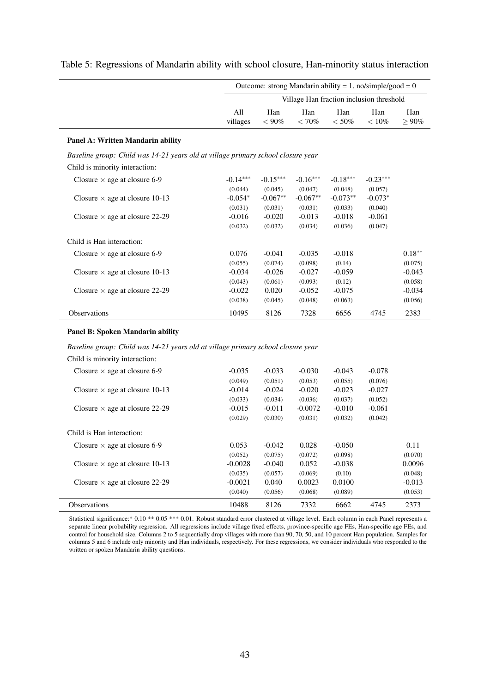|                                                                                  | Outcome: strong Mandarin ability = 1, no/simple/good = $0$ |                                          |                 |                |                 |                 |  |
|----------------------------------------------------------------------------------|------------------------------------------------------------|------------------------------------------|-----------------|----------------|-----------------|-----------------|--|
|                                                                                  |                                                            | Village Han fraction inclusion threshold |                 |                |                 |                 |  |
|                                                                                  | A11<br>villages                                            | Han<br>$< 90\%$                          | Han<br>$< 70\%$ | Han<br>$<$ 50% | Han<br>$< 10\%$ | Han<br>$> 90\%$ |  |
| Panel A: Written Mandarin ability                                                |                                                            |                                          |                 |                |                 |                 |  |
| Baseline group: Child was 14-21 years old at village primary school closure year |                                                            |                                          |                 |                |                 |                 |  |
| Child is minority interaction:                                                   |                                                            |                                          |                 |                |                 |                 |  |
| Closure $\times$ age at closure 6-9                                              | $-0.14***$                                                 | $-0.15***$                               | $-0.16***$      | $-0.18***$     | $-0.23***$      |                 |  |
|                                                                                  | (0.044)                                                    | (0.045)                                  | (0.047)         | (0.048)        | (0.057)         |                 |  |
| Closure $\times$ age at closure 10-13                                            | $-0.054*$                                                  | $-0.067**$                               | $-0.067**$      | $-0.073**$     | $-0.073*$       |                 |  |
|                                                                                  | (0.031)                                                    | (0.031)                                  | (0.031)         | (0.033)        | (0.040)         |                 |  |
| Closure $\times$ age at closure 22-29                                            | $-0.016$                                                   | $-0.020$                                 | $-0.013$        | $-0.018$       | $-0.061$        |                 |  |
|                                                                                  | (0.032)                                                    | (0.032)                                  | (0.034)         | (0.036)        | (0.047)         |                 |  |
| Child is Han interaction:                                                        |                                                            |                                          |                 |                |                 |                 |  |
| Closure $\times$ age at closure 6-9                                              | 0.076                                                      | $-0.041$                                 | $-0.035$        | $-0.018$       |                 | $0.18**$        |  |
|                                                                                  | (0.055)                                                    | (0.074)                                  | (0.098)         | (0.14)         |                 | (0.075)         |  |
| Closure $\times$ age at closure 10-13                                            | $-0.034$                                                   | $-0.026$                                 | $-0.027$        | $-0.059$       |                 | $-0.043$        |  |
|                                                                                  | (0.043)                                                    | (0.061)                                  | (0.093)         | (0.12)         |                 | (0.058)         |  |
| Closure $\times$ age at closure 22-29                                            | $-0.022$                                                   | 0.020                                    | $-0.052$        | $-0.075$       |                 | $-0.034$        |  |
|                                                                                  | (0.038)                                                    | (0.045)                                  | (0.048)         | (0.063)        |                 | (0.056)         |  |
| <b>Observations</b>                                                              | 10495                                                      | 8126                                     | 7328            | 6656           | 4745            | 2383            |  |
| <b>Panel B: Spoken Mandarin ability</b>                                          |                                                            |                                          |                 |                |                 |                 |  |
| Baseline group: Child was 14-21 years old at village primary school closure year |                                                            |                                          |                 |                |                 |                 |  |

#### <span id="page-46-0"></span>Table 5: Regressions of Mandarin ability with school closure, Han-minority status interaction

#### Child is minority interaction: Closure  $\times$  age at closure 6-9  $-0.035$   $-0.033$   $-0.030$   $-0.043$   $-0.078$  $(0.049)$   $(0.051)$   $(0.053)$   $(0.055)$   $(0.076)$ Closure  $\times$  age at closure 10-13  $-0.014 -0.024 -0.020 -0.023 -0.027$  $(0.033)$   $(0.034)$   $(0.036)$   $(0.037)$   $(0.052)$ Closure  $\times$  age at closure 22-29  $-0.015$   $-0.011$   $-0.0072$   $-0.010$   $-0.061$  $(0.029)$   $(0.030)$   $(0.031)$   $(0.032)$   $(0.042)$ Child is Han interaction: Closure  $\times$  age at closure 6-9 0.053 -0.042 0.028 -0.050 0.11  $(0.052)$   $(0.075)$   $(0.072)$   $(0.098)$   $(0.070)$ Closure  $\times$  age at closure 10-13  $-0.0028$   $-0.040$   $0.052$   $-0.038$  0.0096  $(0.035)$   $(0.057)$   $(0.069)$   $(0.10)$   $(0.048)$ Closure  $\times$  age at closure 22-29  $-0.0021$  0.040 0.0023 0.0100  $-0.013$  $(0.040)$   $(0.056)$   $(0.068)$   $(0.089)$   $(0.053)$ Observations 10488 8126 7332 6662 4745 2373

Statistical significance:\* 0.10 \*\* 0.05 \*\*\* 0.01. Robust standard error clustered at village level. Each column in each Panel represents a separate linear probability regression. All regressions include village fixed effects, province-specific age FEs, Han-specific age FEs, and control for household size. Columns 2 to 5 sequentially drop villages with more than 90, 70, 50, and 10 percent Han population. Samples for columns 5 and 6 include only minority and Han individuals, respectively. For these regressions, we consider individuals who responded to the written or spoken Mandarin ability questions.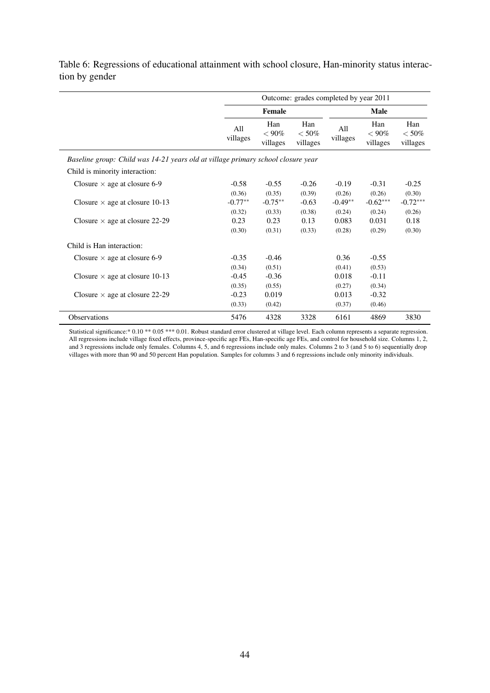|                                                                                  | Outcome: grades completed by year 2011 |                             |                             |                     |                                  |                            |
|----------------------------------------------------------------------------------|----------------------------------------|-----------------------------|-----------------------------|---------------------|----------------------------------|----------------------------|
|                                                                                  |                                        | <b>Female</b>               |                             |                     | <b>Male</b>                      |                            |
|                                                                                  | All<br>villages                        | Han<br>$< 90\%$<br>villages | Han<br>$< 50\%$<br>villages | All<br>villages     | Han<br>${}_{<} 90\%$<br>villages | Han<br>$<$ 50%<br>villages |
| Baseline group: Child was 14-21 years old at village primary school closure year |                                        |                             |                             |                     |                                  |                            |
| Child is minority interaction:                                                   |                                        |                             |                             |                     |                                  |                            |
| Closure $\times$ age at closure 6-9                                              | $-0.58$                                | $-0.55$                     | $-0.26$                     | $-0.19$             | $-0.31$                          | $-0.25$                    |
| Closure $\times$ age at closure 10-13                                            | (0.36)<br>$-0.77**$                    | (0.35)<br>$-0.75**$         | (0.39)<br>$-0.63$           | (0.26)<br>$-0.49**$ | (0.26)<br>$-0.62***$             | (0.30)<br>$-0.72***$       |
| Closure $\times$ age at closure 22-29                                            | (0.32)<br>0.23                         | (0.33)<br>0.23              | (0.38)<br>0.13              | (0.24)<br>0.083     | (0.24)<br>0.031                  | (0.26)<br>0.18             |
|                                                                                  | (0.30)                                 | (0.31)                      | (0.33)                      | (0.28)              | (0.29)                           | (0.30)                     |
| Child is Han interaction:                                                        |                                        |                             |                             |                     |                                  |                            |
| Closure $\times$ age at closure 6-9                                              | $-0.35$                                | $-0.46$                     |                             | 0.36                | $-0.55$                          |                            |
|                                                                                  | (0.34)                                 | (0.51)                      |                             | (0.41)              | (0.53)                           |                            |
| Closure $\times$ age at closure 10-13                                            | $-0.45$                                | $-0.36$                     |                             | 0.018               | $-0.11$                          |                            |
|                                                                                  | (0.35)                                 | (0.55)                      |                             | (0.27)              | (0.34)                           |                            |
| Closure $\times$ age at closure 22-29                                            | $-0.23$                                | 0.019                       |                             | 0.013               | $-0.32$                          |                            |
|                                                                                  | (0.33)                                 | (0.42)                      |                             | (0.37)              | (0.46)                           |                            |
| Observations                                                                     | 5476                                   | 4328                        | 3328                        | 6161                | 4869                             | 3830                       |

<span id="page-47-0"></span>Table 6: Regressions of educational attainment with school closure, Han-minority status interaction by gender

Statistical significance:\* 0.10 \*\* 0.05 \*\*\* 0.01. Robust standard error clustered at village level. Each column represents a separate regression. All regressions include village fixed effects, province-specific age FEs, Han-specific age FEs, and control for household size. Columns 1, 2, and 3 regressions include only females. Columns 4, 5, and 6 regressions include only males. Columns 2 to 3 (and 5 to 6) sequentially drop villages with more than 90 and 50 percent Han population. Samples for columns 3 and 6 regressions include only minority individuals.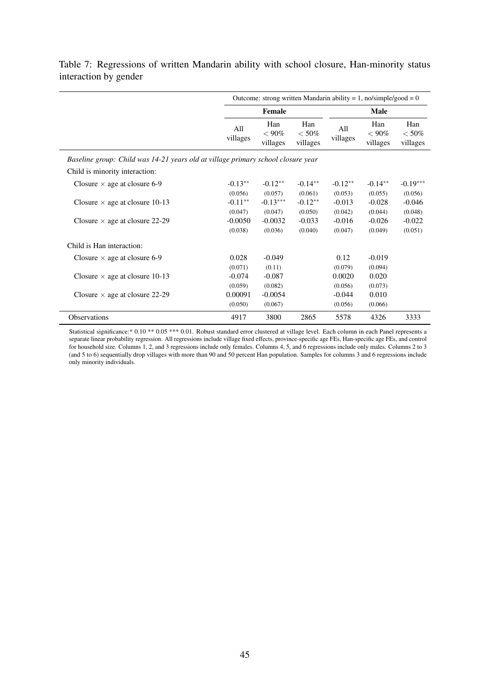|                                                                                  | Outcome: strong written Mandarin ability = 1, no/simple/good = 0 |                             |                            |                 |                             |                            |  |  |  |
|----------------------------------------------------------------------------------|------------------------------------------------------------------|-----------------------------|----------------------------|-----------------|-----------------------------|----------------------------|--|--|--|
|                                                                                  |                                                                  | Female                      |                            |                 | <b>Male</b>                 |                            |  |  |  |
|                                                                                  | All<br>villages                                                  | Han<br>$< 90\%$<br>villages | Han<br>$<$ 50%<br>villages | All<br>villages | Han<br>$< 90\%$<br>villages | Han<br>$<$ 50%<br>villages |  |  |  |
| Baseline group: Child was 14-21 years old at village primary school closure year |                                                                  |                             |                            |                 |                             |                            |  |  |  |
| Child is minority interaction:                                                   |                                                                  |                             |                            |                 |                             |                            |  |  |  |
| Closure $\times$ age at closure 6-9                                              | $-0.13**$                                                        | $-0.12**$                   | $-0.14**$                  | $-0.12**$       | $-0.14**$                   | $-0.19***$                 |  |  |  |
|                                                                                  | (0.056)                                                          | (0.057)                     | (0.061)                    | (0.053)         | (0.055)                     | (0.056)                    |  |  |  |
| Closure $\times$ age at closure 10-13                                            | $-0.11**$                                                        | $-0.13***$                  | $-0.12**$                  | $-0.013$        | $-0.028$                    | $-0.046$                   |  |  |  |
|                                                                                  | (0.047)                                                          | (0.047)                     | (0.050)                    | (0.042)         | (0.044)                     | (0.048)                    |  |  |  |
| Closure $\times$ age at closure 22-29                                            | $-0.0050$                                                        | $-0.0032$                   | $-0.033$                   | $-0.016$        | $-0.026$                    | $-0.022$                   |  |  |  |
|                                                                                  | (0.038)                                                          | (0.036)                     | (0.040)                    | (0.047)         | (0.049)                     | (0.051)                    |  |  |  |
| Child is Han interaction:                                                        |                                                                  |                             |                            |                 |                             |                            |  |  |  |
| Closure $\times$ age at closure 6-9                                              | 0.028                                                            | $-0.049$                    |                            | 0.12            | $-0.019$                    |                            |  |  |  |
|                                                                                  | (0.071)                                                          | (0.11)                      |                            | (0.079)         | (0.094)                     |                            |  |  |  |
| Closure $\times$ age at closure 10-13                                            | $-0.074$                                                         | $-0.087$                    |                            | 0.0020          | 0.020                       |                            |  |  |  |
|                                                                                  | (0.059)                                                          | (0.082)                     |                            | (0.056)         | (0.073)                     |                            |  |  |  |
| Closure $\times$ age at closure 22-29                                            | 0.00091                                                          | $-0.0054$                   |                            | $-0.044$        | 0.010                       |                            |  |  |  |
|                                                                                  | (0.050)                                                          | (0.067)                     |                            | (0.056)         | (0.066)                     |                            |  |  |  |
| Observations                                                                     | 4917                                                             | 3800                        | 2865                       | 5578            | 4326                        | 3333                       |  |  |  |

<span id="page-48-0"></span>Table 7: Regressions of written Mandarin ability with school closure, Han-minority status interaction by gender

Statistical significance:\* 0.10 \*\* 0.05 \*\*\* 0.01. Robust standard error clustered at village level. Each column in each Panel represents a separate linear probability regression. All regressions include village fixed effects, province-specific age FEs, Han-specific age FEs, and control for household size. Columns 1, 2, and 3 regressions include only females. Columns 4, 5, and 6 regressions include only males. Columns 2 to 3 (and 5 to 6) sequentially drop villages with more than 90 and 50 percent Han population. Samples for columns 3 and 6 regressions include only minority individuals.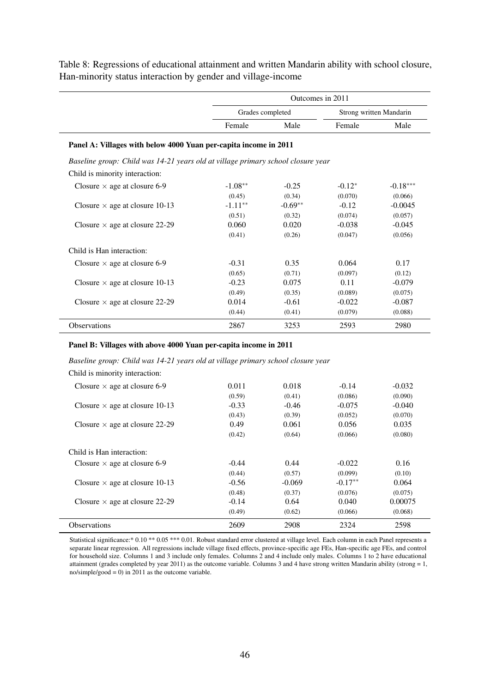|                                                                                  |            | Outcomes in 2011 |          |                         |  |  |  |  |
|----------------------------------------------------------------------------------|------------|------------------|----------|-------------------------|--|--|--|--|
|                                                                                  |            | Grades completed |          | Strong written Mandarin |  |  |  |  |
|                                                                                  | Female     | Male             | Female   | Male                    |  |  |  |  |
| Panel A: Villages with below 4000 Yuan per-capita income in 2011                 |            |                  |          |                         |  |  |  |  |
| Baseline group: Child was 14-21 years old at village primary school closure year |            |                  |          |                         |  |  |  |  |
| Child is minority interaction:                                                   |            |                  |          |                         |  |  |  |  |
| Closure $\times$ age at closure 6-9                                              | $-1.08**$  | $-0.25$          | $-0.12*$ | $-0.18***$              |  |  |  |  |
|                                                                                  | (0.45)     | (0.34)           | (0.070)  | (0.066)                 |  |  |  |  |
| Closure $\times$ age at closure 10-13                                            | $-1.11***$ | $-0.69**$        | $-0.12$  | $-0.0045$               |  |  |  |  |
|                                                                                  | (0.51)     | (0.32)           | (0.074)  | (0.057)                 |  |  |  |  |
| Closure $\times$ age at closure 22-29                                            | 0.060      | 0.020            | $-0.038$ | $-0.045$                |  |  |  |  |
|                                                                                  | (0.41)     | (0.26)           | (0.047)  | (0.056)                 |  |  |  |  |
| Child is Han interaction:                                                        |            |                  |          |                         |  |  |  |  |
| Closure $\times$ age at closure 6-9                                              | $-0.31$    | 0.35             | 0.064    | 0.17                    |  |  |  |  |
|                                                                                  | (0.65)     | (0.71)           | (0.097)  | (0.12)                  |  |  |  |  |
| Closure $\times$ age at closure 10-13                                            | $-0.23$    | 0.075            | 0.11     | $-0.079$                |  |  |  |  |
|                                                                                  | (0.49)     | (0.35)           | (0.089)  | (0.075)                 |  |  |  |  |
| Closure $\times$ age at closure 22-29                                            | 0.014      | $-0.61$          | $-0.022$ | $-0.087$                |  |  |  |  |
|                                                                                  | (0.44)     | (0.41)           | (0.079)  | (0.088)                 |  |  |  |  |
| <b>Observations</b>                                                              | 2867       | 3253             | 2593     | 2980                    |  |  |  |  |

<span id="page-49-0"></span>Table 8: Regressions of educational attainment and written Mandarin ability with school closure, Han-minority status interaction by gender and village-income

#### Panel B: Villages with above 4000 Yuan per-capita income in 2011

#### *Baseline group: Child was 14-21 years old at village primary school closure year*

Child is minority interaction:

| <b>Observations</b>                   | 2609    | 2908     | 2324      | 2598     |
|---------------------------------------|---------|----------|-----------|----------|
|                                       | (0.49)  | (0.62)   | (0.066)   | (0.068)  |
| Closure $\times$ age at closure 22-29 | $-0.14$ | 0.64     | 0.040     | 0.00075  |
|                                       | (0.48)  | (0.37)   | (0.076)   | (0.075)  |
| Closure $\times$ age at closure 10-13 | $-0.56$ | $-0.069$ | $-0.17**$ | 0.064    |
|                                       | (0.44)  | (0.57)   | (0.099)   | (0.10)   |
| Closure $\times$ age at closure 6-9   | $-0.44$ | 0.44     | $-0.022$  | 0.16     |
| Child is Han interaction:             |         |          |           |          |
|                                       | (0.42)  | (0.64)   | (0.066)   | (0.080)  |
| Closure $\times$ age at closure 22-29 | 0.49    | 0.061    | 0.056     | 0.035    |
|                                       | (0.43)  | (0.39)   | (0.052)   | (0.070)  |
| Closure $\times$ age at closure 10-13 | $-0.33$ | $-0.46$  | $-0.075$  | $-0.040$ |
|                                       | (0.59)  | (0.41)   | (0.086)   | (0.090)  |
| Closure $\times$ age at closure 6-9   | 0.011   | 0.018    | $-0.14$   | $-0.032$ |
|                                       |         |          |           |          |

Statistical significance:\* 0.10 \*\* 0.05 \*\*\* 0.01. Robust standard error clustered at village level. Each column in each Panel represents a separate linear regression. All regressions include village fixed effects, province-specific age FEs, Han-specific age FEs, and control for household size. Columns 1 and 3 include only females. Columns 2 and 4 include only males. Columns 1 to 2 have educational attainment (grades completed by year 2011) as the outcome variable. Columns 3 and 4 have strong written Mandarin ability (strong = 1, no/simple/good =  $0$ ) in 2011 as the outcome variable.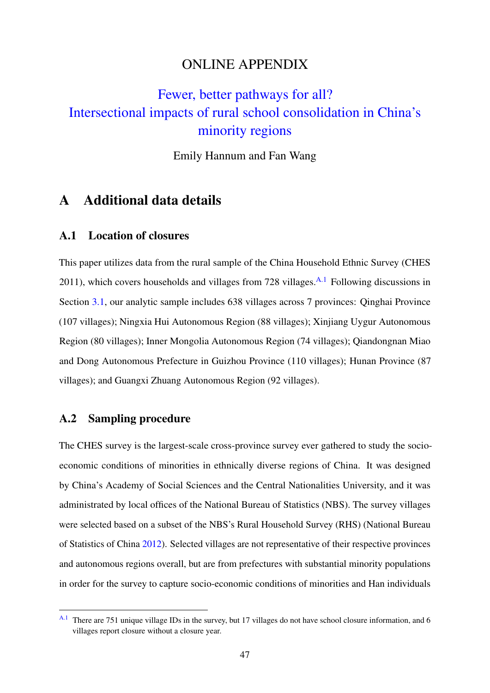## ONLINE APPENDIX

# [Fewer, better pathways for all?](https://doi.org/10.1016/j.worlddev.2021.105734) [Intersectional impacts of rural school consolidation in China's](https://doi.org/10.1016/j.worlddev.2021.105734) [minority regions](https://doi.org/10.1016/j.worlddev.2021.105734)

<span id="page-50-1"></span>Emily Hannum and Fan Wang

## A Additional data details

## A.1 Location of closures

This paper utilizes data from the rural sample of the China Household Ethnic Survey (CHES 2011), which covers households and villages from 728 villages. [A.1](#page-50-0) Following discussions in Section [3.1,](#page-19-8) our analytic sample includes 638 villages across 7 provinces: Qinghai Province (107 villages); Ningxia Hui Autonomous Region (88 villages); Xinjiang Uygur Autonomous Region (80 villages); Inner Mongolia Autonomous Region (74 villages); Qiandongnan Miao and Dong Autonomous Prefecture in Guizhou Province (110 villages); Hunan Province (87 villages); and Guangxi Zhuang Autonomous Region (92 villages).

## A.2 Sampling procedure

The CHES survey is the largest-scale cross-province survey ever gathered to study the socioeconomic conditions of minorities in ethnically diverse regions of China. It was designed by China's Academy of Social Sciences and the Central Nationalities University, and it was administrated by local offices of the National Bureau of Statistics (NBS). The survey villages were selected based on a subset of the NBS's Rural Household Survey (RHS) (National Bureau of Statistics of China [2012\)](#page-40-13). Selected villages are not representative of their respective provinces and autonomous regions overall, but are from prefectures with substantial minority populations in order for the survey to capture socio-economic conditions of minorities and Han individuals

<span id="page-50-0"></span><sup>&</sup>lt;sup>[A.1](#page-50-1)</sup> There are 751 unique village IDs in the survey, but 17 villages do not have school closure information, and 6 villages report closure without a closure year.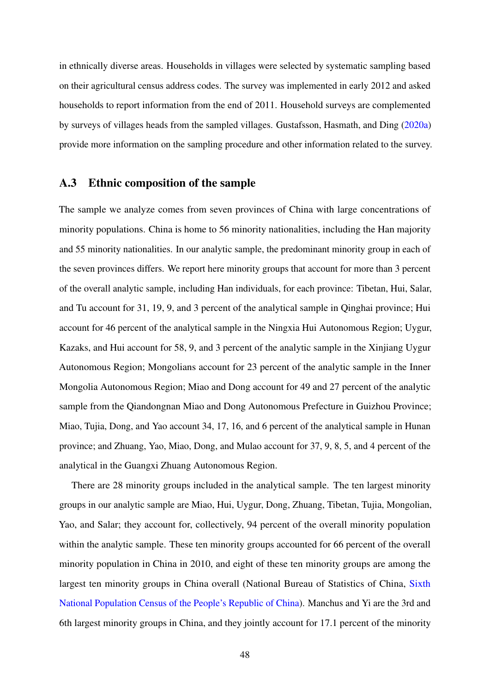in ethnically diverse areas. Households in villages were selected by systematic sampling based on their agricultural census address codes. The survey was implemented in early 2012 and asked households to report information from the end of 2011. Household surveys are complemented by surveys of villages heads from the sampled villages. Gustafsson, Hasmath, and Ding [\(2020a\)](#page-38-12) provide more information on the sampling procedure and other information related to the survey.

#### <span id="page-51-0"></span>A.3 Ethnic composition of the sample

The sample we analyze comes from seven provinces of China with large concentrations of minority populations. China is home to 56 minority nationalities, including the Han majority and 55 minority nationalities. In our analytic sample, the predominant minority group in each of the seven provinces differs. We report here minority groups that account for more than 3 percent of the overall analytic sample, including Han individuals, for each province: Tibetan, Hui, Salar, and Tu account for 31, 19, 9, and 3 percent of the analytical sample in Qinghai province; Hui account for 46 percent of the analytical sample in the Ningxia Hui Autonomous Region; Uygur, Kazaks, and Hui account for 58, 9, and 3 percent of the analytic sample in the Xinjiang Uygur Autonomous Region; Mongolians account for 23 percent of the analytic sample in the Inner Mongolia Autonomous Region; Miao and Dong account for 49 and 27 percent of the analytic sample from the Qiandongnan Miao and Dong Autonomous Prefecture in Guizhou Province; Miao, Tujia, Dong, and Yao account 34, 17, 16, and 6 percent of the analytical sample in Hunan province; and Zhuang, Yao, Miao, Dong, and Mulao account for 37, 9, 8, 5, and 4 percent of the analytical in the Guangxi Zhuang Autonomous Region.

There are 28 minority groups included in the analytical sample. The ten largest minority groups in our analytic sample are Miao, Hui, Uygur, Dong, Zhuang, Tibetan, Tujia, Mongolian, Yao, and Salar; they account for, collectively, 94 percent of the overall minority population within the analytic sample. These ten minority groups accounted for 66 percent of the overall minority population in China in 2010, and eight of these ten minority groups are among the largest ten minority groups in China overall (National Bureau of Statistics of China, [Sixth](#page-40-14) [National Population Census of the People's Republic of China\)](#page-40-14). Manchus and Yi are the 3rd and 6th largest minority groups in China, and they jointly account for 17.1 percent of the minority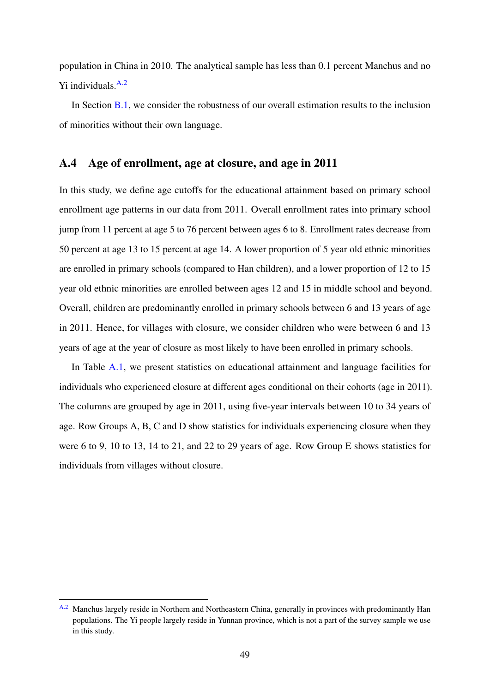<span id="page-52-1"></span>population in China in 2010. The analytical sample has less than 0.1 percent Manchus and no  $Yi$  individuals.  $A.2$ 

In Section [B.1,](#page-57-0) we consider the robustness of our overall estimation results to the inclusion of minorities without their own language.

## A.4 Age of enrollment, age at closure, and age in 2011

In this study, we define age cutoffs for the educational attainment based on primary school enrollment age patterns in our data from 2011. Overall enrollment rates into primary school jump from 11 percent at age 5 to 76 percent between ages 6 to 8. Enrollment rates decrease from 50 percent at age 13 to 15 percent at age 14. A lower proportion of 5 year old ethnic minorities are enrolled in primary schools (compared to Han children), and a lower proportion of 12 to 15 year old ethnic minorities are enrolled between ages 12 and 15 in middle school and beyond. Overall, children are predominantly enrolled in primary schools between 6 and 13 years of age in 2011. Hence, for villages with closure, we consider children who were between 6 and 13 years of age at the year of closure as most likely to have been enrolled in primary schools.

In Table [A.1,](#page-53-0) we present statistics on educational attainment and language facilities for individuals who experienced closure at different ages conditional on their cohorts (age in 2011). The columns are grouped by age in 2011, using five-year intervals between 10 to 34 years of age. Row Groups A, B, C and D show statistics for individuals experiencing closure when they were 6 to 9, 10 to 13, 14 to 21, and 22 to 29 years of age. Row Group E shows statistics for individuals from villages without closure.

<span id="page-52-0"></span><sup>&</sup>lt;sup>[A.2](#page-52-1)</sup> Manchus largely reside in Northern and Northeastern China, generally in provinces with predominantly Han populations. The Yi people largely reside in Yunnan province, which is not a part of the survey sample we use in this study.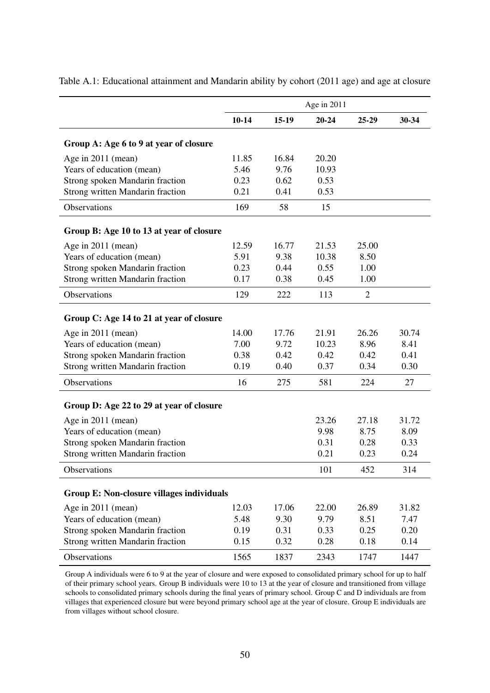|                                                                            |              |              | Age in 2011  |                |              |
|----------------------------------------------------------------------------|--------------|--------------|--------------|----------------|--------------|
|                                                                            | $10 - 14$    | $15-19$      | $20 - 24$    | 25-29          | 30-34        |
| Group A: Age 6 to 9 at year of closure                                     |              |              |              |                |              |
| Age in 2011 (mean)                                                         | 11.85        | 16.84        | 20.20        |                |              |
| Years of education (mean)                                                  | 5.46         | 9.76         | 10.93        |                |              |
| Strong spoken Mandarin fraction                                            | 0.23         | 0.62         | 0.53         |                |              |
| Strong written Mandarin fraction                                           | 0.21         | 0.41         | 0.53         |                |              |
| Observations                                                               | 169          | 58           | 15           |                |              |
| Group B: Age 10 to 13 at year of closure                                   |              |              |              |                |              |
| Age in 2011 (mean)                                                         | 12.59        | 16.77        | 21.53        | 25.00          |              |
| Years of education (mean)                                                  | 5.91         | 9.38         | 10.38        | 8.50           |              |
| Strong spoken Mandarin fraction                                            | 0.23         | 0.44         | 0.55         | 1.00           |              |
| Strong written Mandarin fraction                                           | 0.17         | 0.38         | 0.45         | 1.00           |              |
| Observations                                                               | 129          | 222          | 113          | $\overline{2}$ |              |
| Group C: Age 14 to 21 at year of closure                                   |              |              |              |                |              |
| Age in 2011 (mean)                                                         | 14.00        | 17.76        | 21.91        | 26.26          | 30.74        |
| Years of education (mean)                                                  | 7.00         | 9.72         | 10.23        | 8.96           | 8.41         |
| Strong spoken Mandarin fraction                                            | 0.38         | 0.42         | 0.42         | 0.42           | 0.41         |
| <b>Strong written Mandarin fraction</b>                                    | 0.19         | 0.40         | 0.37         | 0.34           | 0.30         |
| Observations                                                               | 16           | 275          | 581          | 224            | 27           |
| Group D: Age 22 to 29 at year of closure                                   |              |              |              |                |              |
| Age in 2011 (mean)                                                         |              |              | 23.26        | 27.18          | 31.72        |
| Years of education (mean)                                                  |              |              | 9.98         | 8.75           | 8.09         |
| Strong spoken Mandarin fraction                                            |              |              | 0.31         | 0.28           | 0.33         |
| Strong written Mandarin fraction                                           |              |              | 0.21         | 0.23           | 0.24         |
| Observations                                                               |              |              | 101          | 452            | 314          |
| Group E: Non-closure villages individuals                                  |              |              |              |                |              |
|                                                                            |              |              |              |                |              |
| Age in 2011 (mean)                                                         | 12.03        | 17.06        | 22.00        | 26.89          | 31.82        |
| Years of education (mean)                                                  | 5.48         | 9.30         | 9.79         | 8.51           | 7.47         |
| Strong spoken Mandarin fraction<br><b>Strong written Mandarin fraction</b> | 0.19<br>0.15 | 0.31<br>0.32 | 0.33<br>0.28 | 0.25<br>0.18   | 0.20<br>0.14 |
|                                                                            |              |              |              |                |              |
| Observations                                                               | 1565         | 1837         | 2343         | 1747           | 1447         |

<span id="page-53-0"></span>Table A.1: Educational attainment and Mandarin ability by cohort (2011 age) and age at closure

Group A individuals were 6 to 9 at the year of closure and were exposed to consolidated primary school for up to half of their primary school years. Group B individuals were 10 to 13 at the year of closure and transitioned from village schools to consolidated primary schools during the final years of primary school. Group C and D individuals are from villages that experienced closure but were beyond primary school age at the year of closure. Group E individuals are from villages without school closure.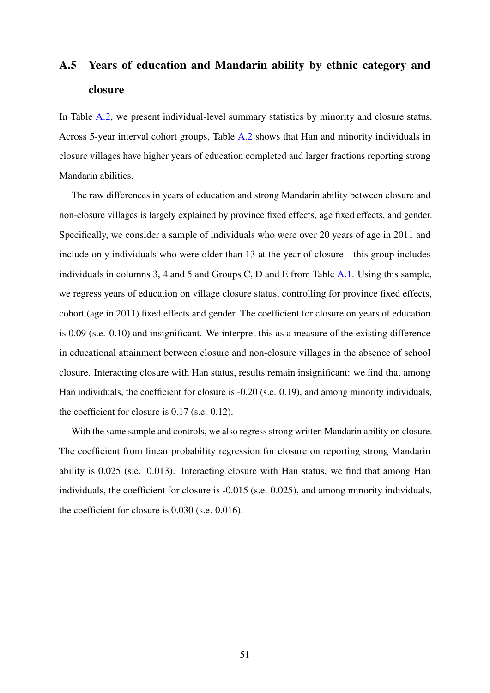# <span id="page-54-0"></span>A.5 Years of education and Mandarin ability by ethnic category and closure

In Table [A.2,](#page-55-0) we present individual-level summary statistics by minority and closure status. Across 5-year interval cohort groups, Table [A.2](#page-55-0) shows that Han and minority individuals in closure villages have higher years of education completed and larger fractions reporting strong Mandarin abilities.

The raw differences in years of education and strong Mandarin ability between closure and non-closure villages is largely explained by province fixed effects, age fixed effects, and gender. Specifically, we consider a sample of individuals who were over 20 years of age in 2011 and include only individuals who were older than 13 at the year of closure—this group includes individuals in columns 3, 4 and 5 and Groups C, D and E from Table [A.1.](#page-53-0) Using this sample, we regress years of education on village closure status, controlling for province fixed effects, cohort (age in 2011) fixed effects and gender. The coefficient for closure on years of education is 0.09 (s.e. 0.10) and insignificant. We interpret this as a measure of the existing difference in educational attainment between closure and non-closure villages in the absence of school closure. Interacting closure with Han status, results remain insignificant: we find that among Han individuals, the coefficient for closure is -0.20 (s.e. 0.19), and among minority individuals, the coefficient for closure is 0.17 (s.e. 0.12).

With the same sample and controls, we also regress strong written Mandarin ability on closure. The coefficient from linear probability regression for closure on reporting strong Mandarin ability is 0.025 (s.e. 0.013). Interacting closure with Han status, we find that among Han individuals, the coefficient for closure is -0.015 (s.e. 0.025), and among minority individuals, the coefficient for closure is 0.030 (s.e. 0.016).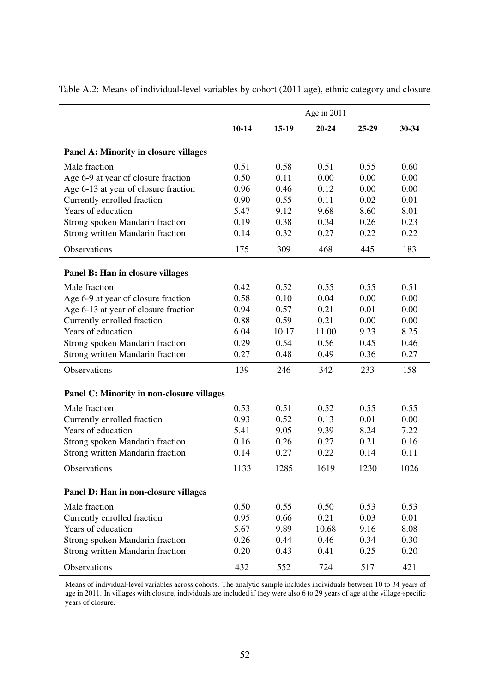|                                           |           |         | Age in 2011 |       |       |
|-------------------------------------------|-----------|---------|-------------|-------|-------|
|                                           | $10 - 14$ | $15-19$ | $20 - 24$   | 25-29 | 30-34 |
| Panel A: Minority in closure villages     |           |         |             |       |       |
| Male fraction                             | 0.51      | 0.58    | 0.51        | 0.55  | 0.60  |
| Age 6-9 at year of closure fraction       | 0.50      | 0.11    | 0.00        | 0.00  | 0.00  |
| Age 6-13 at year of closure fraction      | 0.96      | 0.46    | 0.12        | 0.00  | 0.00  |
| Currently enrolled fraction               | 0.90      | 0.55    | 0.11        | 0.02  | 0.01  |
| Years of education                        | 5.47      | 9.12    | 9.68        | 8.60  | 8.01  |
| Strong spoken Mandarin fraction           | 0.19      | 0.38    | 0.34        | 0.26  | 0.23  |
| <b>Strong written Mandarin fraction</b>   | 0.14      | 0.32    | 0.27        | 0.22  | 0.22  |
| Observations                              | 175       | 309     | 468         | 445   | 183   |
| Panel B: Han in closure villages          |           |         |             |       |       |
| Male fraction                             | 0.42      | 0.52    | 0.55        | 0.55  | 0.51  |
| Age 6-9 at year of closure fraction       | 0.58      | 0.10    | 0.04        | 0.00  | 0.00  |
| Age 6-13 at year of closure fraction      | 0.94      | 0.57    | 0.21        | 0.01  | 0.00  |
| Currently enrolled fraction               | 0.88      | 0.59    | 0.21        | 0.00  | 0.00  |
| Years of education                        | 6.04      | 10.17   | 11.00       | 9.23  | 8.25  |
| Strong spoken Mandarin fraction           | 0.29      | 0.54    | 0.56        | 0.45  | 0.46  |
| <b>Strong written Mandarin fraction</b>   | 0.27      | 0.48    | 0.49        | 0.36  | 0.27  |
| Observations                              | 139       | 246     | 342         | 233   | 158   |
| Panel C: Minority in non-closure villages |           |         |             |       |       |
|                                           |           |         |             |       |       |
| Male fraction                             | 0.53      | 0.51    | 0.52        | 0.55  | 0.55  |
| Currently enrolled fraction               | 0.93      | 0.52    | 0.13        | 0.01  | 0.00  |
| Years of education                        | 5.41      | 9.05    | 9.39        | 8.24  | 7.22  |
| Strong spoken Mandarin fraction           | 0.16      | 0.26    | 0.27        | 0.21  | 0.16  |
| <b>Strong written Mandarin fraction</b>   | 0.14      | 0.27    | 0.22        | 0.14  | 0.11  |
| Observations                              | 1133      | 1285    | 1619        | 1230  | 1026  |
| Panel D: Han in non-closure villages      |           |         |             |       |       |
| Male fraction                             | 0.50      | 0.55    | 0.50        | 0.53  | 0.53  |
| Currently enrolled fraction               | 0.95      | 0.66    | 0.21        | 0.03  | 0.01  |
| Years of education                        | 5.67      | 9.89    | 10.68       | 9.16  | 8.08  |
| Strong spoken Mandarin fraction           | 0.26      | 0.44    | 0.46        | 0.34  | 0.30  |
| <b>Strong written Mandarin fraction</b>   | 0.20      | 0.43    | 0.41        | 0.25  | 0.20  |
| Observations                              | 432       | 552     | 724         | 517   | 421   |

<span id="page-55-0"></span>Table A.2: Means of individual-level variables by cohort (2011 age), ethnic category and closure

Means of individual-level variables across cohorts. The analytic sample includes individuals between 10 to 34 years of age in 2011. In villages with closure, individuals are included if they were also 6 to 29 years of age at the village-specific years of closure.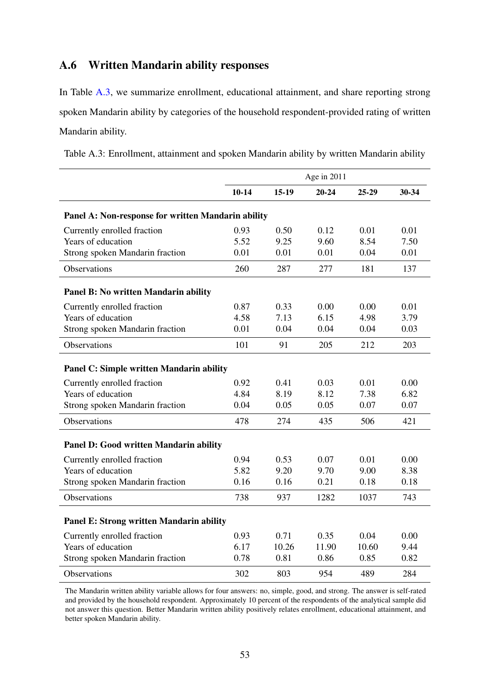## A.6 Written Mandarin ability responses

In Table [A.3,](#page-56-0) we summarize enrollment, educational attainment, and share reporting strong spoken Mandarin ability by categories of the household respondent-provided rating of written Mandarin ability.

|                                                    |           |         | Age in 2011 |         |       |
|----------------------------------------------------|-----------|---------|-------------|---------|-------|
|                                                    | $10 - 14$ | $15-19$ | $20 - 24$   | $25-29$ | 30-34 |
| Panel A: Non-response for written Mandarin ability |           |         |             |         |       |
| Currently enrolled fraction                        | 0.93      | 0.50    | 0.12        | 0.01    | 0.01  |
| Years of education                                 | 5.52      | 9.25    | 9.60        | 8.54    | 7.50  |
| Strong spoken Mandarin fraction                    | 0.01      | 0.01    | 0.01        | 0.04    | 0.01  |
| Observations                                       | 260       | 287     | 277         | 181     | 137   |
| Panel B: No written Mandarin ability               |           |         |             |         |       |
| Currently enrolled fraction                        | 0.87      | 0.33    | 0.00        | 0.00    | 0.01  |
| Years of education                                 | 4.58      | 7.13    | 6.15        | 4.98    | 3.79  |
| Strong spoken Mandarin fraction                    | 0.01      | 0.04    | 0.04        | 0.04    | 0.03  |
| Observations                                       | 101       | 91      | 205         | 212     | 203   |
| Panel C: Simple written Mandarin ability           |           |         |             |         |       |
| Currently enrolled fraction                        | 0.92      | 0.41    | 0.03        | 0.01    | 0.00  |
| Years of education                                 | 4.84      | 8.19    | 8.12        | 7.38    | 6.82  |
| Strong spoken Mandarin fraction                    | 0.04      | 0.05    | 0.05        | 0.07    | 0.07  |
| Observations                                       | 478       | 274     | 435         | 506     | 421   |
| Panel D: Good written Mandarin ability             |           |         |             |         |       |
| Currently enrolled fraction                        | 0.94      | 0.53    | 0.07        | 0.01    | 0.00  |
| Years of education                                 | 5.82      | 9.20    | 9.70        | 9.00    | 8.38  |
| Strong spoken Mandarin fraction                    | 0.16      | 0.16    | 0.21        | 0.18    | 0.18  |
| Observations                                       | 738       | 937     | 1282        | 1037    | 743   |
| <b>Panel E: Strong written Mandarin ability</b>    |           |         |             |         |       |
| Currently enrolled fraction                        | 0.93      | 0.71    | 0.35        | 0.04    | 0.00  |
| Years of education                                 | 6.17      | 10.26   | 11.90       | 10.60   | 9.44  |
| Strong spoken Mandarin fraction                    | 0.78      | 0.81    | 0.86        | 0.85    | 0.82  |
| Observations                                       | 302       | 803     | 954         | 489     | 284   |

<span id="page-56-0"></span>Table A.3: Enrollment, attainment and spoken Mandarin ability by written Mandarin ability

The Mandarin written ability variable allows for four answers: no, simple, good, and strong. The answer is self-rated and provided by the household respondent. Approximately 10 percent of the respondents of the analytical sample did not answer this question. Better Mandarin written ability positively relates enrollment, educational attainment, and better spoken Mandarin ability.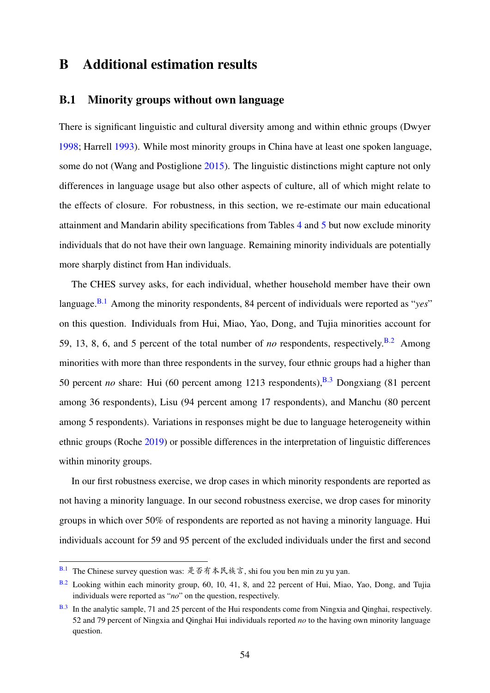## B Additional estimation results

## <span id="page-57-0"></span>B.1 Minority groups without own language

There is significant linguistic and cultural diversity among and within ethnic groups (Dwyer [1998;](#page-37-3) Harrell [1993\)](#page-38-4). While most minority groups in China have at least one spoken language, some do not (Wang and Postiglione [2015\)](#page-41-11). The linguistic distinctions might capture not only differences in language usage but also other aspects of culture, all of which might relate to the effects of closure. For robustness, in this section, we re-estimate our main educational attainment and Mandarin ability specifications from Tables [4](#page-45-0) and [5](#page-46-0) but now exclude minority individuals that do not have their own language. Remaining minority individuals are potentially more sharply distinct from Han individuals.

<span id="page-57-6"></span><span id="page-57-5"></span><span id="page-57-4"></span>The CHES survey asks, for each individual, whether household member have their own language.<sup>[B.1](#page-57-1)</sup> Among the minority respondents, 84 percent of individuals were reported as "*yes*" on this question. Individuals from Hui, Miao, Yao, Dong, and Tujia minorities account for 59, 13, 8, 6, and 5 percent of the total number of *no* respondents, respectively.<sup>[B.2](#page-57-2)</sup> Among minorities with more than three respondents in the survey, four ethnic groups had a higher than 50 percent *no* share: Hui (60 percent among 1213 respondents),  $B.3$  Dongxiang (81 percent among 36 respondents), Lisu (94 percent among 17 respondents), and Manchu (80 percent among 5 respondents). Variations in responses might be due to language heterogeneity within ethnic groups (Roche [2019\)](#page-40-4) or possible differences in the interpretation of linguistic differences within minority groups.

In our first robustness exercise, we drop cases in which minority respondents are reported as not having a minority language. In our second robustness exercise, we drop cases for minority groups in which over 50% of respondents are reported as not having a minority language. Hui individuals account for 59 and 95 percent of the excluded individuals under the first and second

<span id="page-57-1"></span> $B.1$  The Chinese survey question was: 是否有本民族言, shi fou you ben min zu yu yan.

<span id="page-57-2"></span>[B.2](#page-57-5) Looking within each minority group, 60, 10, 41, 8, and 22 percent of Hui, Miao, Yao, Dong, and Tujia individuals were reported as "*no*" on the question, respectively.

<span id="page-57-3"></span>[B.3](#page-57-6) In the analytic sample, 71 and 25 percent of the Hui respondents come from Ningxia and Qinghai, respectively. 52 and 79 percent of Ningxia and Qinghai Hui individuals reported *no* to the having own minority language question.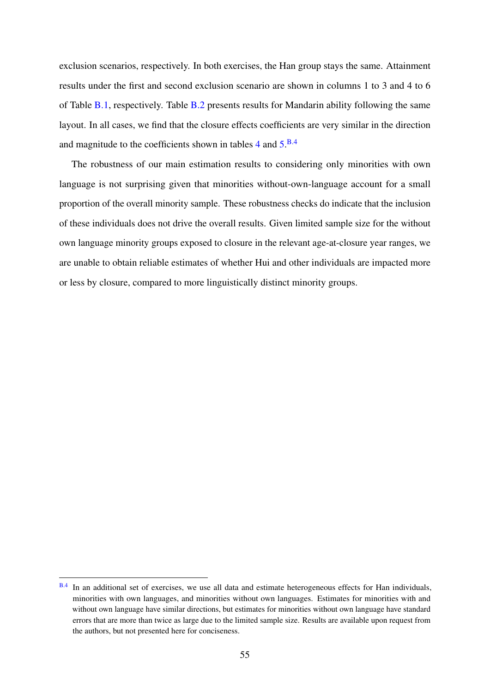exclusion scenarios, respectively. In both exercises, the Han group stays the same. Attainment results under the first and second exclusion scenario are shown in columns 1 to 3 and 4 to 6 of Table [B.1,](#page-59-0) respectively. Table [B.2](#page-60-0) presents results for Mandarin ability following the same layout. In all cases, we find that the closure effects coefficients are very similar in the direction and magnitude to the coefficients shown in tables  $4$  and  $5.^{B.4}$  $5.^{B.4}$  $5.^{B.4}$  $5.^{B.4}$ 

<span id="page-58-1"></span>The robustness of our main estimation results to considering only minorities with own language is not surprising given that minorities without-own-language account for a small proportion of the overall minority sample. These robustness checks do indicate that the inclusion of these individuals does not drive the overall results. Given limited sample size for the without own language minority groups exposed to closure in the relevant age-at-closure year ranges, we are unable to obtain reliable estimates of whether Hui and other individuals are impacted more or less by closure, compared to more linguistically distinct minority groups.

<span id="page-58-0"></span>[B.4](#page-58-1) In an additional set of exercises, we use all data and estimate heterogeneous effects for Han individuals, minorities with own languages, and minorities without own languages. Estimates for minorities with and without own language have similar directions, but estimates for minorities without own language have standard errors that are more than twice as large due to the limited sample size. Results are available upon request from the authors, but not presented here for conciseness.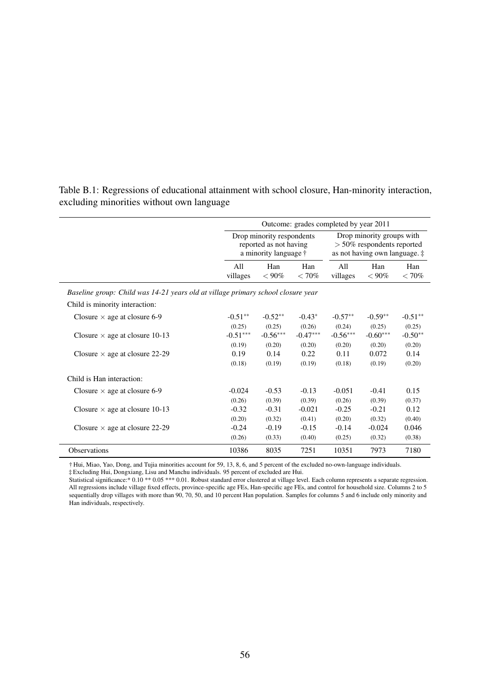|                                                                                  | Outcome: grades completed by year 2011                                       |                 |                 |                                                                                                     |                 |                 |  |  |
|----------------------------------------------------------------------------------|------------------------------------------------------------------------------|-----------------|-----------------|-----------------------------------------------------------------------------------------------------|-----------------|-----------------|--|--|
|                                                                                  | Drop minority respondents<br>reported as not having<br>a minority language † |                 |                 | Drop minority groups with<br>$>$ 50% respondents reported<br>as not having own language. $\ddagger$ |                 |                 |  |  |
|                                                                                  | All<br>villages                                                              | Han<br>$< 90\%$ | Han<br>$< 70\%$ | All<br>villages                                                                                     | Han<br>$< 90\%$ | Han<br>$< 70\%$ |  |  |
| Baseline group: Child was 14-21 years old at village primary school closure year |                                                                              |                 |                 |                                                                                                     |                 |                 |  |  |
| Child is minority interaction:                                                   |                                                                              |                 |                 |                                                                                                     |                 |                 |  |  |
| Closure $\times$ age at closure 6-9                                              | $-0.51**$                                                                    | $-0.52**$       | $-0.43*$        | $-0.57**$                                                                                           | $-0.59**$       | $-0.51**$       |  |  |
|                                                                                  | (0.25)                                                                       | (0.25)          | (0.26)          | (0.24)                                                                                              | (0.25)          | (0.25)          |  |  |
| Closure $\times$ age at closure 10-13                                            | $-0.51***$                                                                   | $-0.56***$      | $-0.47***$      | $-0.56***$                                                                                          | $-0.60***$      | $-0.50**$       |  |  |
|                                                                                  | (0.19)                                                                       | (0.20)          | (0.20)          | (0.20)                                                                                              | (0.20)          | (0.20)          |  |  |
| Closure $\times$ age at closure 22-29                                            | 0.19                                                                         | 0.14            | 0.22            | 0.11                                                                                                | 0.072           | 0.14            |  |  |
|                                                                                  | (0.18)                                                                       | (0.19)          | (0.19)          | (0.18)                                                                                              | (0.19)          | (0.20)          |  |  |
| Child is Han interaction:                                                        |                                                                              |                 |                 |                                                                                                     |                 |                 |  |  |
| Closure $\times$ age at closure 6-9                                              | $-0.024$                                                                     | $-0.53$         | $-0.13$         | $-0.051$                                                                                            | $-0.41$         | 0.15            |  |  |
|                                                                                  | (0.26)                                                                       | (0.39)          | (0.39)          | (0.26)                                                                                              | (0.39)          | (0.37)          |  |  |
| Closure $\times$ age at closure 10-13                                            | $-0.32$                                                                      | $-0.31$         | $-0.021$        | $-0.25$                                                                                             | $-0.21$         | 0.12            |  |  |
|                                                                                  | (0.20)                                                                       | (0.32)          | (0.41)          | (0.20)                                                                                              | (0.32)          | (0.40)          |  |  |
| Closure $\times$ age at closure 22-29                                            | $-0.24$                                                                      | $-0.19$         | $-0.15$         | $-0.14$                                                                                             | $-0.024$        | 0.046           |  |  |
|                                                                                  | (0.26)                                                                       | (0.33)          | (0.40)          | (0.25)                                                                                              | (0.32)          | (0.38)          |  |  |
| Observations                                                                     | 10386                                                                        | 8035            | 7251            | 10351                                                                                               | 7973            | 7180            |  |  |

<span id="page-59-0"></span>Table B.1: Regressions of educational attainment with school closure, Han-minority interaction, excluding minorities without own language

† Hui, Miao, Yao, Dong, and Tujia minorities account for 59, 13, 8, 6, and 5 percent of the excluded no-own-language individuals.

‡ Excluding Hui, Dongxiang, Lisu and Manchu individuals. 95 percent of excluded are Hui.

Statistical significance:\* 0.10 \*\* 0.05 \*\*\* 0.01. Robust standard error clustered at village level. Each column represents a separate regression. All regressions include village fixed effects, province-specific age FEs, Han-specific age FEs, and control for household size. Columns 2 to 5 sequentially drop villages with more than 90, 70, 50, and 10 percent Han population. Samples for columns 5 and 6 include only minority and Han individuals, respectively.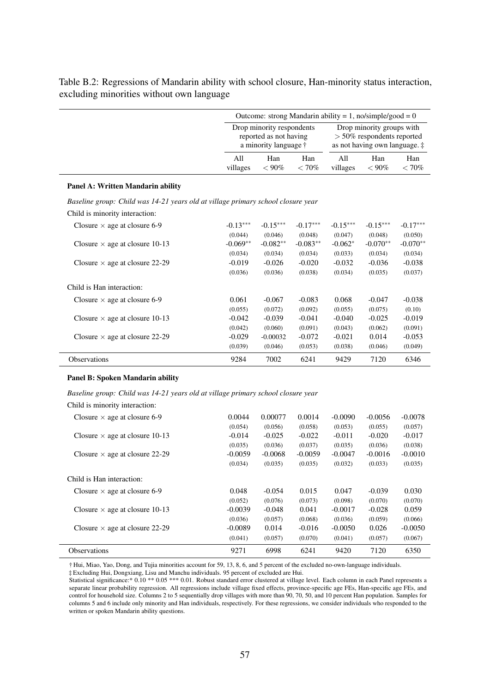|                                                                                  | Outcome: strong Mandarin ability = 1, no/simple/good = 0                             |                 |                 |                                                                                                      |                 |              |  |
|----------------------------------------------------------------------------------|--------------------------------------------------------------------------------------|-----------------|-----------------|------------------------------------------------------------------------------------------------------|-----------------|--------------|--|
|                                                                                  | Drop minority respondents<br>reported as not having<br>a minority language $\dagger$ |                 |                 | Drop minority groups with<br>$> 50\%$ respondents reported<br>as not having own language. $\ddagger$ |                 |              |  |
|                                                                                  | A11<br>villages                                                                      | Han<br>$< 90\%$ | Han<br>$< 70\%$ | A11<br>villages                                                                                      | Han<br>$< 90\%$ | Han<br>< 70% |  |
| Panel A: Written Mandarin ability                                                |                                                                                      |                 |                 |                                                                                                      |                 |              |  |
| Baseline group: Child was 14-21 years old at village primary school closure year |                                                                                      |                 |                 |                                                                                                      |                 |              |  |
| Child is minority interaction:                                                   |                                                                                      |                 |                 |                                                                                                      |                 |              |  |
| Closure $\times$ age at closure 6-9                                              | $-0.13***$                                                                           | $-0.15***$      | $-0.17***$      | $-0.15***$                                                                                           | $-0.15***$      | $-0.17***$   |  |
|                                                                                  | (0.044)                                                                              | (0.046)         | (0.048)         | (0.047)                                                                                              | (0.048)         | (0.050)      |  |
| Closure $\times$ age at closure 10-13                                            | $-0.069**$                                                                           | $-0.082**$      | $-0.083**$      | $-0.062*$                                                                                            | $-0.070**$      | $-0.070**$   |  |
|                                                                                  | (0.034)                                                                              | (0.034)         | (0.034)         | (0.033)                                                                                              | (0.034)         | (0.034)      |  |
| Closure $\times$ age at closure 22-29                                            | $-0.019$                                                                             | $-0.026$        | $-0.020$        | $-0.032$                                                                                             | $-0.036$        | $-0.038$     |  |
|                                                                                  | (0.036)                                                                              | (0.036)         | (0.038)         | (0.034)                                                                                              | (0.035)         | (0.037)      |  |
| Child is Han interaction:                                                        |                                                                                      |                 |                 |                                                                                                      |                 |              |  |
| Closure $\times$ age at closure 6-9                                              | 0.061                                                                                | $-0.067$        | $-0.083$        | 0.068                                                                                                | $-0.047$        | $-0.038$     |  |
|                                                                                  | (0.055)                                                                              | (0.072)         | (0.092)         | (0.055)                                                                                              | (0.075)         | (0.10)       |  |
| Closure $\times$ age at closure 10-13                                            | $-0.042$                                                                             | $-0.039$        | $-0.041$        | $-0.040$                                                                                             | $-0.025$        | $-0.019$     |  |
|                                                                                  | (0.042)                                                                              | (0.060)         | (0.091)         | (0.043)                                                                                              | (0.062)         | (0.091)      |  |
| Closure $\times$ age at closure 22-29                                            | $-0.029$                                                                             | $-0.00032$      | $-0.072$        | $-0.021$                                                                                             | 0.014           | $-0.053$     |  |
|                                                                                  | (0.039)                                                                              | (0.046)         | (0.053)         | (0.038)                                                                                              | (0.046)         | (0.049)      |  |
| <b>Observations</b>                                                              | 9284                                                                                 | 7002            | 6241            | 9429                                                                                                 | 7120            | 6346         |  |

<span id="page-60-0"></span>Table B.2: Regressions of Mandarin ability with school closure, Han-minority status interaction, excluding minorities without own language

#### Panel B: Spoken Mandarin ability

*Baseline group: Child was 14-21 years old at village primary school closure year*

Child is minority interaction:

| Closure $\times$ age at closure 6-9   | 0.0044<br>(0.054) | 0.00077<br>(0.056) | 0.0014<br>(0.058) | $-0.0090$<br>(0.053) | $-0.0056$<br>(0.055) | $-0.0078$<br>(0.057) |
|---------------------------------------|-------------------|--------------------|-------------------|----------------------|----------------------|----------------------|
| Closure $\times$ age at closure 10-13 | $-0.014$          | $-0.025$           | $-0.022$          | $-0.011$             | $-0.020$             | $-0.017$             |
|                                       | (0.035)           | (0.036)            | (0.037)           | (0.035)              | (0.036)              | (0.038)              |
| Closure $\times$ age at closure 22-29 | $-0.0059$         | $-0.0068$          | $-0.0059$         | $-0.0047$            | $-0.0016$            | $-0.0010$            |
|                                       | (0.034)           | (0.035)            | (0.035)           | (0.032)              | (0.033)              | (0.035)              |
| Child is Han interaction:             |                   |                    |                   |                      |                      |                      |
| Closure $\times$ age at closure 6-9   | 0.048             | $-0.054$           | 0.015             | 0.047                | $-0.039$             | 0.030                |
|                                       | (0.052)           | (0.076)            | (0.073)           | (0.098)              | (0.070)              | (0.070)              |
| Closure $\times$ age at closure 10-13 | $-0.0039$         | $-0.048$           | 0.041             | $-0.0017$            | $-0.028$             | 0.059                |
|                                       | (0.036)           | (0.057)            | (0.068)           | (0.036)              | (0.059)              | (0.066)              |
| Closure $\times$ age at closure 22-29 | $-0.0089$         | 0.014              | $-0.016$          | $-0.0050$            | 0.026                | $-0.0050$            |
|                                       | (0.041)           | (0.057)            | (0.070)           | (0.041)              | (0.057)              | (0.067)              |
| <b>Observations</b>                   | 9271              | 6998               | 6241              | 9420                 | 7120                 | 6350                 |

† Hui, Miao, Yao, Dong, and Tujia minorities account for 59, 13, 8, 6, and 5 percent of the excluded no-own-language individuals.

‡ Excluding Hui, Dongxiang, Lisu and Manchu individuals. 95 percent of excluded are Hui.

Statistical significance:\* 0.10 \*\* 0.05 \*\*\* 0.01. Robust standard error clustered at village level. Each column in each Panel represents a separate linear probability regression. All regressions include village fixed effects, province-specific age FEs, Han-specific age FEs, and control for household size. Columns 2 to 5 sequentially drop villages with more than 90, 70, 50, and 10 percent Han population. Samples for columns 5 and 6 include only minority and Han individuals, respectively. For these regressions, we consider individuals who responded to the written or spoken Mandarin ability questions.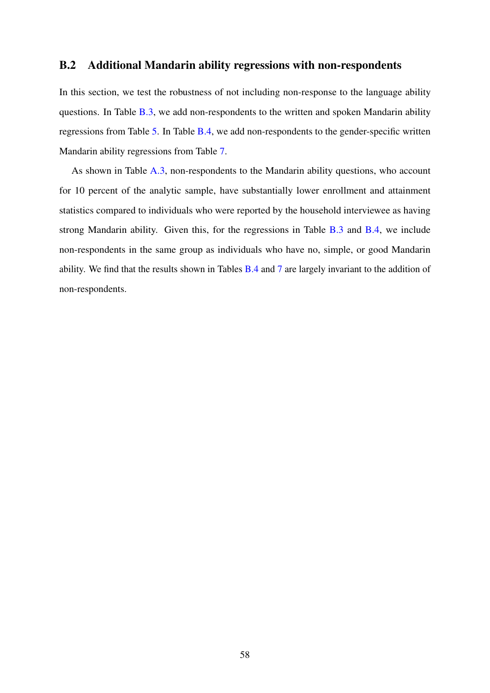## <span id="page-61-0"></span>B.2 Additional Mandarin ability regressions with non-respondents

In this section, we test the robustness of not including non-response to the language ability questions. In Table [B.3,](#page-62-0) we add non-respondents to the written and spoken Mandarin ability regressions from Table [5.](#page-46-0) In Table [B.4,](#page-63-0) we add non-respondents to the gender-specific written Mandarin ability regressions from Table [7.](#page-48-0)

As shown in Table [A.3,](#page-56-0) non-respondents to the Mandarin ability questions, who account for 10 percent of the analytic sample, have substantially lower enrollment and attainment statistics compared to individuals who were reported by the household interviewee as having strong Mandarin ability. Given this, for the regressions in Table [B.3](#page-62-0) and [B.4,](#page-63-0) we include non-respondents in the same group as individuals who have no, simple, or good Mandarin ability. We find that the results shown in Tables [B.4](#page-63-0) and [7](#page-48-0) are largely invariant to the addition of non-respondents.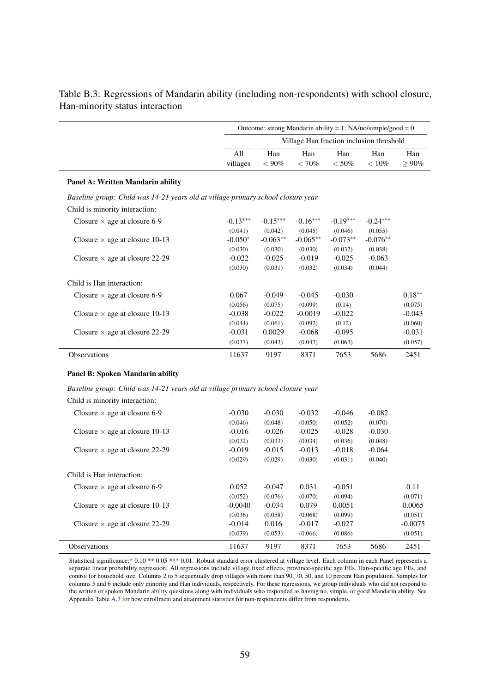|                                                                                  |                 | Outcome: strong Mandarin ability = $1$ , NA/no/simple/good = 0 |                                          |                |                 |                    |  |  |
|----------------------------------------------------------------------------------|-----------------|----------------------------------------------------------------|------------------------------------------|----------------|-----------------|--------------------|--|--|
|                                                                                  |                 |                                                                | Village Han fraction inclusion threshold |                |                 |                    |  |  |
|                                                                                  | A11<br>villages | Han<br>$< 90\%$                                                | Han<br>$< 70\%$                          | Han<br>$<$ 50% | Han<br>$< 10\%$ | Han<br>$\geq 90\%$ |  |  |
| Panel A: Written Mandarin ability                                                |                 |                                                                |                                          |                |                 |                    |  |  |
| Baseline group: Child was 14-21 years old at village primary school closure year |                 |                                                                |                                          |                |                 |                    |  |  |
| Child is minority interaction:                                                   |                 |                                                                |                                          |                |                 |                    |  |  |
| Closure $\times$ age at closure 6-9                                              | $-0.13***$      | $-0.15***$                                                     | $-0.16***$                               | $-0.19***$     | $-0.24***$      |                    |  |  |
|                                                                                  | (0.041)         | (0.042)                                                        | (0.045)                                  | (0.046)        | (0.055)         |                    |  |  |
| Closure $\times$ age at closure 10-13                                            | $-0.050*$       | $-0.063**$                                                     | $-0.065**$                               | $-0.073**$     | $-0.076**$      |                    |  |  |
|                                                                                  | (0.030)         | (0.030)                                                        | (0.030)                                  | (0.032)        | (0.038)         |                    |  |  |
| Closure $\times$ age at closure 22-29                                            | $-0.022$        | $-0.025$                                                       | $-0.019$                                 | $-0.025$       | $-0.063$        |                    |  |  |
|                                                                                  | (0.030)         | (0.031)                                                        | (0.032)                                  | (0.034)        | (0.044)         |                    |  |  |
| Child is Han interaction:                                                        |                 |                                                                |                                          |                |                 |                    |  |  |
| Closure $\times$ age at closure 6-9                                              | 0.067           | $-0.049$                                                       | $-0.045$                                 | $-0.030$       |                 | $0.18**$           |  |  |
|                                                                                  | (0.056)         | (0.075)                                                        | (0.099)                                  | (0.14)         |                 | (0.075)            |  |  |
| Closure $\times$ age at closure 10-13                                            | $-0.038$        | $-0.022$                                                       | $-0.0019$                                | $-0.022$       |                 | $-0.043$           |  |  |
|                                                                                  | (0.044)         | (0.061)                                                        | (0.092)                                  | (0.12)         |                 | (0.060)            |  |  |
| Closure $\times$ age at closure 22-29                                            | $-0.031$        | 0.0029                                                         | $-0.068$                                 | $-0.095$       |                 | $-0.031$           |  |  |
|                                                                                  | (0.037)         | (0.043)                                                        | (0.047)                                  | (0.063)        |                 | (0.057)            |  |  |
| Observations                                                                     | 11637           | 9197                                                           | 8371                                     | 7653           | 5686            | 2451               |  |  |

<span id="page-62-0"></span>Table B.3: Regressions of Mandarin ability (including non-respondents) with school closure, Han-minority status interaction

#### Panel B: Spoken Mandarin ability

*Baseline group: Child was 14-21 years old at village primary school closure year*

| Child is minority interaction:        |          |          |          |          |          |           |
|---------------------------------------|----------|----------|----------|----------|----------|-----------|
| Closure $\times$ age at closure 6-9   | $-0.030$ | $-0.030$ | $-0.032$ | $-0.046$ | $-0.082$ |           |
|                                       | (0.046)  | (0.048)  | (0.050)  | (0.052)  | (0.070)  |           |
| Closure $\times$ age at closure 10-13 | $-0.016$ | $-0.026$ | $-0.025$ | $-0.028$ | $-0.030$ |           |
|                                       | (0.032)  | (0.033)  | (0.034)  | (0.036)  | (0.048)  |           |
| Closure $\times$ age at closure 22-29 | $-0.019$ | $-0.015$ | $-0.013$ | $-0.018$ | $-0.064$ |           |
|                                       | (0.029)  | (0.029)  | (0.030)  | (0.031)  | (0.040)  |           |
| Child is Han interaction:             |          |          |          |          |          |           |
| Closure $\times$ age at closure 6-9   | 0.052    | $-0.047$ | 0.031    | $-0.051$ |          | 0.11      |
|                                       | (0.052)  | (0.076)  | (0.070)  | (0.094)  |          | (0.071)   |
| Closure $\times$ age at closure 10-13 | -0.0040  | $-0.034$ | 0.079    | 0.0051   |          | 0.0065    |
|                                       | (0.036)  | (0.058)  | (0.068)  | (0.099)  |          | (0.051)   |
| Closure $\times$ age at closure 22-29 | $-0.014$ | 0.016    | $-0.017$ | $-0.027$ |          | $-0.0075$ |
|                                       | (0.039)  | (0.053)  | (0.066)  | (0.086)  |          | (0.051)   |
| <b>Observations</b>                   | 11637    | 9197     | 8371     | 7653     | 5686     | 2451      |

Statistical significance:\* 0.10 \*\* 0.05 \*\*\* 0.01. Robust standard error clustered at village level. Each column in each Panel represents a separate linear probability regression. All regressions include village fixed effects, province-specific age FEs, Han-specific age FEs, and control for household size. Columns 2 to 5 sequentially drop villages with more than 90, 70, 50, and 10 percent Han population. Samples for columns 5 and 6 include only minority and Han individuals, respectively. For these regressions, we group individuals who did not respond to the written or spoken Mandarin ability questions along with individuals who responded as having no, simple, or good Mandarin ability. See Appendix Table [A.3](#page-56-0) for how enrollment and attainment statistics for non-respondents differ from respondents.